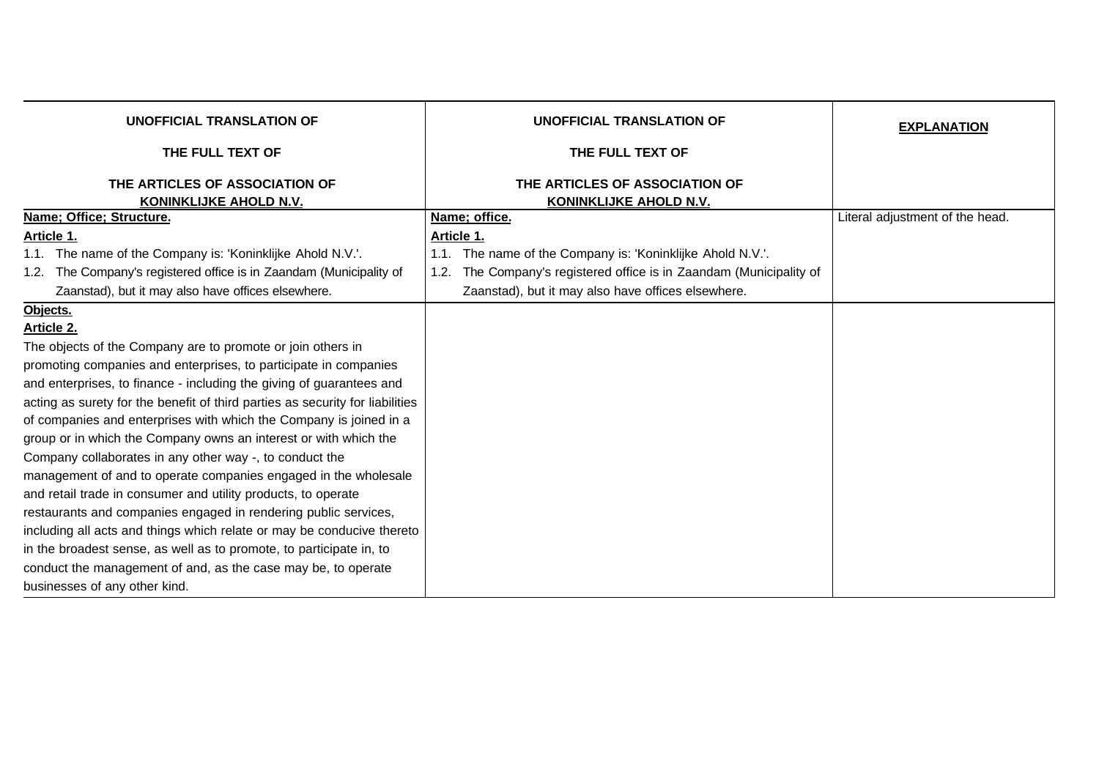| <b>UNOFFICIAL TRANSLATION OF</b>                                              | <b>UNOFFICIAL TRANSLATION OF</b>                                       | <b>EXPLANATION</b>              |
|-------------------------------------------------------------------------------|------------------------------------------------------------------------|---------------------------------|
| THE FULL TEXT OF                                                              | THE FULL TEXT OF                                                       |                                 |
| THE ARTICLES OF ASSOCIATION OF<br>KONINKLIJKE AHOLD N.V.                      | THE ARTICLES OF ASSOCIATION OF<br><b>KONINKLIJKE AHOLD N.V.</b>        |                                 |
| Name: Office: Structure.                                                      | Name; office.                                                          | Literal adjustment of the head. |
| Article 1.                                                                    | Article 1.                                                             |                                 |
| 1.1. The name of the Company is: 'Koninklijke Ahold N.V.'.                    | The name of the Company is: 'Koninklijke Ahold N.V.'.<br>1.1.          |                                 |
| The Company's registered office is in Zaandam (Municipality of<br>1.2.        | The Company's registered office is in Zaandam (Municipality of<br>1.2. |                                 |
| Zaanstad), but it may also have offices elsewhere.                            | Zaanstad), but it may also have offices elsewhere.                     |                                 |
| Objects.                                                                      |                                                                        |                                 |
| Article 2.                                                                    |                                                                        |                                 |
| The objects of the Company are to promote or join others in                   |                                                                        |                                 |
| promoting companies and enterprises, to participate in companies              |                                                                        |                                 |
| and enterprises, to finance - including the giving of guarantees and          |                                                                        |                                 |
| acting as surety for the benefit of third parties as security for liabilities |                                                                        |                                 |
| of companies and enterprises with which the Company is joined in a            |                                                                        |                                 |
| group or in which the Company owns an interest or with which the              |                                                                        |                                 |
| Company collaborates in any other way -, to conduct the                       |                                                                        |                                 |
| management of and to operate companies engaged in the wholesale               |                                                                        |                                 |
| and retail trade in consumer and utility products, to operate                 |                                                                        |                                 |
| restaurants and companies engaged in rendering public services,               |                                                                        |                                 |
| including all acts and things which relate or may be conducive thereto        |                                                                        |                                 |
| in the broadest sense, as well as to promote, to participate in, to           |                                                                        |                                 |
| conduct the management of and, as the case may be, to operate                 |                                                                        |                                 |
| businesses of any other kind.                                                 |                                                                        |                                 |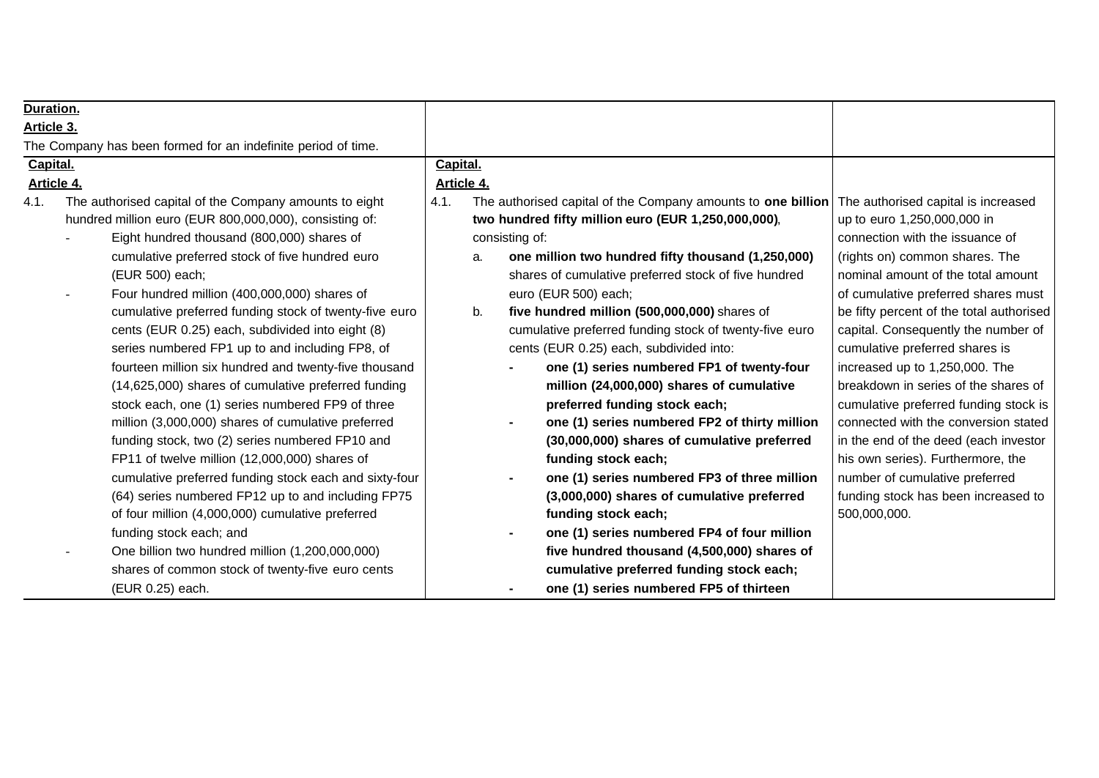| Duration.  |                                                               |            |    |                                                                 |                                          |
|------------|---------------------------------------------------------------|------------|----|-----------------------------------------------------------------|------------------------------------------|
| Article 3. |                                                               |            |    |                                                                 |                                          |
|            | The Company has been formed for an indefinite period of time. |            |    |                                                                 |                                          |
| Capital.   |                                                               | Capital.   |    |                                                                 |                                          |
| Article 4. |                                                               | Article 4. |    |                                                                 |                                          |
| 4.1.       | The authorised capital of the Company amounts to eight        | 4.1.       |    | The authorised capital of the Company amounts to one billion    | The authorised capital is increased      |
|            | hundred million euro (EUR 800,000,000), consisting of:        |            |    | two hundred fifty million euro (EUR 1,250,000,000),             | up to euro 1,250,000,000 in              |
|            | Eight hundred thousand (800,000) shares of                    |            |    | consisting of:                                                  | connection with the issuance of          |
|            | cumulative preferred stock of five hundred euro               |            | a. | one million two hundred fifty thousand (1,250,000)              | (rights on) common shares. The           |
|            | (EUR 500) each;                                               |            |    | shares of cumulative preferred stock of five hundred            | nominal amount of the total amount       |
|            | Four hundred million (400,000,000) shares of                  |            |    | euro (EUR 500) each;                                            | of cumulative preferred shares must      |
|            | cumulative preferred funding stock of twenty-five euro        |            | b. | five hundred million (500,000,000) shares of                    | be fifty percent of the total authorised |
|            | cents (EUR 0.25) each, subdivided into eight (8)              |            |    | cumulative preferred funding stock of twenty-five euro          | capital. Consequently the number of      |
|            | series numbered FP1 up to and including FP8, of               |            |    | cents (EUR 0.25) each, subdivided into:                         | cumulative preferred shares is           |
|            | fourteen million six hundred and twenty-five thousand         |            |    | one (1) series numbered FP1 of twenty-four                      | increased up to 1,250,000. The           |
|            | (14,625,000) shares of cumulative preferred funding           |            |    | million (24,000,000) shares of cumulative                       | breakdown in series of the shares of     |
|            | stock each, one (1) series numbered FP9 of three              |            |    | preferred funding stock each;                                   | cumulative preferred funding stock is    |
|            | million (3,000,000) shares of cumulative preferred            |            |    | one (1) series numbered FP2 of thirty million<br>$\blacksquare$ | connected with the conversion stated     |
|            | funding stock, two (2) series numbered FP10 and               |            |    | (30,000,000) shares of cumulative preferred                     | in the end of the deed (each investor    |
|            | FP11 of twelve million (12,000,000) shares of                 |            |    | funding stock each;                                             | his own series). Furthermore, the        |
|            | cumulative preferred funding stock each and sixty-four        |            |    | one (1) series numbered FP3 of three million                    | number of cumulative preferred           |
|            | (64) series numbered FP12 up to and including FP75            |            |    | (3,000,000) shares of cumulative preferred                      | funding stock has been increased to      |
|            | of four million (4,000,000) cumulative preferred              |            |    | funding stock each;                                             | 500,000,000.                             |
|            | funding stock each; and                                       |            |    | one (1) series numbered FP4 of four million                     |                                          |
|            | One billion two hundred million (1,200,000,000)               |            |    | five hundred thousand (4,500,000) shares of                     |                                          |
|            | shares of common stock of twenty-five euro cents              |            |    | cumulative preferred funding stock each;                        |                                          |
|            | (EUR 0.25) each.                                              |            |    | one (1) series numbered FP5 of thirteen                         |                                          |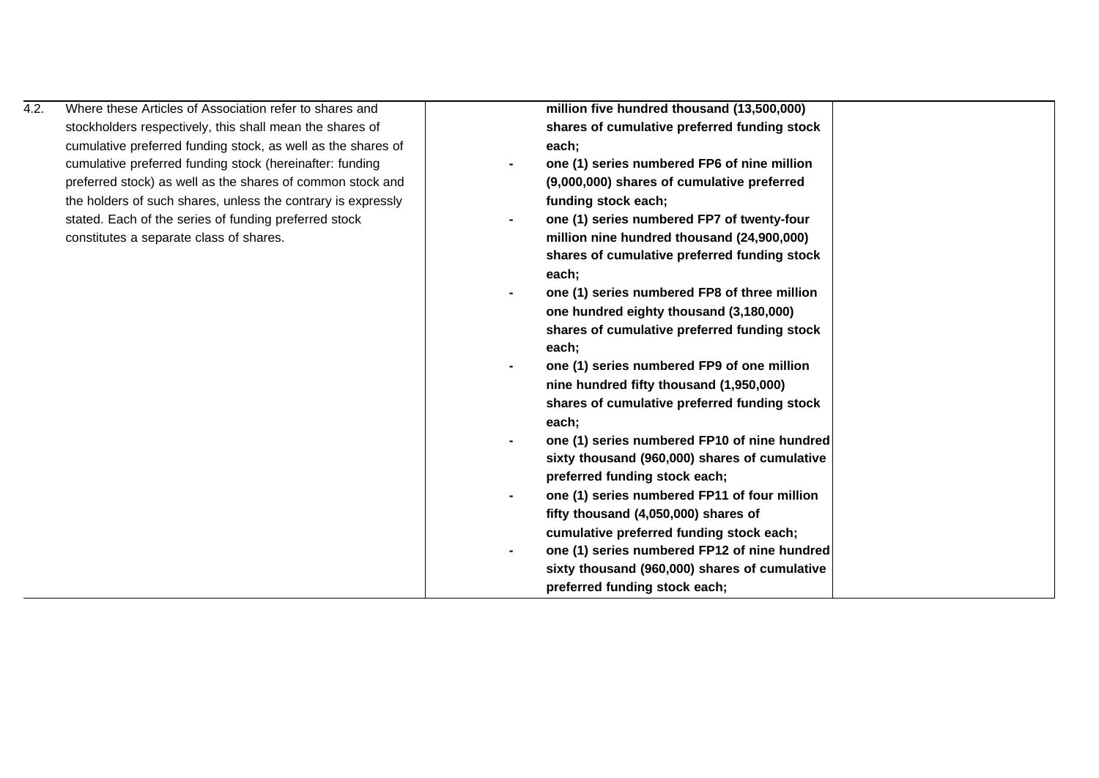| 4.2. | Where these Articles of Association refer to shares and      | million five hundred thousand (13,500,000)                     |  |
|------|--------------------------------------------------------------|----------------------------------------------------------------|--|
|      | stockholders respectively, this shall mean the shares of     | shares of cumulative preferred funding stock                   |  |
|      | cumulative preferred funding stock, as well as the shares of | each;                                                          |  |
|      | cumulative preferred funding stock (hereinafter: funding     | one (1) series numbered FP6 of nine million                    |  |
|      | preferred stock) as well as the shares of common stock and   | (9,000,000) shares of cumulative preferred                     |  |
|      | the holders of such shares, unless the contrary is expressly | funding stock each;                                            |  |
|      | stated. Each of the series of funding preferred stock        | one (1) series numbered FP7 of twenty-four                     |  |
|      | constitutes a separate class of shares.                      | million nine hundred thousand (24,900,000)                     |  |
|      |                                                              | shares of cumulative preferred funding stock                   |  |
|      |                                                              | each;                                                          |  |
|      |                                                              | one (1) series numbered FP8 of three million                   |  |
|      |                                                              | one hundred eighty thousand (3,180,000)                        |  |
|      |                                                              | shares of cumulative preferred funding stock                   |  |
|      |                                                              | each;                                                          |  |
|      |                                                              | one (1) series numbered FP9 of one million                     |  |
|      |                                                              | nine hundred fifty thousand (1,950,000)                        |  |
|      |                                                              | shares of cumulative preferred funding stock                   |  |
|      |                                                              | each;                                                          |  |
|      |                                                              | one (1) series numbered FP10 of nine hundred                   |  |
|      |                                                              | sixty thousand (960,000) shares of cumulative                  |  |
|      |                                                              | preferred funding stock each;                                  |  |
|      |                                                              | one (1) series numbered FP11 of four million<br>$\blacksquare$ |  |
|      |                                                              | fifty thousand (4,050,000) shares of                           |  |
|      |                                                              | cumulative preferred funding stock each;                       |  |
|      |                                                              | one (1) series numbered FP12 of nine hundred<br>$\blacksquare$ |  |
|      |                                                              | sixty thousand (960,000) shares of cumulative                  |  |
|      |                                                              | preferred funding stock each;                                  |  |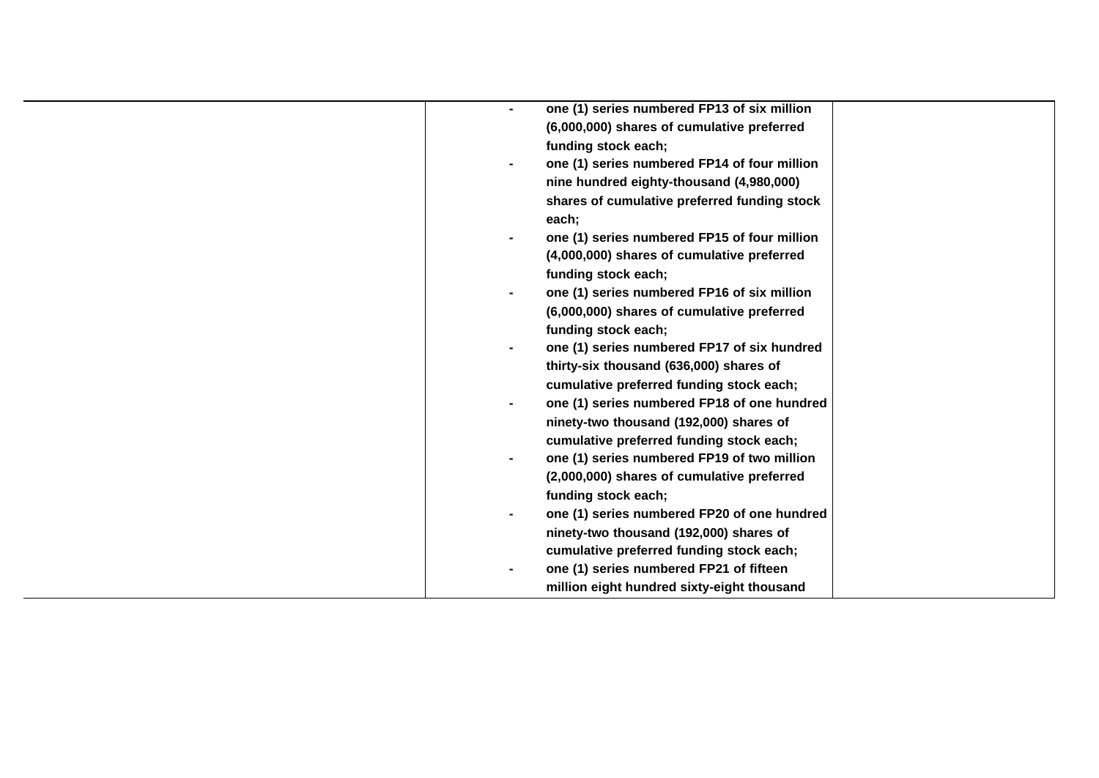| one (1) series numbered FP13 of six million  |
|----------------------------------------------|
| (6,000,000) shares of cumulative preferred   |
| funding stock each;                          |
| one (1) series numbered FP14 of four million |
| nine hundred eighty-thousand (4,980,000)     |
| shares of cumulative preferred funding stock |
| each;                                        |
| one (1) series numbered FP15 of four million |
| (4,000,000) shares of cumulative preferred   |
| funding stock each;                          |
| one (1) series numbered FP16 of six million  |
| (6,000,000) shares of cumulative preferred   |
| funding stock each;                          |
| one (1) series numbered FP17 of six hundred  |
| thirty-six thousand (636,000) shares of      |
| cumulative preferred funding stock each;     |
| one (1) series numbered FP18 of one hundred  |
| ninety-two thousand (192,000) shares of      |
| cumulative preferred funding stock each;     |
| one (1) series numbered FP19 of two million  |
| (2,000,000) shares of cumulative preferred   |
| funding stock each;                          |
| one (1) series numbered FP20 of one hundred  |
| ninety-two thousand (192,000) shares of      |
| cumulative preferred funding stock each;     |
| one (1) series numbered FP21 of fifteen      |
| million eight hundred sixty-eight thousand   |
|                                              |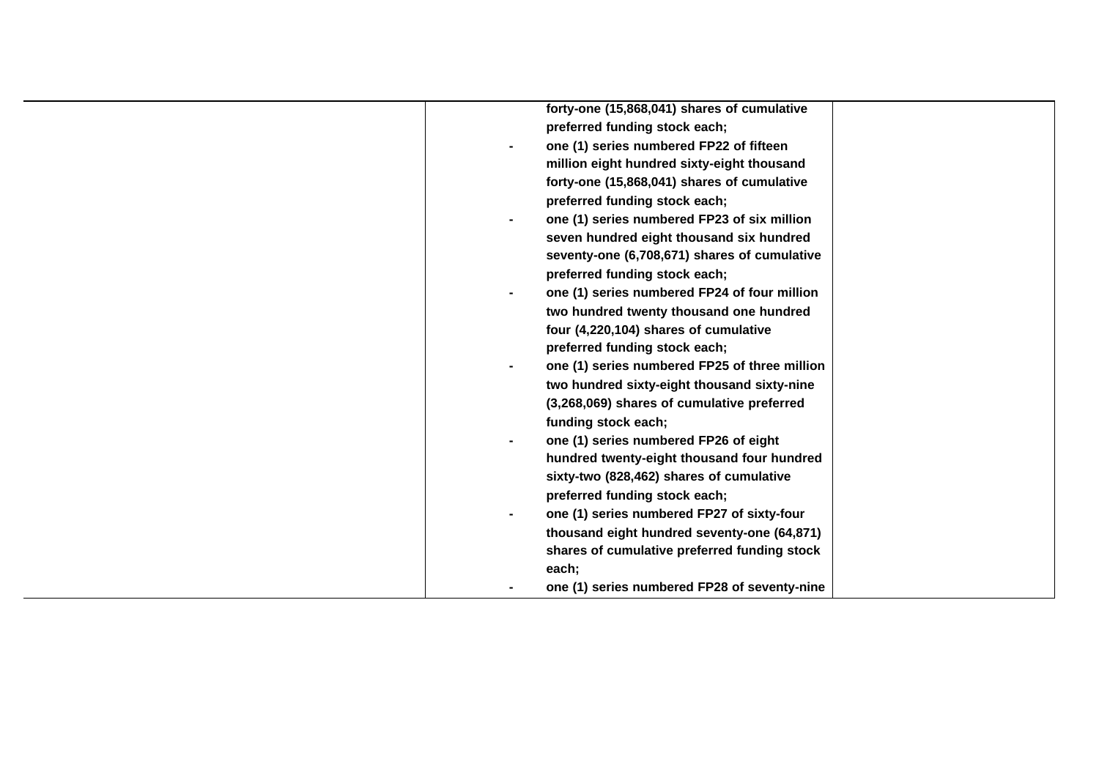| forty-one (15,868,041) shares of cumulative               |
|-----------------------------------------------------------|
| preferred funding stock each;                             |
| one (1) series numbered FP22 of fifteen<br>$\blacksquare$ |
| million eight hundred sixty-eight thousand                |
| forty-one (15,868,041) shares of cumulative               |
| preferred funding stock each;                             |
| one (1) series numbered FP23 of six million               |
| seven hundred eight thousand six hundred                  |
| seventy-one (6,708,671) shares of cumulative              |
| preferred funding stock each;                             |
| one (1) series numbered FP24 of four million              |
| two hundred twenty thousand one hundred                   |
| four (4,220,104) shares of cumulative                     |
| preferred funding stock each;                             |
| one (1) series numbered FP25 of three million             |
| two hundred sixty-eight thousand sixty-nine               |
| (3,268,069) shares of cumulative preferred                |
| funding stock each;                                       |
| one (1) series numbered FP26 of eight<br>$\blacksquare$   |
| hundred twenty-eight thousand four hundred                |
| sixty-two (828,462) shares of cumulative                  |
| preferred funding stock each;                             |
| one (1) series numbered FP27 of sixty-four                |
| thousand eight hundred seventy-one (64,871)               |
| shares of cumulative preferred funding stock              |
| each;                                                     |
| one (1) series numbered FP28 of seventy-nine              |
|                                                           |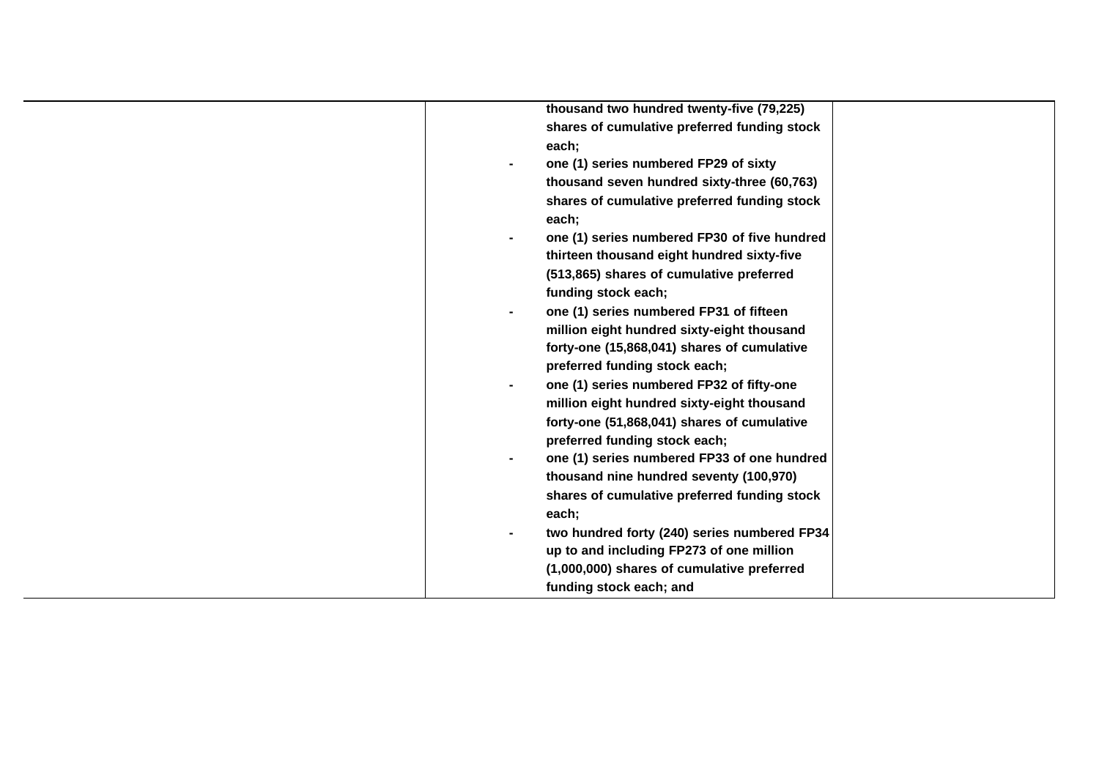| thousand two hundred twenty-five (79,225)    |
|----------------------------------------------|
| shares of cumulative preferred funding stock |
| each;                                        |
| one (1) series numbered FP29 of sixty        |
| thousand seven hundred sixty-three (60,763)  |
| shares of cumulative preferred funding stock |
| each;                                        |
| one (1) series numbered FP30 of five hundred |
| thirteen thousand eight hundred sixty-five   |
| (513,865) shares of cumulative preferred     |
| funding stock each;                          |
| one (1) series numbered FP31 of fifteen      |
| million eight hundred sixty-eight thousand   |
| forty-one (15,868,041) shares of cumulative  |
| preferred funding stock each;                |
| one (1) series numbered FP32 of fifty-one    |
| million eight hundred sixty-eight thousand   |
| forty-one (51,868,041) shares of cumulative  |
| preferred funding stock each;                |
| one (1) series numbered FP33 of one hundred  |
| thousand nine hundred seventy (100,970)      |
| shares of cumulative preferred funding stock |
| each;                                        |
| two hundred forty (240) series numbered FP34 |
| up to and including FP273 of one million     |
| (1,000,000) shares of cumulative preferred   |
| funding stock each; and                      |
|                                              |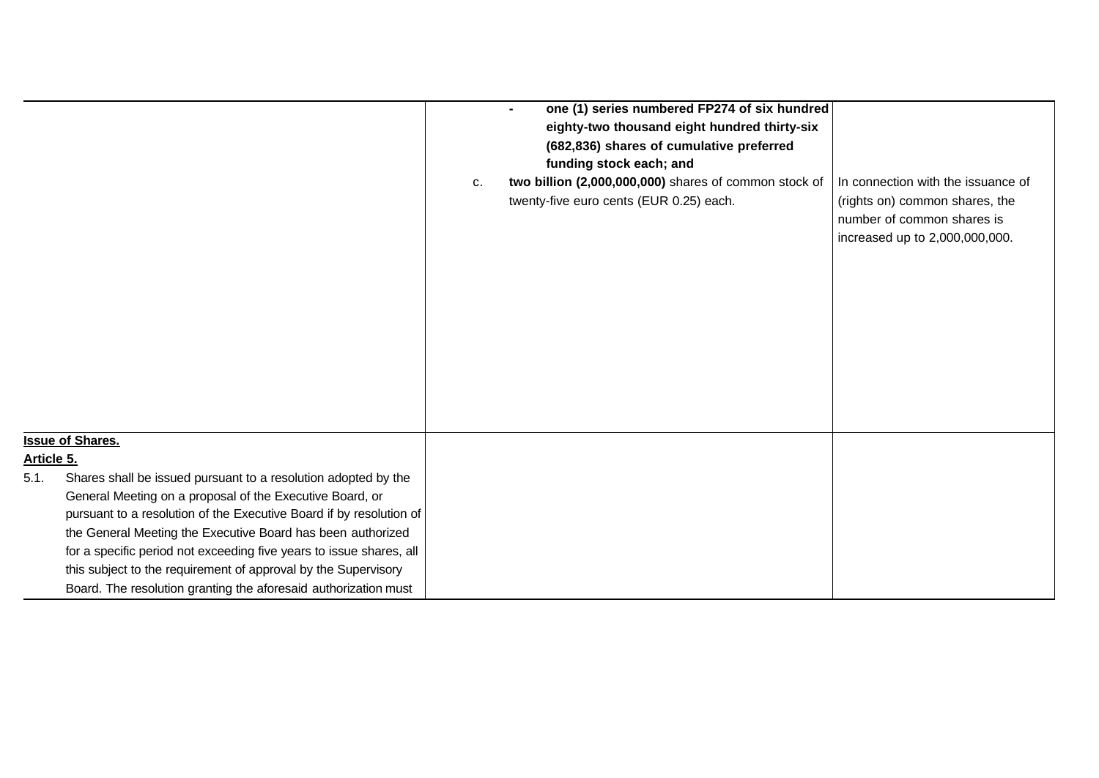|            |                                                                     |    | one (1) series numbered FP274 of six hundred<br>$\blacksquare$ |                                    |
|------------|---------------------------------------------------------------------|----|----------------------------------------------------------------|------------------------------------|
|            |                                                                     |    | eighty-two thousand eight hundred thirty-six                   |                                    |
|            |                                                                     |    | (682,836) shares of cumulative preferred                       |                                    |
|            |                                                                     |    | funding stock each; and                                        |                                    |
|            |                                                                     | c. | two billion (2,000,000,000) shares of common stock of          | In connection with the issuance of |
|            |                                                                     |    | twenty-five euro cents (EUR 0.25) each.                        | (rights on) common shares, the     |
|            |                                                                     |    |                                                                | number of common shares is         |
|            |                                                                     |    |                                                                |                                    |
|            |                                                                     |    |                                                                | increased up to 2,000,000,000.     |
|            |                                                                     |    |                                                                |                                    |
|            |                                                                     |    |                                                                |                                    |
|            |                                                                     |    |                                                                |                                    |
|            |                                                                     |    |                                                                |                                    |
|            |                                                                     |    |                                                                |                                    |
|            |                                                                     |    |                                                                |                                    |
|            |                                                                     |    |                                                                |                                    |
|            |                                                                     |    |                                                                |                                    |
|            |                                                                     |    |                                                                |                                    |
|            |                                                                     |    |                                                                |                                    |
|            | <b>Issue of Shares.</b>                                             |    |                                                                |                                    |
| Article 5. |                                                                     |    |                                                                |                                    |
| 5.1.       | Shares shall be issued pursuant to a resolution adopted by the      |    |                                                                |                                    |
|            | General Meeting on a proposal of the Executive Board, or            |    |                                                                |                                    |
|            | pursuant to a resolution of the Executive Board if by resolution of |    |                                                                |                                    |
|            | the General Meeting the Executive Board has been authorized         |    |                                                                |                                    |
|            | for a specific period not exceeding five years to issue shares, all |    |                                                                |                                    |
|            | this subject to the requirement of approval by the Supervisory      |    |                                                                |                                    |
|            | Board. The resolution granting the aforesaid authorization must     |    |                                                                |                                    |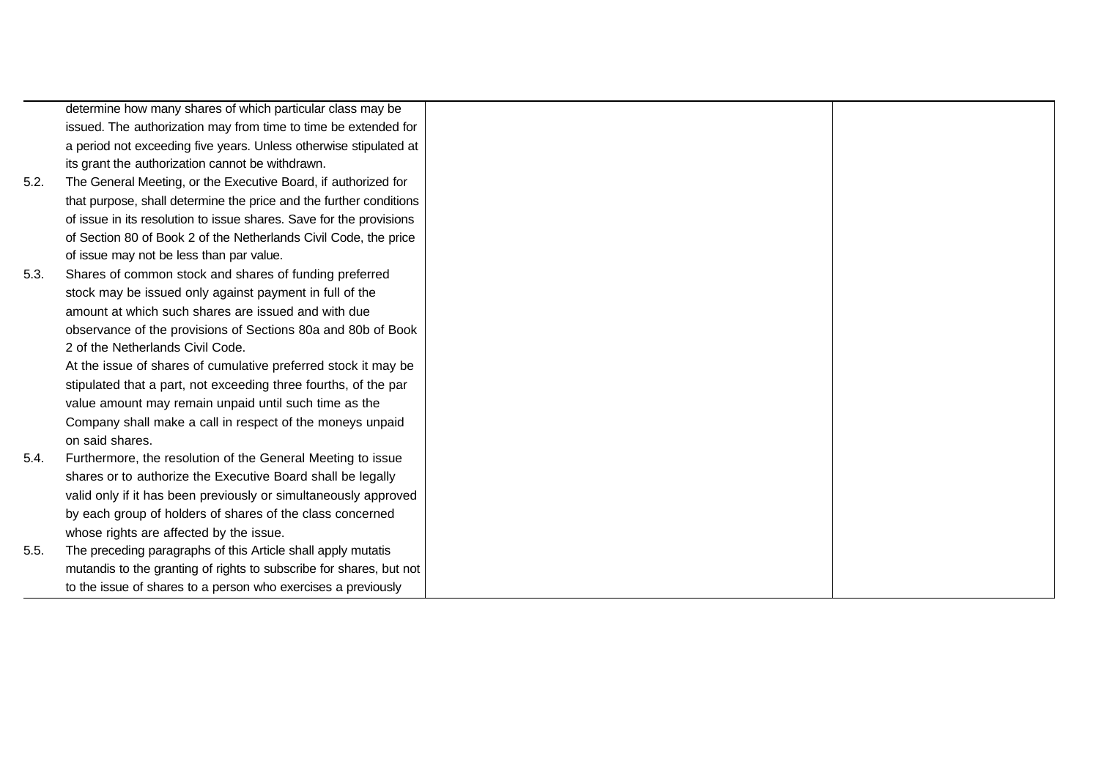|      | determine how many shares of which particular class may be          |  |
|------|---------------------------------------------------------------------|--|
|      | issued. The authorization may from time to time be extended for     |  |
|      | a period not exceeding five years. Unless otherwise stipulated at   |  |
|      | its grant the authorization cannot be withdrawn.                    |  |
| 5.2. | The General Meeting, or the Executive Board, if authorized for      |  |
|      | that purpose, shall determine the price and the further conditions  |  |
|      | of issue in its resolution to issue shares. Save for the provisions |  |
|      | of Section 80 of Book 2 of the Netherlands Civil Code, the price    |  |
|      | of issue may not be less than par value.                            |  |
| 5.3. | Shares of common stock and shares of funding preferred              |  |
|      | stock may be issued only against payment in full of the             |  |
|      | amount at which such shares are issued and with due                 |  |
|      | observance of the provisions of Sections 80a and 80b of Book        |  |
|      | 2 of the Netherlands Civil Code.                                    |  |
|      | At the issue of shares of cumulative preferred stock it may be      |  |
|      | stipulated that a part, not exceeding three fourths, of the par     |  |
|      | value amount may remain unpaid until such time as the               |  |
|      | Company shall make a call in respect of the moneys unpaid           |  |
|      | on said shares.                                                     |  |
| 5.4. | Furthermore, the resolution of the General Meeting to issue         |  |
|      | shares or to authorize the Executive Board shall be legally         |  |
|      | valid only if it has been previously or simultaneously approved     |  |
|      | by each group of holders of shares of the class concerned           |  |
|      | whose rights are affected by the issue.                             |  |
| 5.5. | The preceding paragraphs of this Article shall apply mutatis        |  |
|      | mutandis to the granting of rights to subscribe for shares, but not |  |
|      | to the issue of shares to a person who exercises a previously       |  |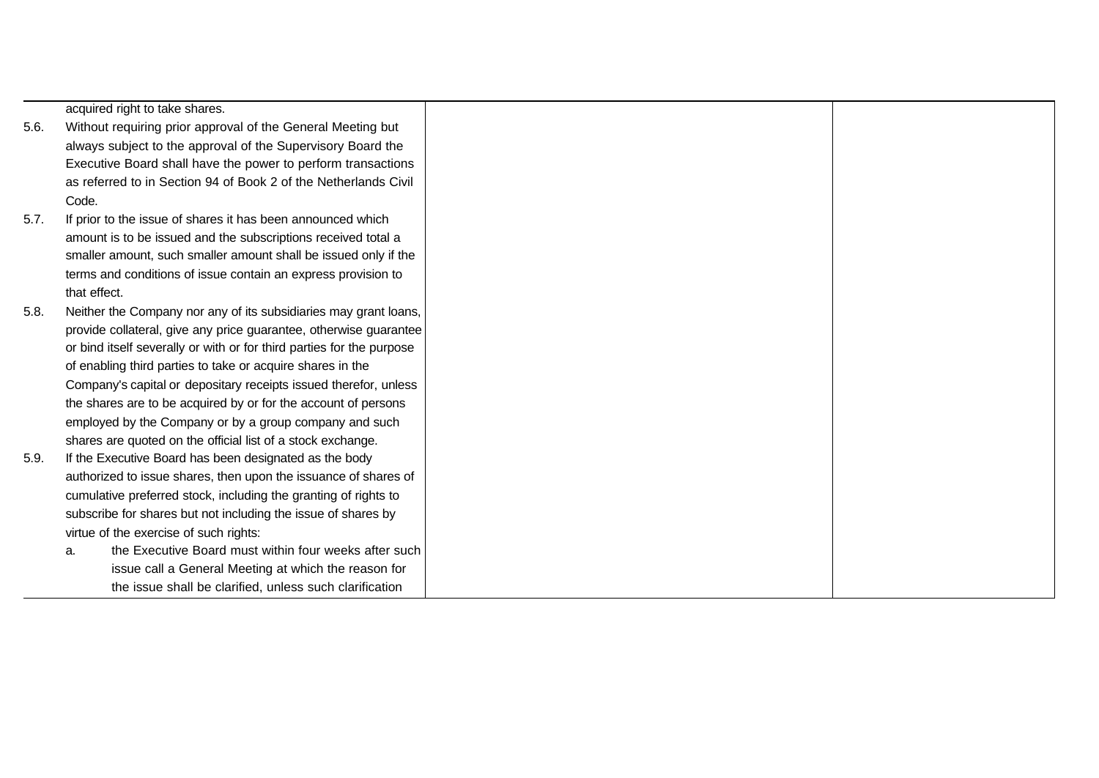acquired right to take shares.

- 5.6. Without requiring prior approval of the General Meeting but always subject to the approval of the Supervisory Board the Executive Board shall have the power to perform transactions as referred to in Section 94 of Book 2 of the Netherlands Civil Code.
- 5.7. If prior to the issue of shares it has been announced which amount is to be issued and the subscriptions received total a smaller amount, such smaller amount shall be issued only if the terms and conditions of issue contain an express provision to that effect.
- 5.8. Neither the Company nor any of its subsidiaries may grant loans, provide collateral, give any price guarantee, otherwise guarantee or bind itself severally or with or for third parties for the purpose of enabling third parties to take or acquire shares in the Company's capital or depositary receipts issued therefor, unless the shares are to be acquired by or for the account of persons employed by the Company or by a group company and such shares are quoted on the official list of a stock exchange.
- 5.9. If the Executive Board has been designated as the body authorized to issue shares, then upon the issuance of shares of cumulative preferred stock, including the granting of rights to subscribe for shares but not including the issue of shares by virtue of the exercise of such rights:
	- a. the Executive Board must within four weeks after such issue call a General Meeting at which the reason for the issue shall be clarified, unless such clarification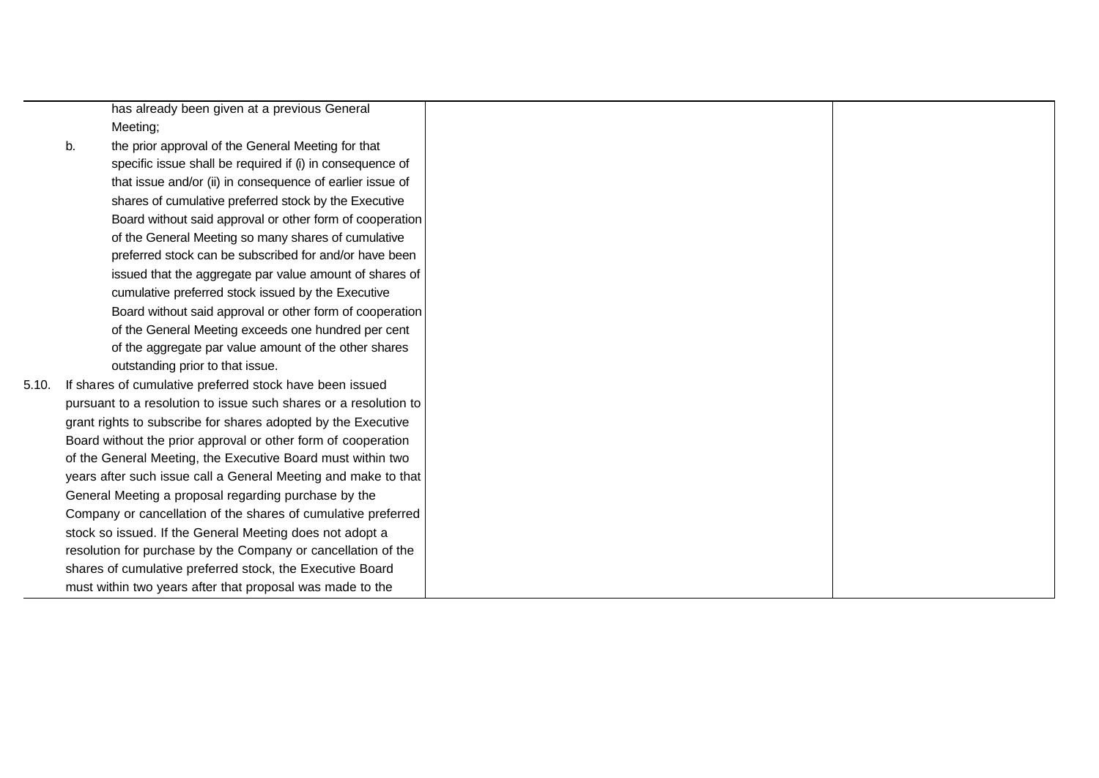has already been given at a previous General Meeting;

- b. the prior approval of the General Meeting for that specific issue shall be required if (i) in consequence of that issue and/or (ii) in consequence of earlier issue of shares of cumulative preferred stock by the Executive Board without said approval or other form of cooperation of the General Meeting so many shares of cumulative preferred stock can be subscribed for and/or have been issued that the aggregate par value amount of shares of cumulative preferred stock issued by the Executive Board without said approval or other form of cooperation of the General Meeting exceeds one hundred per cent of the aggregate par value amount of the other shares outstanding prior to that issue.
- 5.10. If shares of cumulative preferred stock have been issued pursuant to a resolution to issue such shares or a resolution to grant rights to subscribe for shares adopted by the Executive Board without the prior approval or other form of cooperation of the General Meeting, the Executive Board must within two years after such issue call a General Meeting and make to that General Meeting a proposal regarding purchase by the Company or cancellation of the shares of cumulative preferred stock so issued. If the General Meeting does not adopt a resolution for purchase by the Company or cancellation of the shares of cumulative preferred stock, the Executive Board must within two years after that proposal was made to the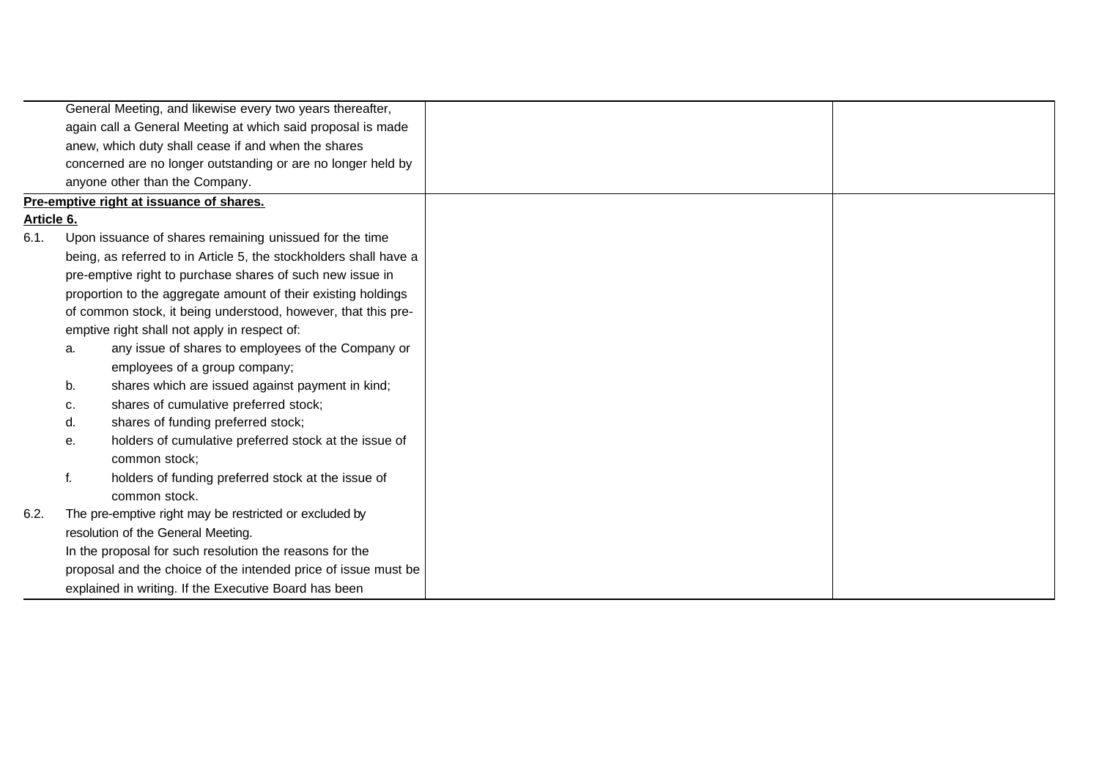|            |    | General Meeting, and likewise every two years thereafter,         |  |
|------------|----|-------------------------------------------------------------------|--|
|            |    | again call a General Meeting at which said proposal is made       |  |
|            |    | anew, which duty shall cease if and when the shares               |  |
|            |    | concerned are no longer outstanding or are no longer held by      |  |
|            |    | anyone other than the Company.                                    |  |
|            |    | Pre-emptive right at issuance of shares.                          |  |
| Article 6. |    |                                                                   |  |
| 6.1.       |    | Upon issuance of shares remaining unissued for the time           |  |
|            |    | being, as referred to in Article 5, the stockholders shall have a |  |
|            |    | pre-emptive right to purchase shares of such new issue in         |  |
|            |    | proportion to the aggregate amount of their existing holdings     |  |
|            |    | of common stock, it being understood, however, that this pre-     |  |
|            |    | emptive right shall not apply in respect of:                      |  |
|            | a. | any issue of shares to employees of the Company or                |  |
|            |    | employees of a group company;                                     |  |
|            | b. | shares which are issued against payment in kind;                  |  |
|            | с. | shares of cumulative preferred stock;                             |  |
|            | d. | shares of funding preferred stock;                                |  |
|            | е. | holders of cumulative preferred stock at the issue of             |  |
|            |    | common stock:                                                     |  |
|            | f. | holders of funding preferred stock at the issue of                |  |
|            |    | common stock.                                                     |  |
| 6.2.       |    | The pre-emptive right may be restricted or excluded by            |  |
|            |    | resolution of the General Meeting.                                |  |
|            |    | In the proposal for such resolution the reasons for the           |  |
|            |    | proposal and the choice of the intended price of issue must be    |  |
|            |    | explained in writing. If the Executive Board has been             |  |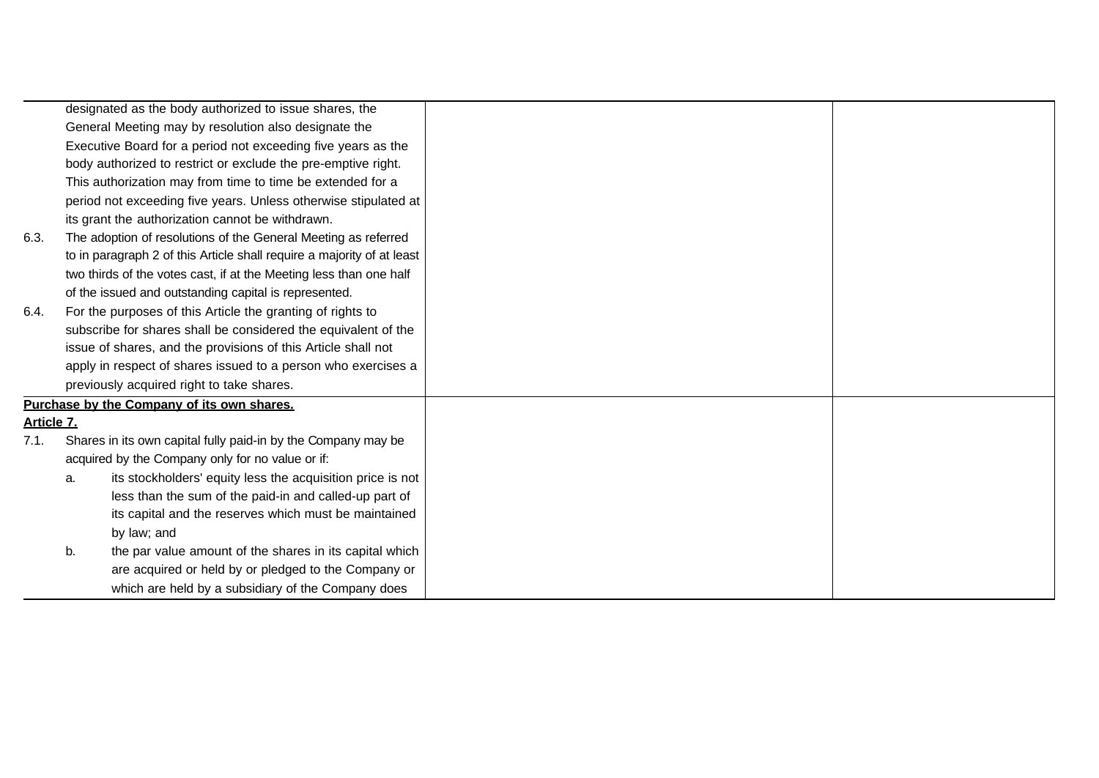|            |    | designated as the body authorized to issue shares, the                 |  |
|------------|----|------------------------------------------------------------------------|--|
|            |    | General Meeting may by resolution also designate the                   |  |
|            |    | Executive Board for a period not exceeding five years as the           |  |
|            |    | body authorized to restrict or exclude the pre-emptive right.          |  |
|            |    | This authorization may from time to time be extended for a             |  |
|            |    | period not exceeding five years. Unless otherwise stipulated at        |  |
|            |    | its grant the authorization cannot be withdrawn.                       |  |
| 6.3.       |    | The adoption of resolutions of the General Meeting as referred         |  |
|            |    | to in paragraph 2 of this Article shall require a majority of at least |  |
|            |    | two thirds of the votes cast, if at the Meeting less than one half     |  |
|            |    | of the issued and outstanding capital is represented.                  |  |
| 6.4.       |    | For the purposes of this Article the granting of rights to             |  |
|            |    | subscribe for shares shall be considered the equivalent of the         |  |
|            |    | issue of shares, and the provisions of this Article shall not          |  |
|            |    | apply in respect of shares issued to a person who exercises a          |  |
|            |    | previously acquired right to take shares.                              |  |
|            |    | Purchase by the Company of its own shares.                             |  |
| Article 7. |    |                                                                        |  |
| 7.1.       |    | Shares in its own capital fully paid-in by the Company may be          |  |
|            |    | acquired by the Company only for no value or if:                       |  |
|            | a. | its stockholders' equity less the acquisition price is not             |  |
|            |    | less than the sum of the paid-in and called-up part of                 |  |
|            |    | its capital and the reserves which must be maintained                  |  |
|            |    | by law; and                                                            |  |
|            | b. | the par value amount of the shares in its capital which                |  |
|            |    | are acquired or held by or pledged to the Company or                   |  |
|            |    | which are held by a subsidiary of the Company does                     |  |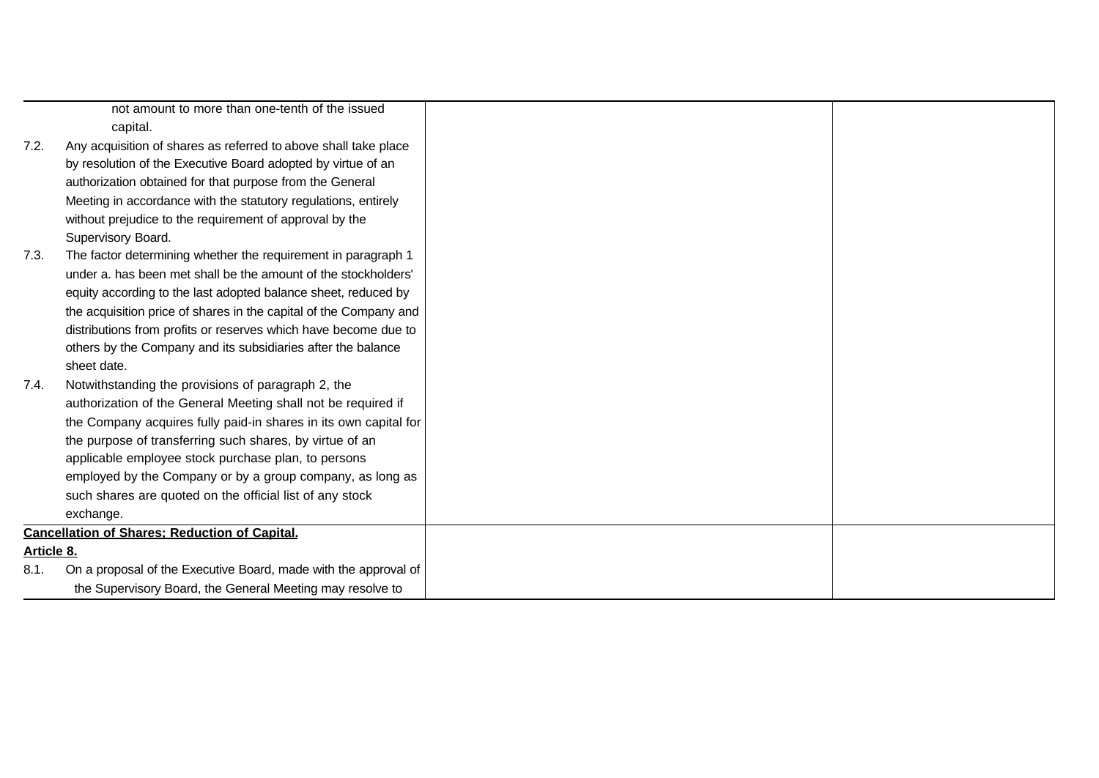| capital.                                                          |                                                                                                                                                                                              |  |
|-------------------------------------------------------------------|----------------------------------------------------------------------------------------------------------------------------------------------------------------------------------------------|--|
| Any acquisition of shares as referred to above shall take place   |                                                                                                                                                                                              |  |
|                                                                   |                                                                                                                                                                                              |  |
| authorization obtained for that purpose from the General          |                                                                                                                                                                                              |  |
| Meeting in accordance with the statutory regulations, entirely    |                                                                                                                                                                                              |  |
| without prejudice to the requirement of approval by the           |                                                                                                                                                                                              |  |
| Supervisory Board.                                                |                                                                                                                                                                                              |  |
| The factor determining whether the requirement in paragraph 1     |                                                                                                                                                                                              |  |
| under a. has been met shall be the amount of the stockholders'    |                                                                                                                                                                                              |  |
| equity according to the last adopted balance sheet, reduced by    |                                                                                                                                                                                              |  |
| the acquisition price of shares in the capital of the Company and |                                                                                                                                                                                              |  |
| distributions from profits or reserves which have become due to   |                                                                                                                                                                                              |  |
| others by the Company and its subsidiaries after the balance      |                                                                                                                                                                                              |  |
| sheet date.                                                       |                                                                                                                                                                                              |  |
| Notwithstanding the provisions of paragraph 2, the                |                                                                                                                                                                                              |  |
| authorization of the General Meeting shall not be required if     |                                                                                                                                                                                              |  |
| the Company acquires fully paid-in shares in its own capital for  |                                                                                                                                                                                              |  |
| the purpose of transferring such shares, by virtue of an          |                                                                                                                                                                                              |  |
| applicable employee stock purchase plan, to persons               |                                                                                                                                                                                              |  |
| employed by the Company or by a group company, as long as         |                                                                                                                                                                                              |  |
| such shares are quoted on the official list of any stock          |                                                                                                                                                                                              |  |
| exchange.                                                         |                                                                                                                                                                                              |  |
|                                                                   |                                                                                                                                                                                              |  |
|                                                                   |                                                                                                                                                                                              |  |
| On a proposal of the Executive Board, made with the approval of   |                                                                                                                                                                                              |  |
| the Supervisory Board, the General Meeting may resolve to         |                                                                                                                                                                                              |  |
|                                                                   | not amount to more than one-tenth of the issued<br>by resolution of the Executive Board adopted by virtue of an<br><b>Cancellation of Shares: Reduction of Capital.</b><br><b>Article 8.</b> |  |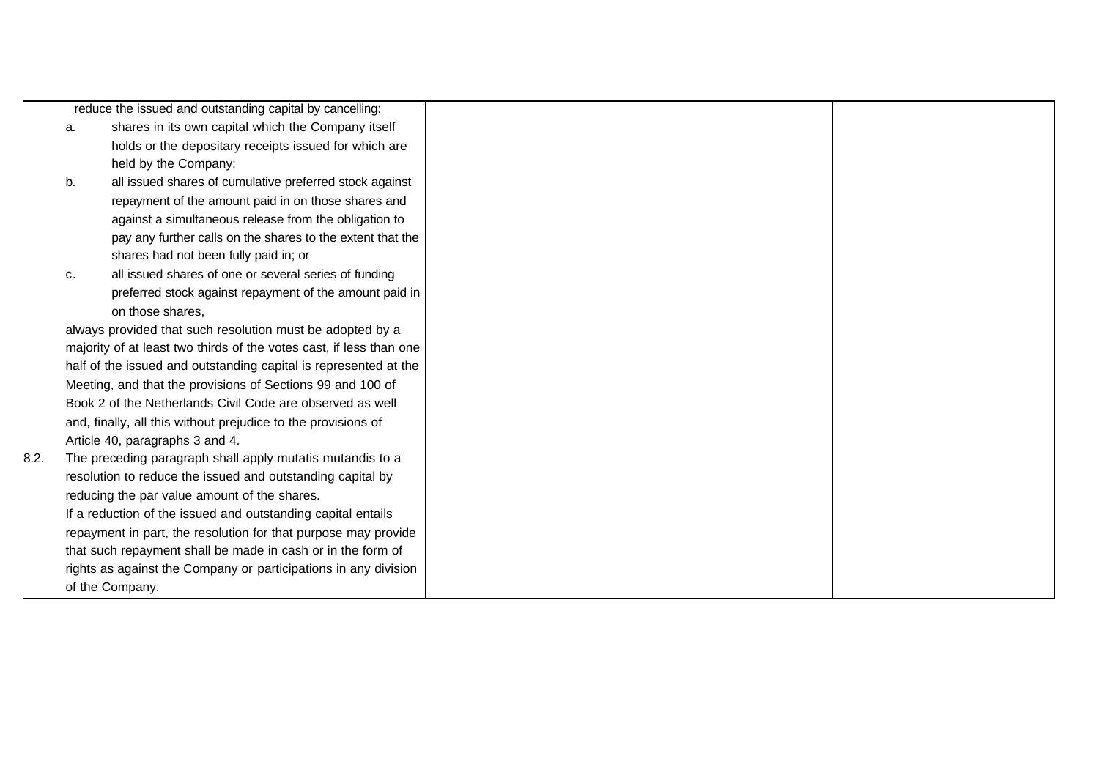|      |    | reduce the issued and outstanding capital by cancelling:            |  |
|------|----|---------------------------------------------------------------------|--|
|      | a. | shares in its own capital which the Company itself                  |  |
|      |    | holds or the depositary receipts issued for which are               |  |
|      |    | held by the Company;                                                |  |
|      | b. | all issued shares of cumulative preferred stock against             |  |
|      |    | repayment of the amount paid in on those shares and                 |  |
|      |    | against a simultaneous release from the obligation to               |  |
|      |    | pay any further calls on the shares to the extent that the          |  |
|      |    | shares had not been fully paid in; or                               |  |
|      | c. | all issued shares of one or several series of funding               |  |
|      |    | preferred stock against repayment of the amount paid in             |  |
|      |    | on those shares.                                                    |  |
|      |    | always provided that such resolution must be adopted by a           |  |
|      |    | majority of at least two thirds of the votes cast, if less than one |  |
|      |    | half of the issued and outstanding capital is represented at the    |  |
|      |    | Meeting, and that the provisions of Sections 99 and 100 of          |  |
|      |    | Book 2 of the Netherlands Civil Code are observed as well           |  |
|      |    | and, finally, all this without prejudice to the provisions of       |  |
|      |    | Article 40, paragraphs 3 and 4.                                     |  |
| 8.2. |    | The preceding paragraph shall apply mutatis mutandis to a           |  |
|      |    | resolution to reduce the issued and outstanding capital by          |  |
|      |    | reducing the par value amount of the shares.                        |  |
|      |    | If a reduction of the issued and outstanding capital entails        |  |
|      |    | repayment in part, the resolution for that purpose may provide      |  |
|      |    | that such repayment shall be made in cash or in the form of         |  |
|      |    | rights as against the Company or participations in any division     |  |
|      |    | of the Company.                                                     |  |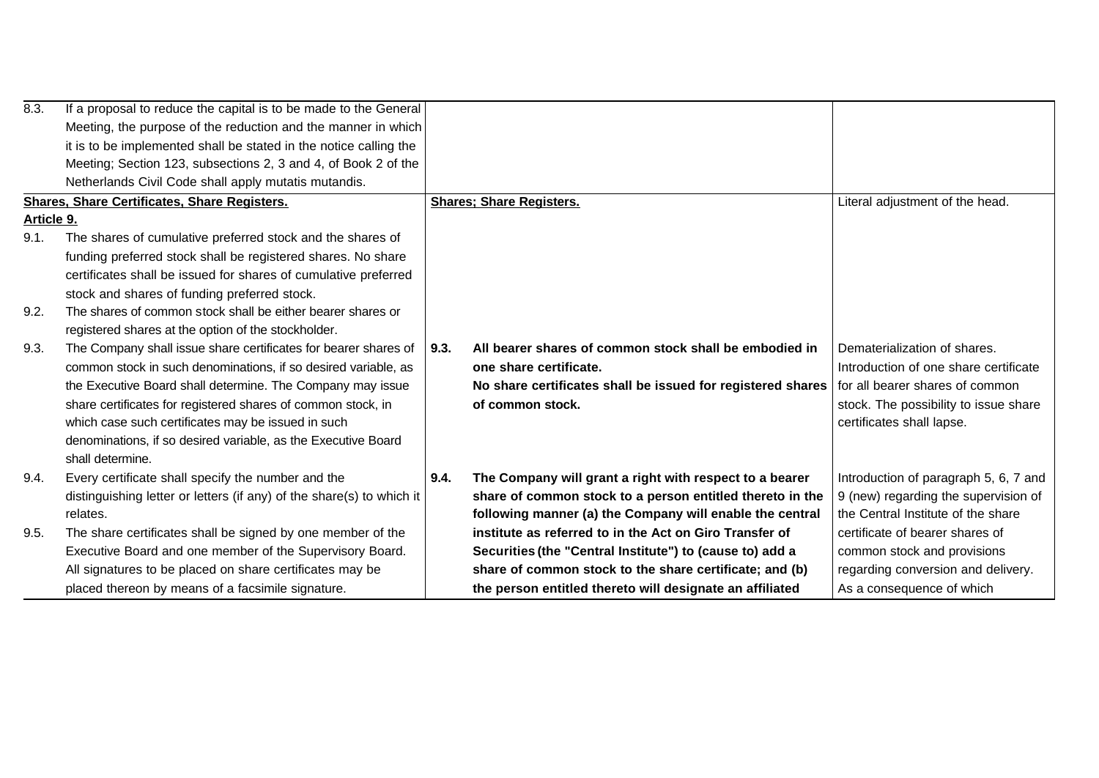| 8.3.       | If a proposal to reduce the capital is to be made to the General      |      |                                                             |                                       |
|------------|-----------------------------------------------------------------------|------|-------------------------------------------------------------|---------------------------------------|
|            | Meeting, the purpose of the reduction and the manner in which         |      |                                                             |                                       |
|            | it is to be implemented shall be stated in the notice calling the     |      |                                                             |                                       |
|            | Meeting; Section 123, subsections 2, 3 and 4, of Book 2 of the        |      |                                                             |                                       |
|            | Netherlands Civil Code shall apply mutatis mutandis.                  |      |                                                             |                                       |
|            | <b>Shares, Share Certificates, Share Registers.</b>                   |      | <b>Shares: Share Registers.</b>                             | Literal adjustment of the head.       |
| Article 9. |                                                                       |      |                                                             |                                       |
| 9.1.       | The shares of cumulative preferred stock and the shares of            |      |                                                             |                                       |
|            | funding preferred stock shall be registered shares. No share          |      |                                                             |                                       |
|            | certificates shall be issued for shares of cumulative preferred       |      |                                                             |                                       |
|            | stock and shares of funding preferred stock.                          |      |                                                             |                                       |
| 9.2.       | The shares of common stock shall be either bearer shares or           |      |                                                             |                                       |
|            | registered shares at the option of the stockholder.                   |      |                                                             |                                       |
| 9.3.       | The Company shall issue share certificates for bearer shares of       | 9.3. | All bearer shares of common stock shall be embodied in      | Dematerialization of shares.          |
|            | common stock in such denominations, if so desired variable, as        |      | one share certificate.                                      | Introduction of one share certificate |
|            | the Executive Board shall determine. The Company may issue            |      | No share certificates shall be issued for registered shares | for all bearer shares of common       |
|            | share certificates for registered shares of common stock, in          |      | of common stock.                                            | stock. The possibility to issue share |
|            | which case such certificates may be issued in such                    |      |                                                             | certificates shall lapse.             |
|            | denominations, if so desired variable, as the Executive Board         |      |                                                             |                                       |
|            | shall determine.                                                      |      |                                                             |                                       |
| 9.4.       | Every certificate shall specify the number and the                    | 9.4. | The Company will grant a right with respect to a bearer     | Introduction of paragraph 5, 6, 7 and |
|            | distinguishing letter or letters (if any) of the share(s) to which it |      | share of common stock to a person entitled thereto in the   | 9 (new) regarding the supervision of  |
|            | relates.                                                              |      | following manner (a) the Company will enable the central    | the Central Institute of the share    |
| 9.5.       | The share certificates shall be signed by one member of the           |      | institute as referred to in the Act on Giro Transfer of     | certificate of bearer shares of       |
|            | Executive Board and one member of the Supervisory Board.              |      | Securities (the "Central Institute") to (cause to) add a    | common stock and provisions           |
|            | All signatures to be placed on share certificates may be              |      | share of common stock to the share certificate; and (b)     | regarding conversion and delivery.    |
|            | placed thereon by means of a facsimile signature.                     |      | the person entitled thereto will designate an affiliated    | As a consequence of which             |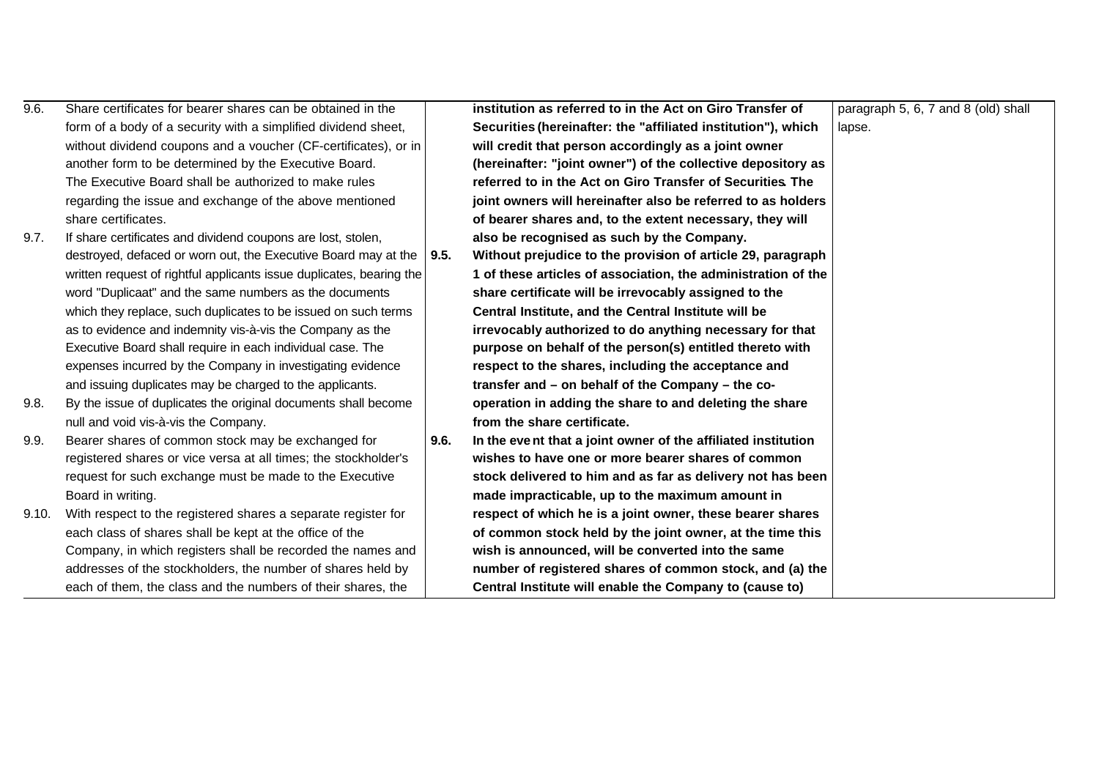| 9.6.  | Share certificates for bearer shares can be obtained in the          |      | institution as referred to in the Act on Giro Transfer of     | paragraph 5, 6, 7 and 8 (old) shall |
|-------|----------------------------------------------------------------------|------|---------------------------------------------------------------|-------------------------------------|
|       | form of a body of a security with a simplified dividend sheet,       |      | Securities (hereinafter: the "affiliated institution"), which | lapse.                              |
|       | without dividend coupons and a voucher (CF-certificates), or in      |      | will credit that person accordingly as a joint owner          |                                     |
|       | another form to be determined by the Executive Board.                |      | (hereinafter: "joint owner") of the collective depository as  |                                     |
|       | The Executive Board shall be authorized to make rules                |      | referred to in the Act on Giro Transfer of Securities. The    |                                     |
|       | regarding the issue and exchange of the above mentioned              |      | joint owners will hereinafter also be referred to as holders  |                                     |
|       | share certificates.                                                  |      | of bearer shares and, to the extent necessary, they will      |                                     |
| 9.7.  | If share certificates and dividend coupons are lost, stolen,         |      | also be recognised as such by the Company.                    |                                     |
|       | destroyed, defaced or worn out, the Executive Board may at the       | 9.5. | Without prejudice to the provision of article 29, paragraph   |                                     |
|       | written request of rightful applicants issue duplicates, bearing the |      | 1 of these articles of association, the administration of the |                                     |
|       | word "Duplicaat" and the same numbers as the documents               |      | share certificate will be irrevocably assigned to the         |                                     |
|       | which they replace, such duplicates to be issued on such terms       |      | Central Institute, and the Central Institute will be          |                                     |
|       | as to evidence and indemnity vis-à-vis the Company as the            |      | irrevocably authorized to do anything necessary for that      |                                     |
|       | Executive Board shall require in each individual case. The           |      | purpose on behalf of the person(s) entitled thereto with      |                                     |
|       | expenses incurred by the Company in investigating evidence           |      | respect to the shares, including the acceptance and           |                                     |
|       | and issuing duplicates may be charged to the applicants.             |      | transfer and - on behalf of the Company - the co-             |                                     |
| 9.8.  | By the issue of duplicates the original documents shall become       |      | operation in adding the share to and deleting the share       |                                     |
|       | null and void vis-à-vis the Company.                                 |      | from the share certificate.                                   |                                     |
| 9.9.  | Bearer shares of common stock may be exchanged for                   | 9.6. | In the event that a joint owner of the affiliated institution |                                     |
|       | registered shares or vice versa at all times; the stockholder's      |      | wishes to have one or more bearer shares of common            |                                     |
|       | request for such exchange must be made to the Executive              |      | stock delivered to him and as far as delivery not has been    |                                     |
|       | Board in writing.                                                    |      | made impracticable, up to the maximum amount in               |                                     |
| 9.10. | With respect to the registered shares a separate register for        |      | respect of which he is a joint owner, these bearer shares     |                                     |
|       | each class of shares shall be kept at the office of the              |      | of common stock held by the joint owner, at the time this     |                                     |
|       | Company, in which registers shall be recorded the names and          |      | wish is announced, will be converted into the same            |                                     |
|       | addresses of the stockholders, the number of shares held by          |      | number of registered shares of common stock, and (a) the      |                                     |
|       | each of them, the class and the numbers of their shares, the         |      | Central Institute will enable the Company to (cause to)       |                                     |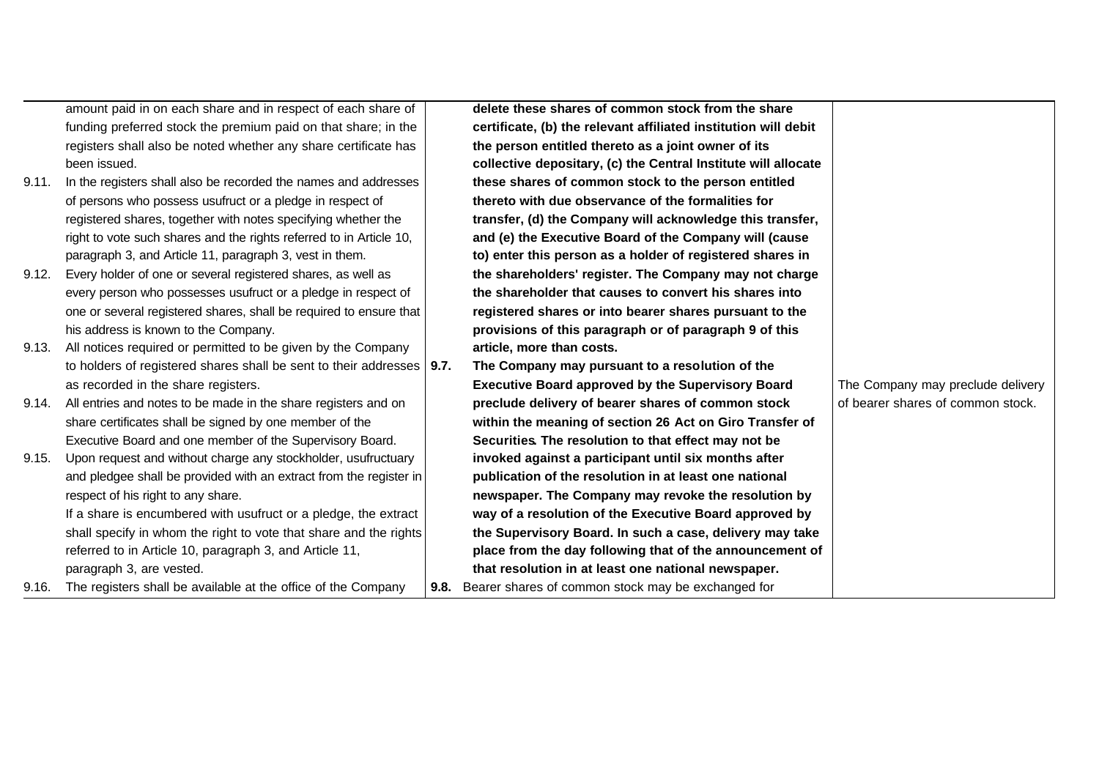|       | amount paid in on each share and in respect of each share of            | delete these shares of common stock from the share              |                                   |
|-------|-------------------------------------------------------------------------|-----------------------------------------------------------------|-----------------------------------|
|       | funding preferred stock the premium paid on that share; in the          | certificate, (b) the relevant affiliated institution will debit |                                   |
|       | registers shall also be noted whether any share certificate has         | the person entitled thereto as a joint owner of its             |                                   |
|       | been issued.                                                            | collective depositary, (c) the Central Institute will allocate  |                                   |
| 9.11. | In the registers shall also be recorded the names and addresses         | these shares of common stock to the person entitled             |                                   |
|       | of persons who possess usufruct or a pledge in respect of               | thereto with due observance of the formalities for              |                                   |
|       | registered shares, together with notes specifying whether the           | transfer, (d) the Company will acknowledge this transfer,       |                                   |
|       | right to vote such shares and the rights referred to in Article 10,     | and (e) the Executive Board of the Company will (cause          |                                   |
|       | paragraph 3, and Article 11, paragraph 3, vest in them.                 | to) enter this person as a holder of registered shares in       |                                   |
| 9.12. | Every holder of one or several registered shares, as well as            | the shareholders' register. The Company may not charge          |                                   |
|       | every person who possesses usufruct or a pledge in respect of           | the shareholder that causes to convert his shares into          |                                   |
|       | one or several registered shares, shall be required to ensure that      | registered shares or into bearer shares pursuant to the         |                                   |
|       | his address is known to the Company.                                    | provisions of this paragraph or of paragraph 9 of this          |                                   |
| 9.13. | All notices required or permitted to be given by the Company            | article, more than costs.                                       |                                   |
|       | to holders of registered shares shall be sent to their addresses   9.7. | The Company may pursuant to a resolution of the                 |                                   |
|       | as recorded in the share registers.                                     | <b>Executive Board approved by the Supervisory Board</b>        | The Company may preclude delivery |
| 9.14. | All entries and notes to be made in the share registers and on          | preclude delivery of bearer shares of common stock              | of bearer shares of common stock. |
|       | share certificates shall be signed by one member of the                 | within the meaning of section 26 Act on Giro Transfer of        |                                   |
|       | Executive Board and one member of the Supervisory Board.                | Securities. The resolution to that effect may not be            |                                   |
| 9.15. | Upon request and without charge any stockholder, usufructuary           | invoked against a participant until six months after            |                                   |
|       | and pledgee shall be provided with an extract from the register in      | publication of the resolution in at least one national          |                                   |
|       | respect of his right to any share.                                      | newspaper. The Company may revoke the resolution by             |                                   |
|       | If a share is encumbered with usufruct or a pledge, the extract         | way of a resolution of the Executive Board approved by          |                                   |
|       | shall specify in whom the right to vote that share and the rights       | the Supervisory Board. In such a case, delivery may take        |                                   |
|       | referred to in Article 10, paragraph 3, and Article 11,                 | place from the day following that of the announcement of        |                                   |
|       | paragraph 3, are vested.                                                | that resolution in at least one national newspaper.             |                                   |
| 9.16. | The registers shall be available at the office of the Company           | 9.8. Bearer shares of common stock may be exchanged for         |                                   |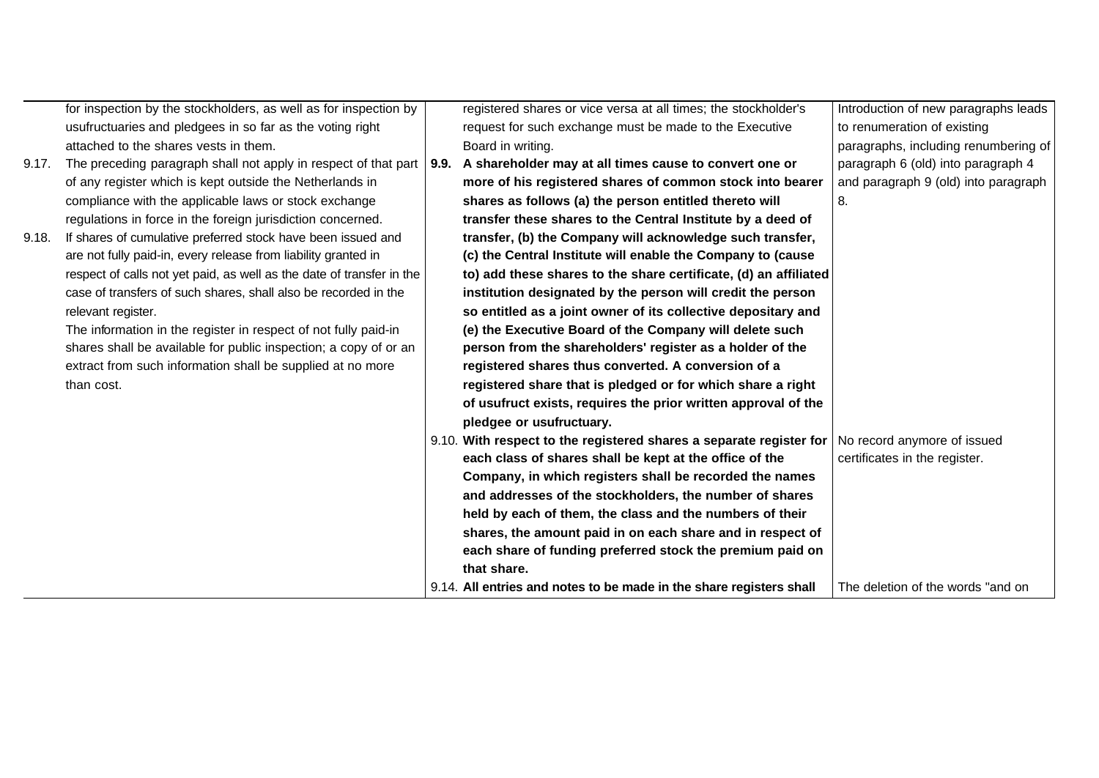|       | for inspection by the stockholders, as well as for inspection by       | registered shares or vice versa at all times; the stockholder's     | Introduction of new paragraphs leads |
|-------|------------------------------------------------------------------------|---------------------------------------------------------------------|--------------------------------------|
|       | usufructuaries and pledgees in so far as the voting right              | request for such exchange must be made to the Executive             | to renumeration of existing          |
|       | attached to the shares vests in them.                                  | Board in writing.                                                   | paragraphs, including renumbering of |
| 9.17. | The preceding paragraph shall not apply in respect of that part   9.9. | A shareholder may at all times cause to convert one or              | paragraph 6 (old) into paragraph 4   |
|       | of any register which is kept outside the Netherlands in               | more of his registered shares of common stock into bearer           | and paragraph 9 (old) into paragraph |
|       | compliance with the applicable laws or stock exchange                  | shares as follows (a) the person entitled thereto will              | 8.                                   |
|       | regulations in force in the foreign jurisdiction concerned.            | transfer these shares to the Central Institute by a deed of         |                                      |
| 9.18. | If shares of cumulative preferred stock have been issued and           | transfer, (b) the Company will acknowledge such transfer,           |                                      |
|       | are not fully paid-in, every release from liability granted in         | (c) the Central Institute will enable the Company to (cause         |                                      |
|       | respect of calls not yet paid, as well as the date of transfer in the  | to) add these shares to the share certificate, (d) an affiliated    |                                      |
|       | case of transfers of such shares, shall also be recorded in the        | institution designated by the person will credit the person         |                                      |
|       | relevant register.                                                     | so entitled as a joint owner of its collective depositary and       |                                      |
|       | The information in the register in respect of not fully paid-in        | (e) the Executive Board of the Company will delete such             |                                      |
|       | shares shall be available for public inspection; a copy of or an       | person from the shareholders' register as a holder of the           |                                      |
|       | extract from such information shall be supplied at no more             | registered shares thus converted. A conversion of a                 |                                      |
|       | than cost.                                                             | registered share that is pledged or for which share a right         |                                      |
|       |                                                                        | of usufruct exists, requires the prior written approval of the      |                                      |
|       |                                                                        | pledgee or usufructuary.                                            |                                      |
|       |                                                                        | 9.10. With respect to the registered shares a separate register for | No record anymore of issued          |
|       |                                                                        | each class of shares shall be kept at the office of the             | certificates in the register.        |
|       |                                                                        | Company, in which registers shall be recorded the names             |                                      |
|       |                                                                        | and addresses of the stockholders, the number of shares             |                                      |
|       |                                                                        | held by each of them, the class and the numbers of their            |                                      |
|       |                                                                        | shares, the amount paid in on each share and in respect of          |                                      |
|       |                                                                        | each share of funding preferred stock the premium paid on           |                                      |
|       |                                                                        | that share.                                                         |                                      |
|       |                                                                        | 9.14. All entries and notes to be made in the share registers shall | The deletion of the words "and on    |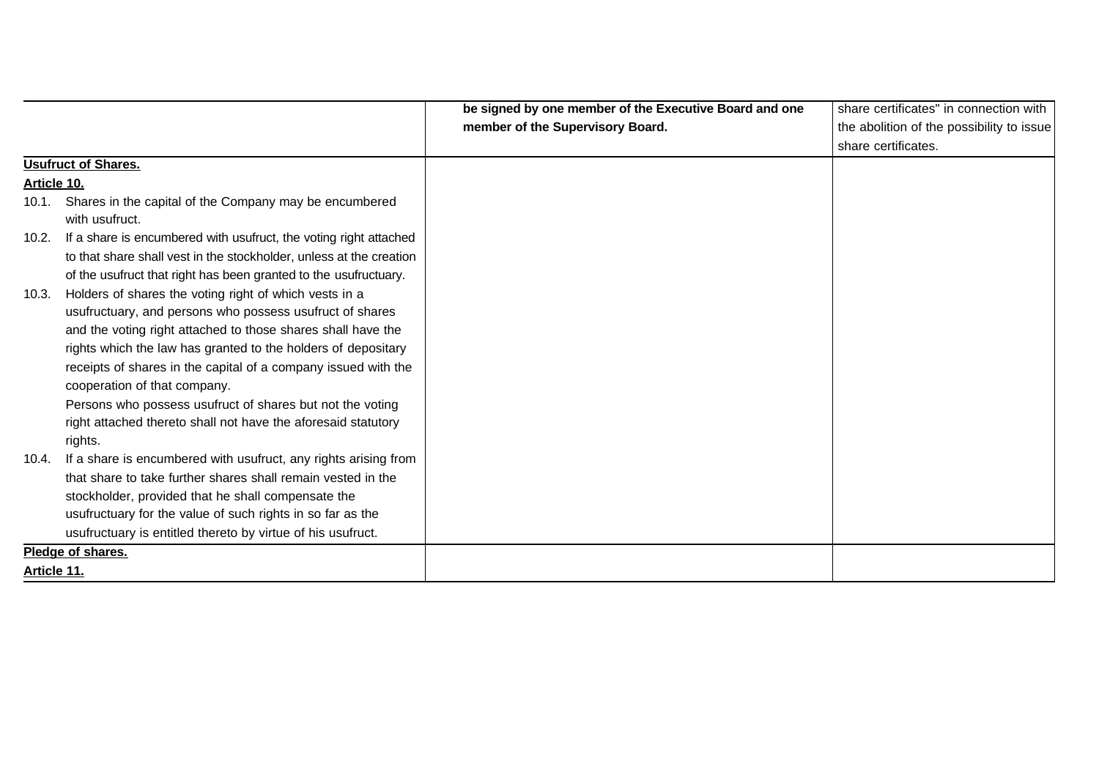|                    |                                                                     | be signed by one member of the Executive Board and one | share certificates" in connection with    |
|--------------------|---------------------------------------------------------------------|--------------------------------------------------------|-------------------------------------------|
|                    |                                                                     | member of the Supervisory Board.                       | the abolition of the possibility to issue |
|                    |                                                                     |                                                        | share certificates.                       |
|                    | Usufruct of Shares.                                                 |                                                        |                                           |
| <u>Article 10.</u> |                                                                     |                                                        |                                           |
|                    | 10.1. Shares in the capital of the Company may be encumbered        |                                                        |                                           |
|                    | with usufruct.                                                      |                                                        |                                           |
| 10.2.              | If a share is encumbered with usufruct, the voting right attached   |                                                        |                                           |
|                    | to that share shall vest in the stockholder, unless at the creation |                                                        |                                           |
|                    | of the usufruct that right has been granted to the usufructuary.    |                                                        |                                           |
| 10.3.              | Holders of shares the voting right of which vests in a              |                                                        |                                           |
|                    | usufructuary, and persons who possess usufruct of shares            |                                                        |                                           |
|                    | and the voting right attached to those shares shall have the        |                                                        |                                           |
|                    | rights which the law has granted to the holders of depositary       |                                                        |                                           |
|                    | receipts of shares in the capital of a company issued with the      |                                                        |                                           |
|                    | cooperation of that company.                                        |                                                        |                                           |
|                    | Persons who possess usufruct of shares but not the voting           |                                                        |                                           |
|                    | right attached thereto shall not have the aforesaid statutory       |                                                        |                                           |
|                    | rights.                                                             |                                                        |                                           |
| 10.4.              | If a share is encumbered with usufruct, any rights arising from     |                                                        |                                           |
|                    | that share to take further shares shall remain vested in the        |                                                        |                                           |
|                    | stockholder, provided that he shall compensate the                  |                                                        |                                           |
|                    | usufructuary for the value of such rights in so far as the          |                                                        |                                           |
|                    | usufructuary is entitled thereto by virtue of his usufruct.         |                                                        |                                           |
|                    | Pledge of shares.                                                   |                                                        |                                           |
| Article 11.        |                                                                     |                                                        |                                           |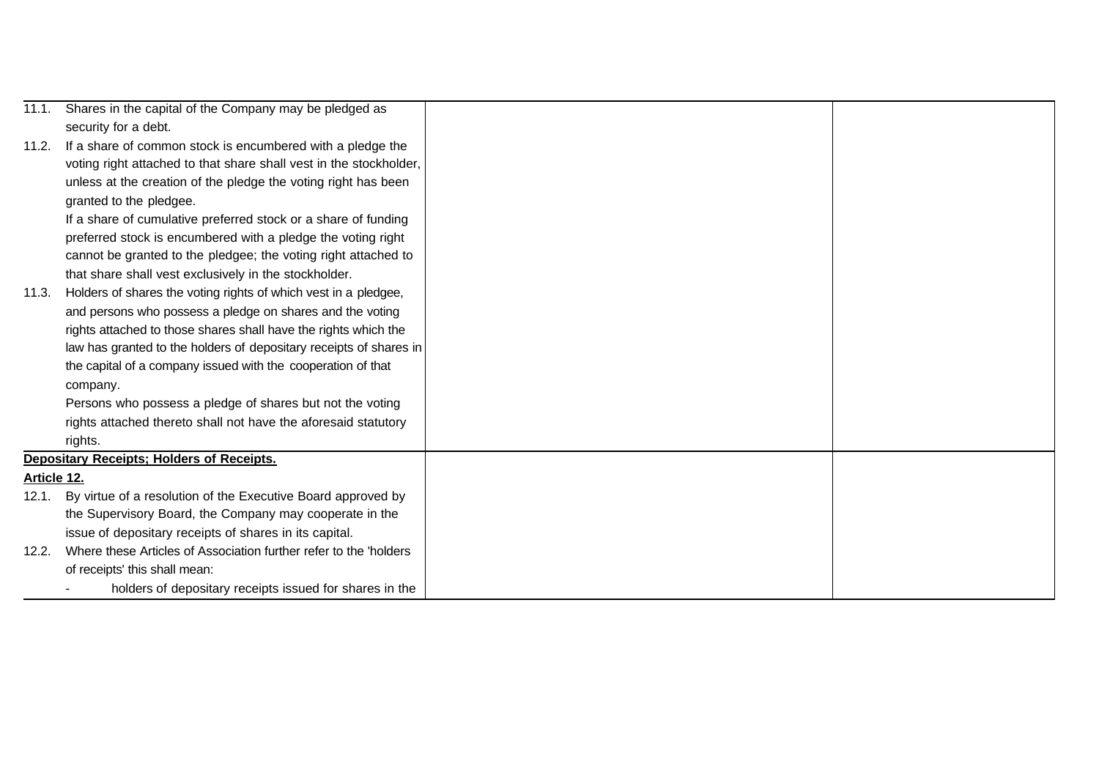| 11.1.       | Shares in the capital of the Company may be pledged as             |  |
|-------------|--------------------------------------------------------------------|--|
|             | security for a debt.                                               |  |
| 11.2.       | If a share of common stock is encumbered with a pledge the         |  |
|             | voting right attached to that share shall vest in the stockholder, |  |
|             | unless at the creation of the pledge the voting right has been     |  |
|             | granted to the pledgee.                                            |  |
|             | If a share of cumulative preferred stock or a share of funding     |  |
|             | preferred stock is encumbered with a pledge the voting right       |  |
|             | cannot be granted to the pledgee; the voting right attached to     |  |
|             | that share shall vest exclusively in the stockholder.              |  |
| 11.3.       | Holders of shares the voting rights of which vest in a pledgee,    |  |
|             | and persons who possess a pledge on shares and the voting          |  |
|             | rights attached to those shares shall have the rights which the    |  |
|             | law has granted to the holders of depositary receipts of shares in |  |
|             | the capital of a company issued with the cooperation of that       |  |
|             | company.                                                           |  |
|             | Persons who possess a pledge of shares but not the voting          |  |
|             | rights attached thereto shall not have the aforesaid statutory     |  |
|             | rights.                                                            |  |
|             | <b>Depositary Receipts: Holders of Receipts.</b>                   |  |
| Article 12. |                                                                    |  |
| 12.1.       | By virtue of a resolution of the Executive Board approved by       |  |
|             | the Supervisory Board, the Company may cooperate in the            |  |
|             | issue of depositary receipts of shares in its capital.             |  |
| 12.2.       | Where these Articles of Association further refer to the 'holders  |  |
|             | of receipts' this shall mean:                                      |  |
|             | holders of depositary receipts issued for shares in the            |  |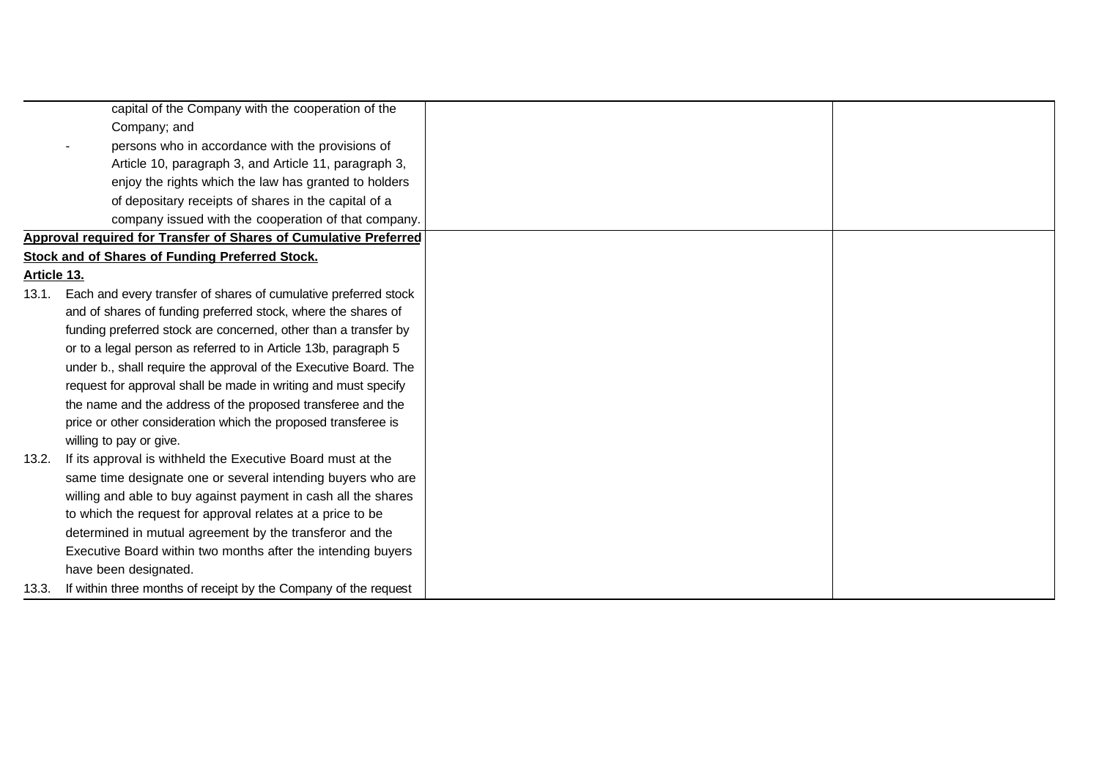| capital of the Company with the cooperation of the                       |  |
|--------------------------------------------------------------------------|--|
| Company; and                                                             |  |
| persons who in accordance with the provisions of                         |  |
| Article 10, paragraph 3, and Article 11, paragraph 3,                    |  |
| enjoy the rights which the law has granted to holders                    |  |
| of depositary receipts of shares in the capital of a                     |  |
| company issued with the cooperation of that company.                     |  |
| <b>Approval required for Transfer of Shares of Cumulative Preferred</b>  |  |
| <b>Stock and of Shares of Funding Preferred Stock.</b>                   |  |
| Article 13.                                                              |  |
| 13.1.<br>Each and every transfer of shares of cumulative preferred stock |  |
| and of shares of funding preferred stock, where the shares of            |  |
| funding preferred stock are concerned, other than a transfer by          |  |
| or to a legal person as referred to in Article 13b, paragraph 5          |  |
| under b., shall require the approval of the Executive Board. The         |  |
| request for approval shall be made in writing and must specify           |  |
| the name and the address of the proposed transferee and the              |  |
| price or other consideration which the proposed transferee is            |  |
| willing to pay or give.                                                  |  |
| If its approval is withheld the Executive Board must at the<br>13.2.     |  |
| same time designate one or several intending buyers who are              |  |
| willing and able to buy against payment in cash all the shares           |  |
| to which the request for approval relates at a price to be               |  |
| determined in mutual agreement by the transferor and the                 |  |
| Executive Board within two months after the intending buyers             |  |
| have been designated.                                                    |  |
| If within three months of receipt by the Company of the request<br>13.3. |  |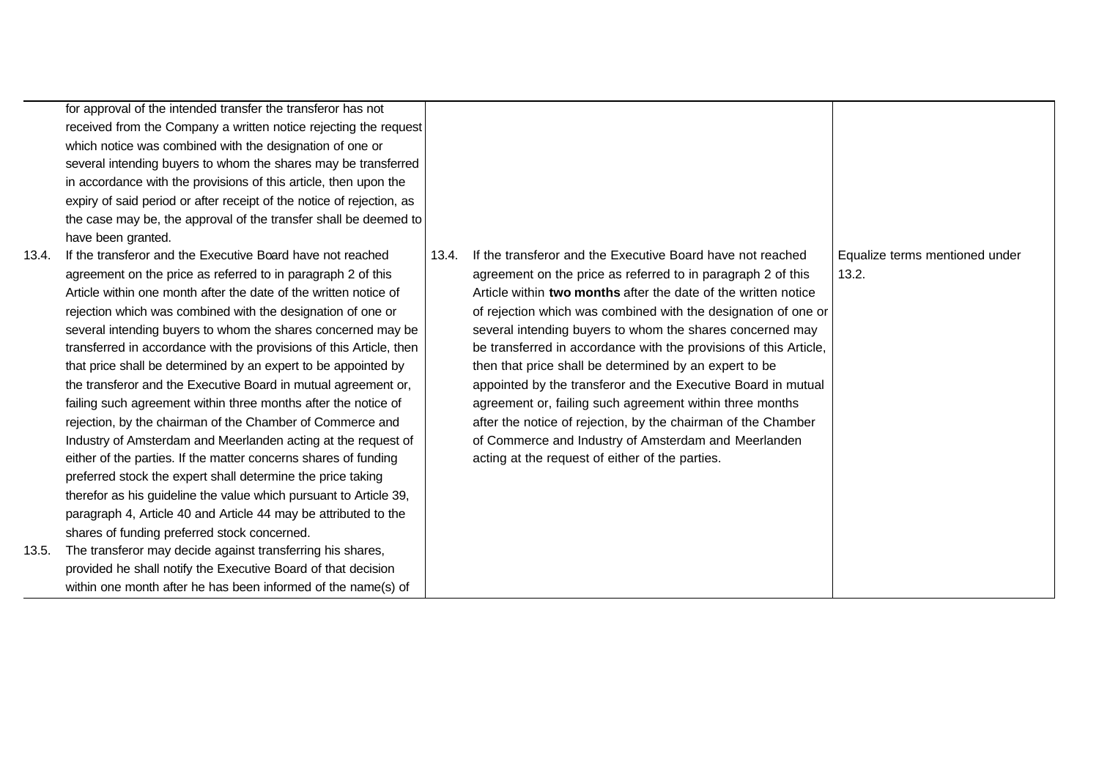for approval of the intended transfer the transferor has not received from the Company a written notice rejecting the request which notice was combined with the designation of one or several intending buyers to whom the shares may be transferred in accordance with the provisions of this article, then upon the expiry of said period or after receipt of the notice of rejection, as the case may be, the approval of the transfer shall be deemed to have been granted.

- 13.4. If the transferor and the Executive Board have not reached agreement on the price as referred to in paragraph 2 of this Article within one month after the date of the written notice of rejection which was combined with the designation of one or several intending buyers to whom the shares concerned may be transferred in accordance with the provisions of this Article, then that price shall be determined by an expert to be appointed by the transferor and the Executive Board in mutual agreement or, failing such agreement within three months after the notice of rejection, by the chairman of the Chamber of Commerce and Industry of Amsterdam and Meerlanden acting at the request of either of the parties. If the matter concerns shares of funding preferred stock the expert shall determine the price taking therefor as his guideline the value which pursuant to Article 39, paragraph 4, Article 40 and Article 44 may be attributed to the shares of funding preferred stock concerned.
- 13.5. The transferor may decide against transferring his shares, provided he shall notify the Executive Board of that decision within one month after he has been informed of the name(s) of

| If the transferor and the Executive Board have not reached<br>13.4.<br>agreement on the price as referred to in paragraph 2 of this<br>Article within two months after the date of the written notice<br>of rejection which was combined with the designation of one or<br>several intending buyers to whom the shares concerned may<br>be transferred in accordance with the provisions of this Article,<br>then that price shall be determined by an expert to be<br>appointed by the transferor and the Executive Board in mutual<br>agreement or, failing such agreement within three months<br>after the notice of rejection, by the chairman of the Chamber<br>of Commerce and Industry of Amsterdam and Meerlanden<br>acting at the request of either of the parties. | Equalize terms mentioned under<br>13.2. |
|------------------------------------------------------------------------------------------------------------------------------------------------------------------------------------------------------------------------------------------------------------------------------------------------------------------------------------------------------------------------------------------------------------------------------------------------------------------------------------------------------------------------------------------------------------------------------------------------------------------------------------------------------------------------------------------------------------------------------------------------------------------------------|-----------------------------------------|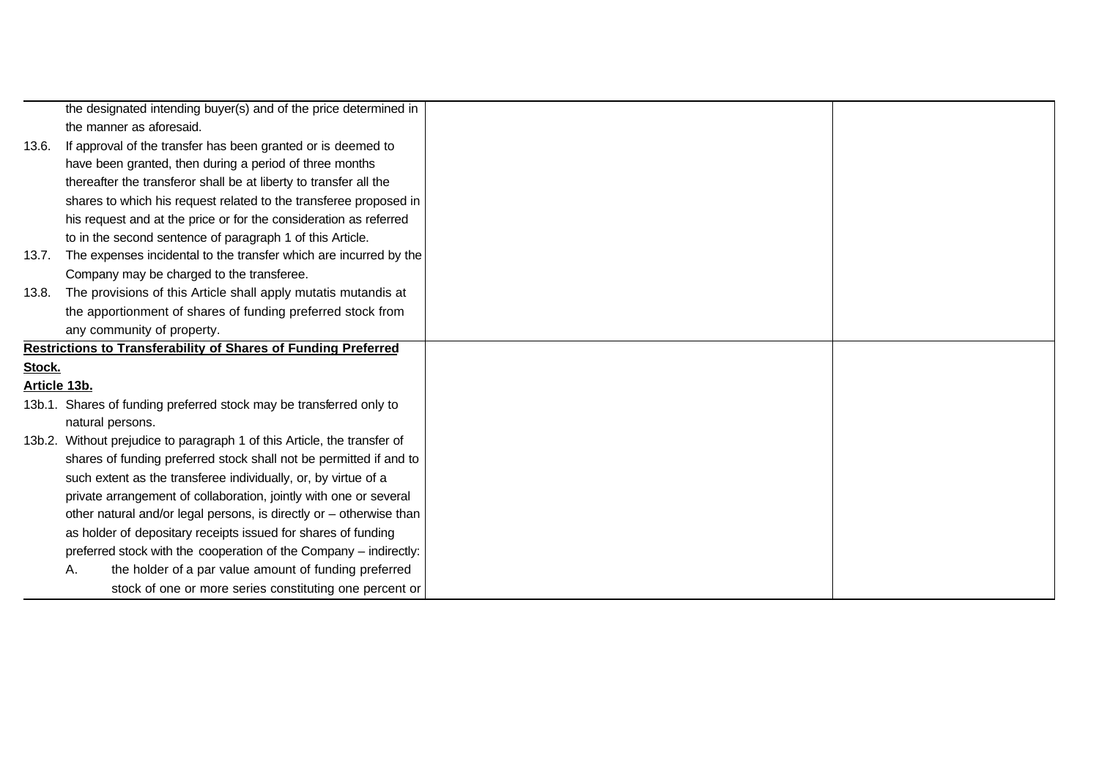|              | the designated intending buyer(s) and of the price determined in         |
|--------------|--------------------------------------------------------------------------|
|              | the manner as aforesaid.                                                 |
| 13.6.        | If approval of the transfer has been granted or is deemed to             |
|              | have been granted, then during a period of three months                  |
|              | thereafter the transferor shall be at liberty to transfer all the        |
|              | shares to which his request related to the transferee proposed in        |
|              | his request and at the price or for the consideration as referred        |
|              | to in the second sentence of paragraph 1 of this Article.                |
| 13.7.        | The expenses incidental to the transfer which are incurred by the        |
|              | Company may be charged to the transferee.                                |
| 13.8.        | The provisions of this Article shall apply mutatis mutandis at           |
|              | the apportionment of shares of funding preferred stock from              |
|              | any community of property.                                               |
|              | <b>Restrictions to Transferability of Shares of Funding Preferred</b>    |
| Stock.       |                                                                          |
| Article 13b. |                                                                          |
|              | 13b.1. Shares of funding preferred stock may be transferred only to      |
|              | natural persons.                                                         |
|              | 13b.2. Without prejudice to paragraph 1 of this Article, the transfer of |
|              | shares of funding preferred stock shall not be permitted if and to       |
|              | such extent as the transferee individually, or, by virtue of a           |
|              | private arrangement of collaboration, jointly with one or several        |
|              | other natural and/or legal persons, is directly or - otherwise than      |
|              | as holder of depositary receipts issued for shares of funding            |
|              | preferred stock with the cooperation of the Company - indirectly:        |
|              | the holder of a par value amount of funding preferred<br>А.              |
|              | stock of one or more series constituting one percent or                  |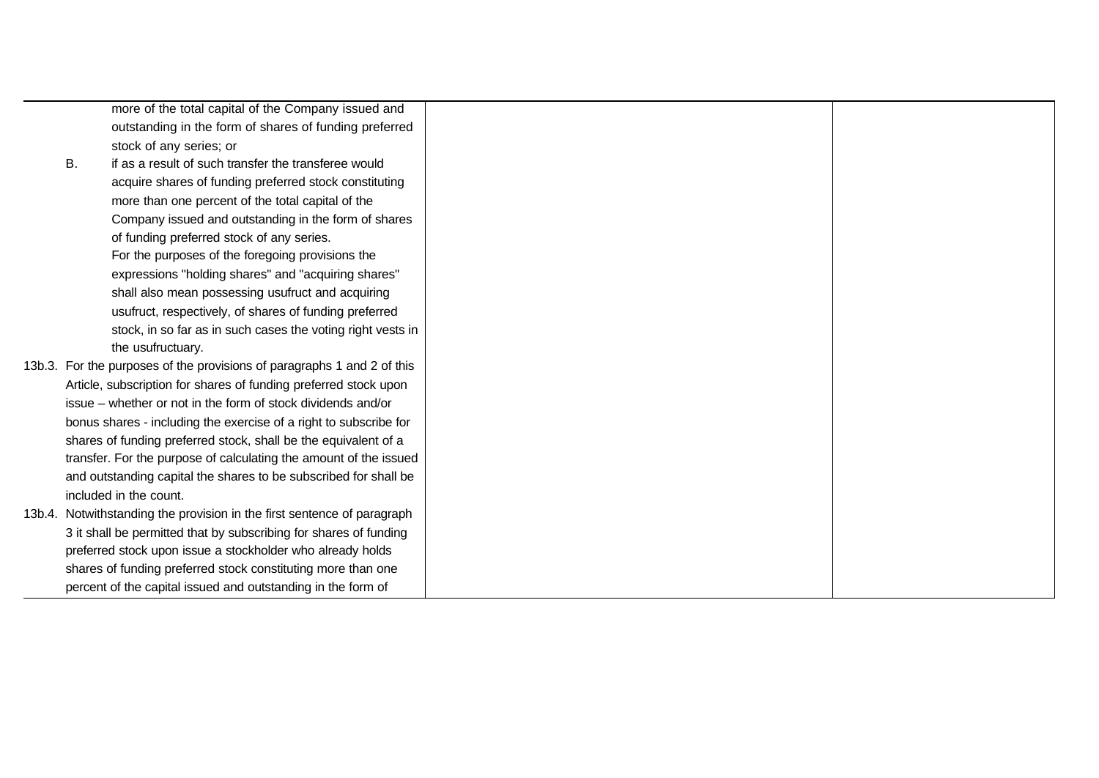|    | more of the total capital of the Company issued and                     |
|----|-------------------------------------------------------------------------|
|    | outstanding in the form of shares of funding preferred                  |
|    | stock of any series; or                                                 |
| В. | if as a result of such transfer the transferee would                    |
|    | acquire shares of funding preferred stock constituting                  |
|    | more than one percent of the total capital of the                       |
|    | Company issued and outstanding in the form of shares                    |
|    | of funding preferred stock of any series.                               |
|    | For the purposes of the foregoing provisions the                        |
|    | expressions "holding shares" and "acquiring shares"                     |
|    | shall also mean possessing usufruct and acquiring                       |
|    | usufruct, respectively, of shares of funding preferred                  |
|    | stock, in so far as in such cases the voting right vests in             |
|    | the usufructuary.                                                       |
|    | 13b.3. For the purposes of the provisions of paragraphs 1 and 2 of this |
|    | Article, subscription for shares of funding preferred stock upon        |
|    | issue – whether or not in the form of stock dividends and/or            |
|    | bonus shares - including the exercise of a right to subscribe for       |
|    | shares of funding preferred stock, shall be the equivalent of a         |
|    | transfer. For the purpose of calculating the amount of the issued       |
|    | and outstanding capital the shares to be subscribed for shall be        |
|    | included in the count.                                                  |
|    | 13b.4. Notwithstanding the provision in the first sentence of paragraph |
|    | 3 it shall be permitted that by subscribing for shares of funding       |
|    | preferred stock upon issue a stockholder who already holds              |
|    | shares of funding preferred stock constituting more than one            |
|    | percent of the capital issued and outstanding in the form of            |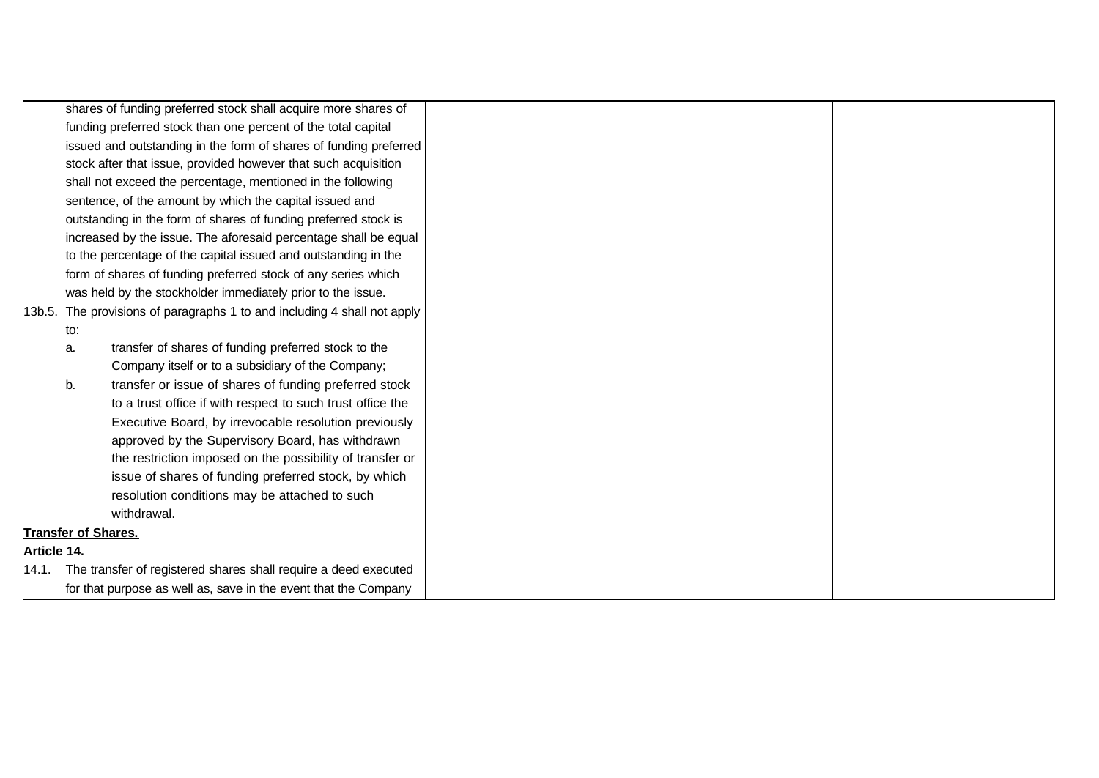|             |     | shares of funding preferred stock shall acquire more shares of           |  |
|-------------|-----|--------------------------------------------------------------------------|--|
|             |     | funding preferred stock than one percent of the total capital            |  |
|             |     | issued and outstanding in the form of shares of funding preferred        |  |
|             |     | stock after that issue, provided however that such acquisition           |  |
|             |     | shall not exceed the percentage, mentioned in the following              |  |
|             |     | sentence, of the amount by which the capital issued and                  |  |
|             |     | outstanding in the form of shares of funding preferred stock is          |  |
|             |     | increased by the issue. The aforesaid percentage shall be equal          |  |
|             |     | to the percentage of the capital issued and outstanding in the           |  |
|             |     | form of shares of funding preferred stock of any series which            |  |
|             |     | was held by the stockholder immediately prior to the issue.              |  |
|             |     | 13b.5. The provisions of paragraphs 1 to and including 4 shall not apply |  |
|             | to: |                                                                          |  |
|             | a.  | transfer of shares of funding preferred stock to the                     |  |
|             |     | Company itself or to a subsidiary of the Company;                        |  |
|             | b.  | transfer or issue of shares of funding preferred stock                   |  |
|             |     | to a trust office if with respect to such trust office the               |  |
|             |     | Executive Board, by irrevocable resolution previously                    |  |
|             |     | approved by the Supervisory Board, has withdrawn                         |  |
|             |     | the restriction imposed on the possibility of transfer or                |  |
|             |     | issue of shares of funding preferred stock, by which                     |  |
|             |     | resolution conditions may be attached to such                            |  |
|             |     | withdrawal.                                                              |  |
|             |     | <b>Transfer of Shares.</b>                                               |  |
| Article 14. |     |                                                                          |  |
|             |     | 14.1. The transfer of registered shares shall require a deed executed    |  |
|             |     | for that purpose as well as, save in the event that the Company          |  |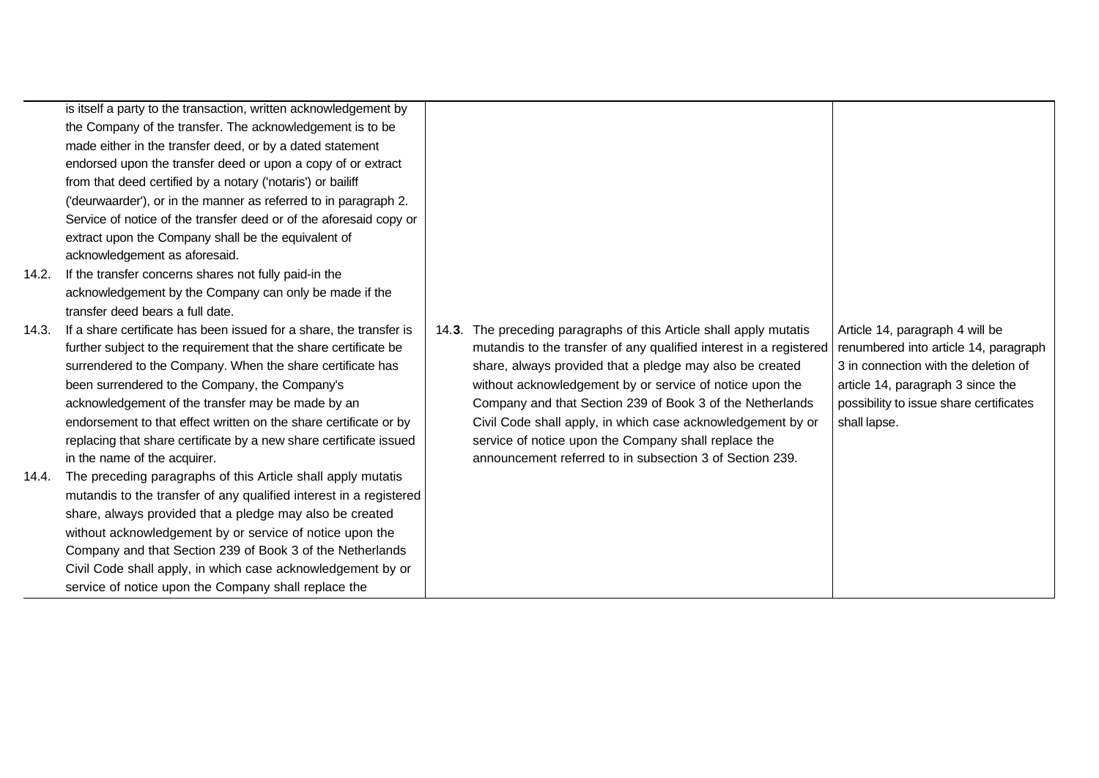|       | is itself a party to the transaction, written acknowledgement by    |       |                                                                    |                                         |
|-------|---------------------------------------------------------------------|-------|--------------------------------------------------------------------|-----------------------------------------|
|       | the Company of the transfer. The acknowledgement is to be           |       |                                                                    |                                         |
|       | made either in the transfer deed, or by a dated statement           |       |                                                                    |                                         |
|       | endorsed upon the transfer deed or upon a copy of or extract        |       |                                                                    |                                         |
|       | from that deed certified by a notary ('notaris') or bailiff         |       |                                                                    |                                         |
|       | ('deurwaarder'), or in the manner as referred to in paragraph 2.    |       |                                                                    |                                         |
|       | Service of notice of the transfer deed or of the aforesaid copy or  |       |                                                                    |                                         |
|       | extract upon the Company shall be the equivalent of                 |       |                                                                    |                                         |
|       | acknowledgement as aforesaid.                                       |       |                                                                    |                                         |
| 14.2. | If the transfer concerns shares not fully paid-in the               |       |                                                                    |                                         |
|       | acknowledgement by the Company can only be made if the              |       |                                                                    |                                         |
|       | transfer deed bears a full date.                                    |       |                                                                    |                                         |
| 14.3. | If a share certificate has been issued for a share, the transfer is | 14.3. | The preceding paragraphs of this Article shall apply mutatis       | Article 14, paragraph 4 will be         |
|       | further subject to the requirement that the share certificate be    |       | mutandis to the transfer of any qualified interest in a registered | renumbered into article 14, paragraph   |
|       | surrendered to the Company. When the share certificate has          |       | share, always provided that a pledge may also be created           | 3 in connection with the deletion of    |
|       | been surrendered to the Company, the Company's                      |       | without acknowledgement by or service of notice upon the           | article 14, paragraph 3 since the       |
|       | acknowledgement of the transfer may be made by an                   |       | Company and that Section 239 of Book 3 of the Netherlands          | possibility to issue share certificates |
|       | endorsement to that effect written on the share certificate or by   |       | Civil Code shall apply, in which case acknowledgement by or        | shall lapse.                            |
|       | replacing that share certificate by a new share certificate issued  |       | service of notice upon the Company shall replace the               |                                         |
|       | in the name of the acquirer.                                        |       | announcement referred to in subsection 3 of Section 239.           |                                         |
| 14.4. | The preceding paragraphs of this Article shall apply mutatis        |       |                                                                    |                                         |
|       | mutandis to the transfer of any qualified interest in a registered  |       |                                                                    |                                         |
|       | share, always provided that a pledge may also be created            |       |                                                                    |                                         |
|       | without acknowledgement by or service of notice upon the            |       |                                                                    |                                         |
|       | Company and that Section 239 of Book 3 of the Netherlands           |       |                                                                    |                                         |
|       | Civil Code shall apply, in which case acknowledgement by or         |       |                                                                    |                                         |
|       | service of notice upon the Company shall replace the                |       |                                                                    |                                         |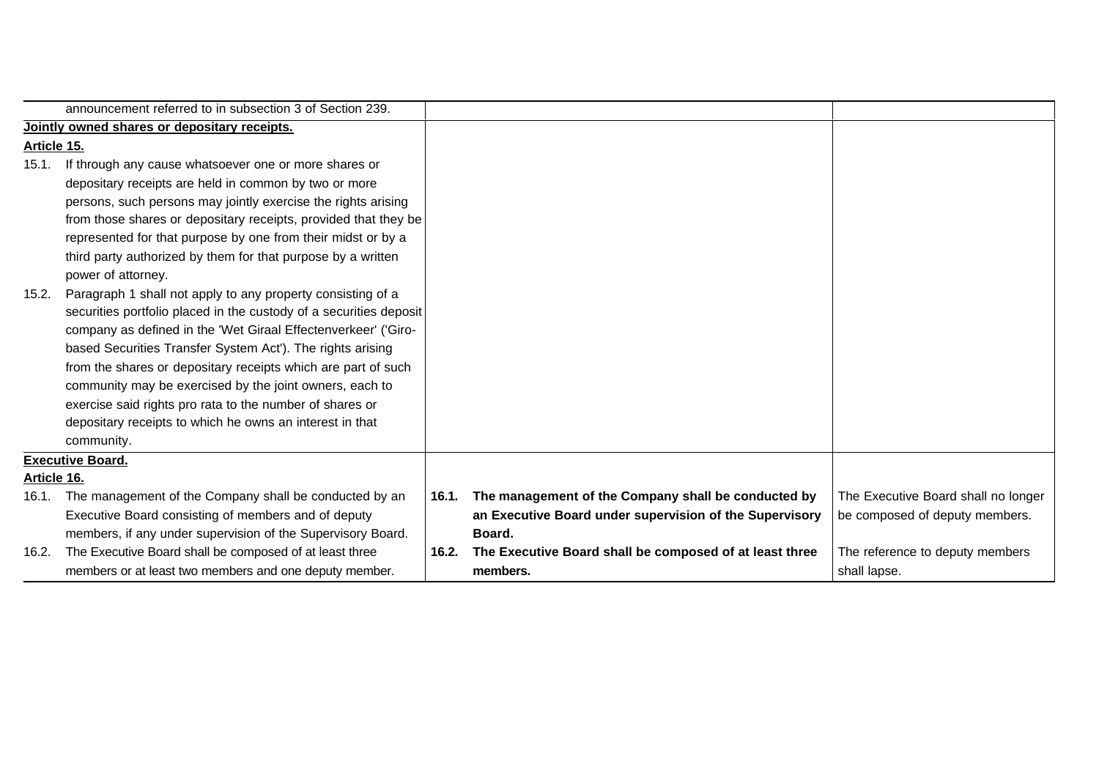|             | announcement referred to in subsection 3 of Section 239.           |       |                                                         |                                     |
|-------------|--------------------------------------------------------------------|-------|---------------------------------------------------------|-------------------------------------|
|             | Jointly owned shares or depositary receipts.                       |       |                                                         |                                     |
| Article 15. |                                                                    |       |                                                         |                                     |
| 15.1.       | If through any cause whatsoever one or more shares or              |       |                                                         |                                     |
|             | depositary receipts are held in common by two or more              |       |                                                         |                                     |
|             | persons, such persons may jointly exercise the rights arising      |       |                                                         |                                     |
|             | from those shares or depositary receipts, provided that they be    |       |                                                         |                                     |
|             | represented for that purpose by one from their midst or by a       |       |                                                         |                                     |
|             | third party authorized by them for that purpose by a written       |       |                                                         |                                     |
|             | power of attorney.                                                 |       |                                                         |                                     |
| 15.2.       | Paragraph 1 shall not apply to any property consisting of a        |       |                                                         |                                     |
|             | securities portfolio placed in the custody of a securities deposit |       |                                                         |                                     |
|             | company as defined in the 'Wet Giraal Effectenverkeer' ('Giro-     |       |                                                         |                                     |
|             | based Securities Transfer System Act'). The rights arising         |       |                                                         |                                     |
|             | from the shares or depositary receipts which are part of such      |       |                                                         |                                     |
|             | community may be exercised by the joint owners, each to            |       |                                                         |                                     |
|             | exercise said rights pro rata to the number of shares or           |       |                                                         |                                     |
|             | depositary receipts to which he owns an interest in that           |       |                                                         |                                     |
|             | community.                                                         |       |                                                         |                                     |
|             | <b>Executive Board.</b>                                            |       |                                                         |                                     |
| Article 16. |                                                                    |       |                                                         |                                     |
| 16.1.       | The management of the Company shall be conducted by an             | 16.1. | The management of the Company shall be conducted by     | The Executive Board shall no longer |
|             | Executive Board consisting of members and of deputy                |       | an Executive Board under supervision of the Supervisory | be composed of deputy members.      |
|             | members, if any under supervision of the Supervisory Board.        |       | Board.                                                  |                                     |
| 16.2.       | The Executive Board shall be composed of at least three            | 16.2. | The Executive Board shall be composed of at least three | The reference to deputy members     |
|             | members or at least two members and one deputy member.             |       | members.                                                | shall lapse.                        |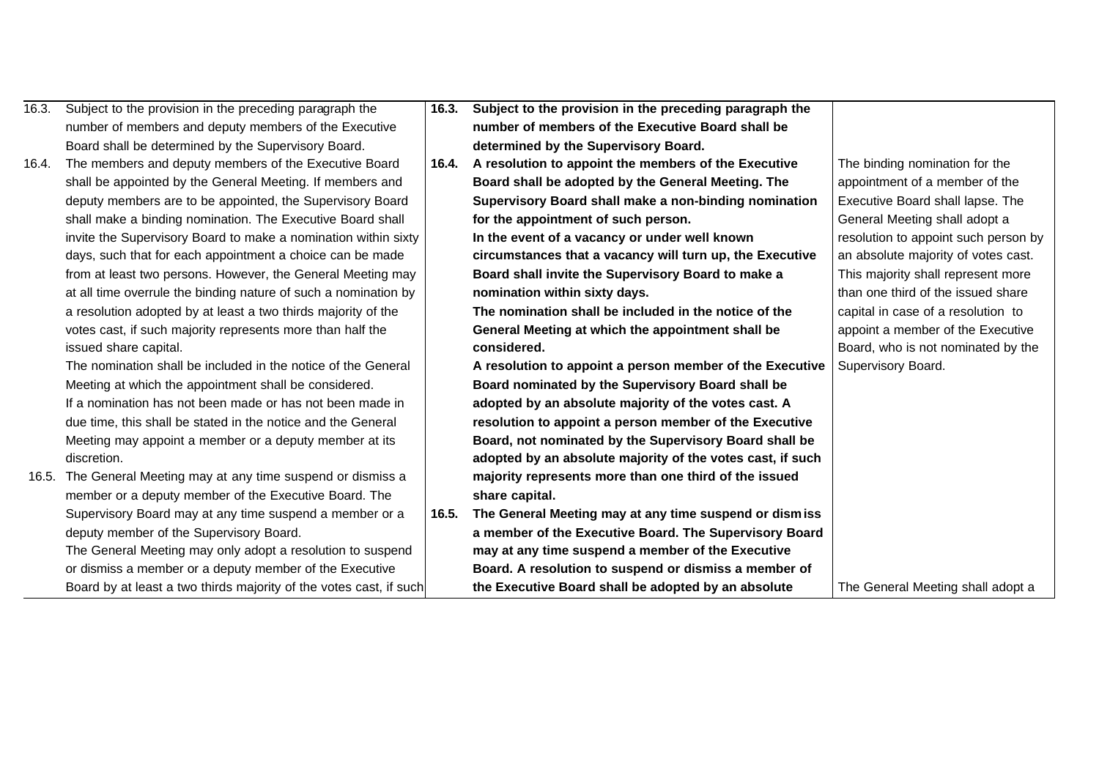| 16.3. | Subject to the provision in the preceding paragraph the            | 16.3. | Subject to the provision in the preceding paragraph the    |                                      |
|-------|--------------------------------------------------------------------|-------|------------------------------------------------------------|--------------------------------------|
|       | number of members and deputy members of the Executive              |       | number of members of the Executive Board shall be          |                                      |
|       | Board shall be determined by the Supervisory Board.                |       | determined by the Supervisory Board.                       |                                      |
| 16.4. | The members and deputy members of the Executive Board              | 16.4. | A resolution to appoint the members of the Executive       | The binding nomination for the       |
|       | shall be appointed by the General Meeting. If members and          |       | Board shall be adopted by the General Meeting. The         | appointment of a member of the       |
|       | deputy members are to be appointed, the Supervisory Board          |       | Supervisory Board shall make a non-binding nomination      | Executive Board shall lapse. The     |
|       | shall make a binding nomination. The Executive Board shall         |       | for the appointment of such person.                        | General Meeting shall adopt a        |
|       | invite the Supervisory Board to make a nomination within sixty     |       | In the event of a vacancy or under well known              | resolution to appoint such person by |
|       | days, such that for each appointment a choice can be made          |       | circumstances that a vacancy will turn up, the Executive   | an absolute majority of votes cast.  |
|       | from at least two persons. However, the General Meeting may        |       | Board shall invite the Supervisory Board to make a         | This majority shall represent more   |
|       | at all time overrule the binding nature of such a nomination by    |       | nomination within sixty days.                              | than one third of the issued share   |
|       | a resolution adopted by at least a two thirds majority of the      |       | The nomination shall be included in the notice of the      | capital in case of a resolution to   |
|       | votes cast, if such majority represents more than half the         |       | General Meeting at which the appointment shall be          | appoint a member of the Executive    |
|       | issued share capital.                                              |       | considered.                                                | Board, who is not nominated by the   |
|       | The nomination shall be included in the notice of the General      |       | A resolution to appoint a person member of the Executive   | Supervisory Board.                   |
|       | Meeting at which the appointment shall be considered.              |       | Board nominated by the Supervisory Board shall be          |                                      |
|       | If a nomination has not been made or has not been made in          |       | adopted by an absolute majority of the votes cast. A       |                                      |
|       | due time, this shall be stated in the notice and the General       |       | resolution to appoint a person member of the Executive     |                                      |
|       | Meeting may appoint a member or a deputy member at its             |       | Board, not nominated by the Supervisory Board shall be     |                                      |
|       | discretion.                                                        |       | adopted by an absolute majority of the votes cast, if such |                                      |
|       | 16.5. The General Meeting may at any time suspend or dismiss a     |       | majority represents more than one third of the issued      |                                      |
|       | member or a deputy member of the Executive Board. The              |       | share capital.                                             |                                      |
|       | Supervisory Board may at any time suspend a member or a            | 16.5. | The General Meeting may at any time suspend or dismiss     |                                      |
|       | deputy member of the Supervisory Board.                            |       | a member of the Executive Board. The Supervisory Board     |                                      |
|       | The General Meeting may only adopt a resolution to suspend         |       | may at any time suspend a member of the Executive          |                                      |
|       | or dismiss a member or a deputy member of the Executive            |       | Board. A resolution to suspend or dismiss a member of      |                                      |
|       | Board by at least a two thirds majority of the votes cast, if such |       | the Executive Board shall be adopted by an absolute        | The General Meeting shall adopt a    |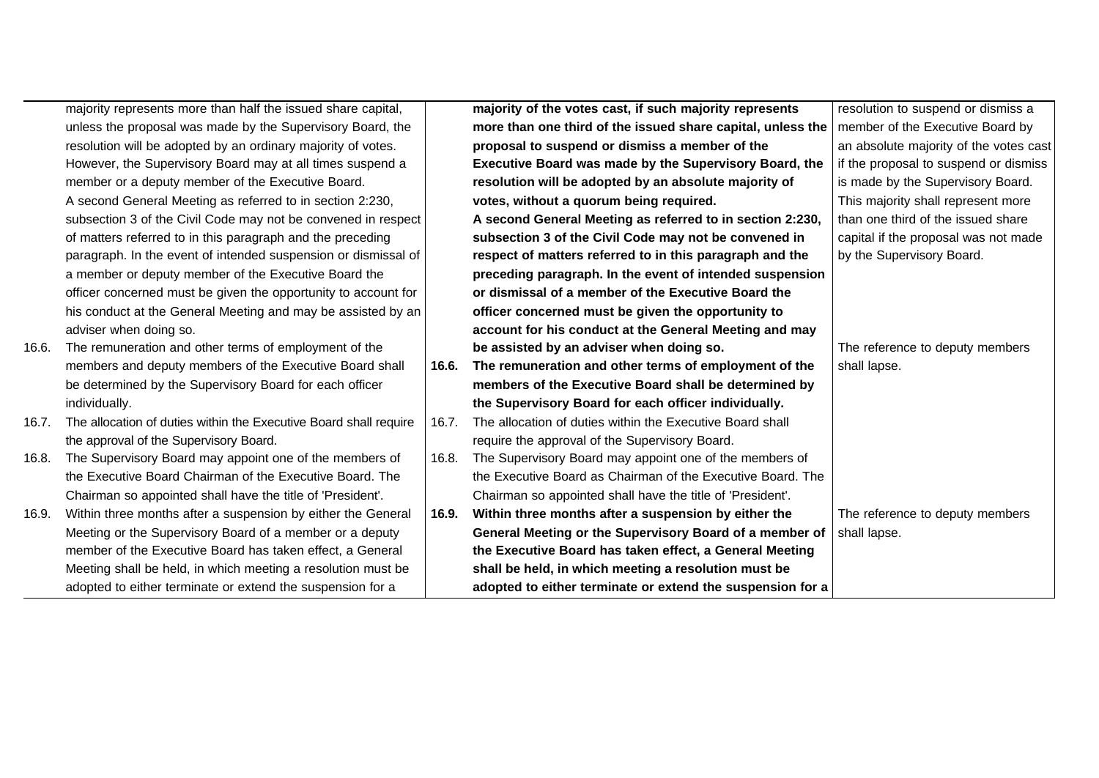|       | majority represents more than half the issued share capital,      |       | majority of the votes cast, if such majority represents     | resolution to suspend or dismiss a     |
|-------|-------------------------------------------------------------------|-------|-------------------------------------------------------------|----------------------------------------|
|       | unless the proposal was made by the Supervisory Board, the        |       | more than one third of the issued share capital, unless the | member of the Executive Board by       |
|       | resolution will be adopted by an ordinary majority of votes.      |       | proposal to suspend or dismiss a member of the              | an absolute majority of the votes cast |
|       | However, the Supervisory Board may at all times suspend a         |       | Executive Board was made by the Supervisory Board, the      | if the proposal to suspend or dismiss  |
|       | member or a deputy member of the Executive Board.                 |       | resolution will be adopted by an absolute majority of       | is made by the Supervisory Board.      |
|       | A second General Meeting as referred to in section 2:230,         |       | votes, without a quorum being required.                     | This majority shall represent more     |
|       | subsection 3 of the Civil Code may not be convened in respect     |       | A second General Meeting as referred to in section 2:230,   | than one third of the issued share     |
|       | of matters referred to in this paragraph and the preceding        |       | subsection 3 of the Civil Code may not be convened in       | capital if the proposal was not made   |
|       | paragraph. In the event of intended suspension or dismissal of    |       | respect of matters referred to in this paragraph and the    | by the Supervisory Board.              |
|       | a member or deputy member of the Executive Board the              |       | preceding paragraph. In the event of intended suspension    |                                        |
|       | officer concerned must be given the opportunity to account for    |       | or dismissal of a member of the Executive Board the         |                                        |
|       | his conduct at the General Meeting and may be assisted by an      |       | officer concerned must be given the opportunity to          |                                        |
|       | adviser when doing so.                                            |       | account for his conduct at the General Meeting and may      |                                        |
| 16.6. | The remuneration and other terms of employment of the             |       | be assisted by an adviser when doing so.                    | The reference to deputy members        |
|       | members and deputy members of the Executive Board shall           | 16.6. | The remuneration and other terms of employment of the       | shall lapse.                           |
|       | be determined by the Supervisory Board for each officer           |       | members of the Executive Board shall be determined by       |                                        |
|       | individually.                                                     |       | the Supervisory Board for each officer individually.        |                                        |
| 16.7. | The allocation of duties within the Executive Board shall require | 16.7. | The allocation of duties within the Executive Board shall   |                                        |
|       | the approval of the Supervisory Board.                            |       | require the approval of the Supervisory Board.              |                                        |
| 16.8. | The Supervisory Board may appoint one of the members of           | 16.8. | The Supervisory Board may appoint one of the members of     |                                        |
|       | the Executive Board Chairman of the Executive Board. The          |       | the Executive Board as Chairman of the Executive Board. The |                                        |
|       | Chairman so appointed shall have the title of 'President'.        |       | Chairman so appointed shall have the title of 'President'.  |                                        |
| 16.9. | Within three months after a suspension by either the General      | 16.9. | Within three months after a suspension by either the        | The reference to deputy members        |
|       | Meeting or the Supervisory Board of a member or a deputy          |       | General Meeting or the Supervisory Board of a member of     | shall lapse.                           |
|       | member of the Executive Board has taken effect, a General         |       | the Executive Board has taken effect, a General Meeting     |                                        |
|       | Meeting shall be held, in which meeting a resolution must be      |       | shall be held, in which meeting a resolution must be        |                                        |
|       | adopted to either terminate or extend the suspension for a        |       | adopted to either terminate or extend the suspension for a  |                                        |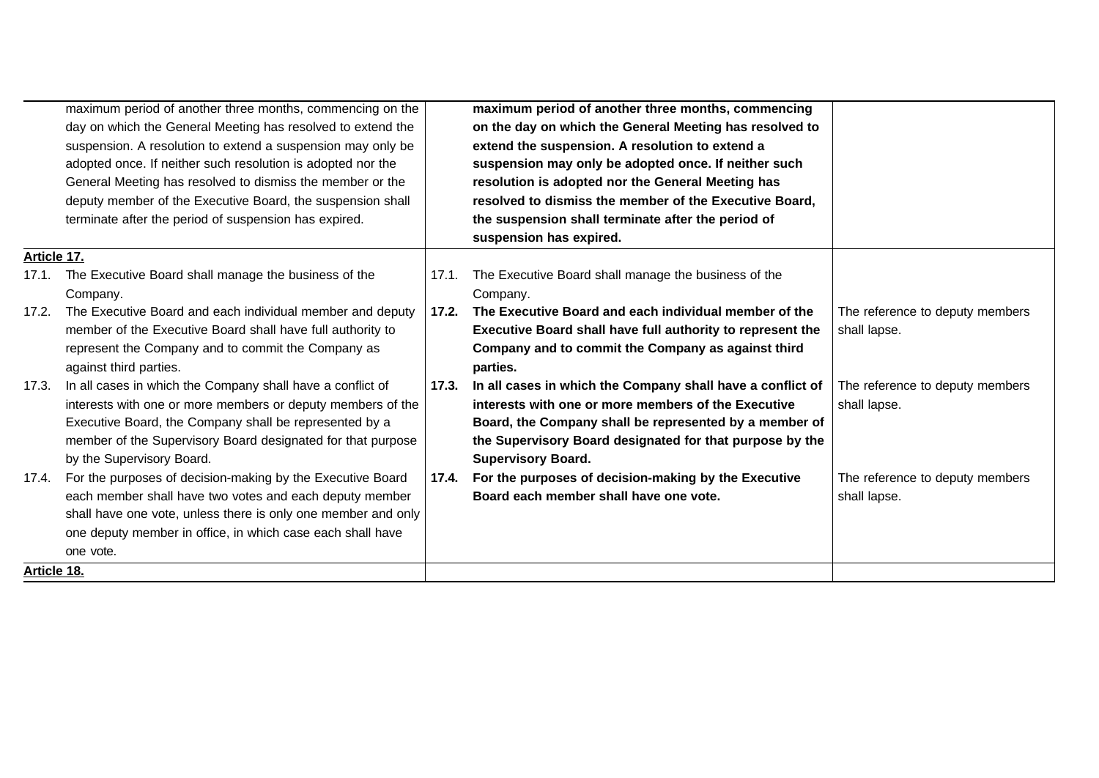|             | maximum period of another three months, commencing on the     |       | maximum period of another three months, commencing         |                                 |
|-------------|---------------------------------------------------------------|-------|------------------------------------------------------------|---------------------------------|
|             | day on which the General Meeting has resolved to extend the   |       | on the day on which the General Meeting has resolved to    |                                 |
|             | suspension. A resolution to extend a suspension may only be   |       | extend the suspension. A resolution to extend a            |                                 |
|             | adopted once. If neither such resolution is adopted nor the   |       | suspension may only be adopted once. If neither such       |                                 |
|             | General Meeting has resolved to dismiss the member or the     |       | resolution is adopted nor the General Meeting has          |                                 |
|             | deputy member of the Executive Board, the suspension shall    |       | resolved to dismiss the member of the Executive Board,     |                                 |
|             | terminate after the period of suspension has expired.         |       | the suspension shall terminate after the period of         |                                 |
|             |                                                               |       | suspension has expired.                                    |                                 |
| Article 17. |                                                               |       |                                                            |                                 |
|             | 17.1. The Executive Board shall manage the business of the    |       | 17.1. The Executive Board shall manage the business of the |                                 |
|             | Company.                                                      |       | Company.                                                   |                                 |
| 17.2.       | The Executive Board and each individual member and deputy     | 17.2. | The Executive Board and each individual member of the      | The reference to deputy members |
|             | member of the Executive Board shall have full authority to    |       | Executive Board shall have full authority to represent the | shall lapse.                    |
|             | represent the Company and to commit the Company as            |       | Company and to commit the Company as against third         |                                 |
|             | against third parties.                                        |       | parties.                                                   |                                 |
| 17.3.       | In all cases in which the Company shall have a conflict of    | 17.3. | In all cases in which the Company shall have a conflict of | The reference to deputy members |
|             | interests with one or more members or deputy members of the   |       | interests with one or more members of the Executive        | shall lapse.                    |
|             | Executive Board, the Company shall be represented by a        |       | Board, the Company shall be represented by a member of     |                                 |
|             | member of the Supervisory Board designated for that purpose   |       | the Supervisory Board designated for that purpose by the   |                                 |
|             | by the Supervisory Board.                                     |       | <b>Supervisory Board.</b>                                  |                                 |
| 17.4.       | For the purposes of decision-making by the Executive Board    | 17.4. | For the purposes of decision-making by the Executive       | The reference to deputy members |
|             | each member shall have two votes and each deputy member       |       | Board each member shall have one vote.                     | shall lapse.                    |
|             | shall have one vote, unless there is only one member and only |       |                                                            |                                 |
|             | one deputy member in office, in which case each shall have    |       |                                                            |                                 |
|             | one vote.                                                     |       |                                                            |                                 |
| Article 18. |                                                               |       |                                                            |                                 |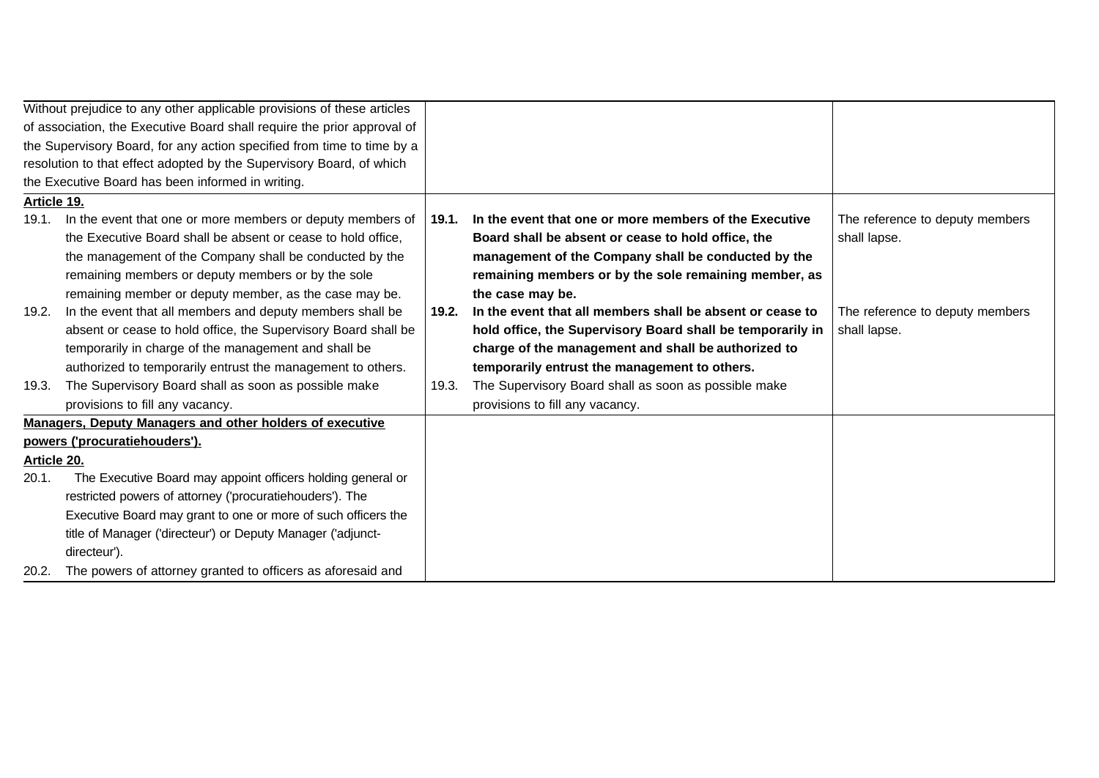|                                                                        | Without prejudice to any other applicable provisions of these articles  |       |                                                            |                                 |
|------------------------------------------------------------------------|-------------------------------------------------------------------------|-------|------------------------------------------------------------|---------------------------------|
|                                                                        | of association, the Executive Board shall require the prior approval of |       |                                                            |                                 |
| the Supervisory Board, for any action specified from time to time by a |                                                                         |       |                                                            |                                 |
|                                                                        | resolution to that effect adopted by the Supervisory Board, of which    |       |                                                            |                                 |
|                                                                        | the Executive Board has been informed in writing.                       |       |                                                            |                                 |
| Article 19.                                                            |                                                                         |       |                                                            |                                 |
| 19.1.                                                                  | In the event that one or more members or deputy members of              | 19.1. | In the event that one or more members of the Executive     | The reference to deputy members |
|                                                                        | the Executive Board shall be absent or cease to hold office,            |       | Board shall be absent or cease to hold office, the         | shall lapse.                    |
|                                                                        | the management of the Company shall be conducted by the                 |       | management of the Company shall be conducted by the        |                                 |
|                                                                        | remaining members or deputy members or by the sole                      |       | remaining members or by the sole remaining member, as      |                                 |
|                                                                        | remaining member or deputy member, as the case may be.                  |       | the case may be.                                           |                                 |
| 19.2.                                                                  | In the event that all members and deputy members shall be               | 19.2. | In the event that all members shall be absent or cease to  | The reference to deputy members |
|                                                                        | absent or cease to hold office, the Supervisory Board shall be          |       | hold office, the Supervisory Board shall be temporarily in | shall lapse.                    |
|                                                                        | temporarily in charge of the management and shall be                    |       | charge of the management and shall be authorized to        |                                 |
|                                                                        | authorized to temporarily entrust the management to others.             |       | temporarily entrust the management to others.              |                                 |
| 19.3.                                                                  | The Supervisory Board shall as soon as possible make                    | 19.3. | The Supervisory Board shall as soon as possible make       |                                 |
|                                                                        | provisions to fill any vacancy.                                         |       | provisions to fill any vacancy.                            |                                 |
|                                                                        | Managers, Deputy Managers and other holders of executive                |       |                                                            |                                 |
|                                                                        | powers ('procuratiehouders').                                           |       |                                                            |                                 |
| Article 20.                                                            |                                                                         |       |                                                            |                                 |
| 20.1.                                                                  | The Executive Board may appoint officers holding general or             |       |                                                            |                                 |
|                                                                        | restricted powers of attorney ('procuratiehouders'). The                |       |                                                            |                                 |
|                                                                        | Executive Board may grant to one or more of such officers the           |       |                                                            |                                 |
|                                                                        | title of Manager ('directeur') or Deputy Manager ('adjunct-             |       |                                                            |                                 |
|                                                                        | directeur').                                                            |       |                                                            |                                 |
| 20.2.                                                                  | The powers of attorney granted to officers as aforesaid and             |       |                                                            |                                 |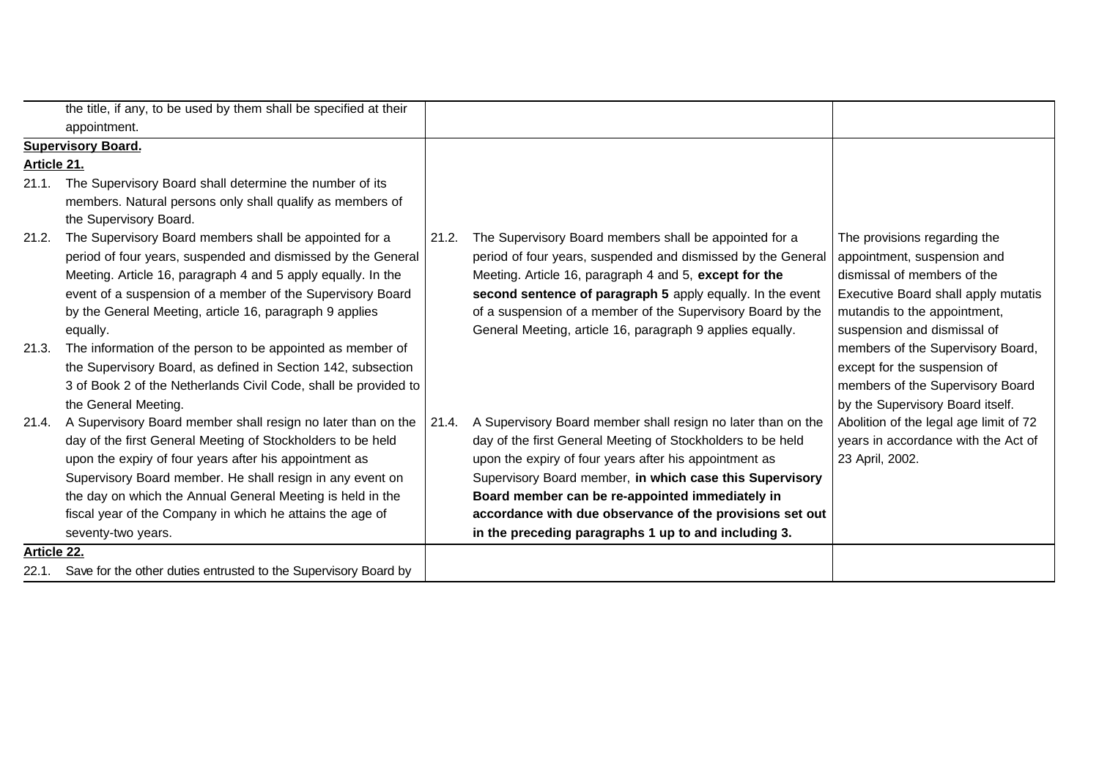|                           | the title, if any, to be used by them shall be specified at their     |       |                                                              |                                        |
|---------------------------|-----------------------------------------------------------------------|-------|--------------------------------------------------------------|----------------------------------------|
|                           | appointment.                                                          |       |                                                              |                                        |
| <b>Supervisory Board.</b> |                                                                       |       |                                                              |                                        |
|                           | Article 21.                                                           |       |                                                              |                                        |
| 21.1.                     | The Supervisory Board shall determine the number of its               |       |                                                              |                                        |
|                           | members. Natural persons only shall qualify as members of             |       |                                                              |                                        |
|                           | the Supervisory Board.                                                |       |                                                              |                                        |
| 21.2.                     | The Supervisory Board members shall be appointed for a                | 21.2. | The Supervisory Board members shall be appointed for a       | The provisions regarding the           |
|                           | period of four years, suspended and dismissed by the General          |       | period of four years, suspended and dismissed by the General | appointment, suspension and            |
|                           | Meeting. Article 16, paragraph 4 and 5 apply equally. In the          |       | Meeting. Article 16, paragraph 4 and 5, except for the       | dismissal of members of the            |
|                           | event of a suspension of a member of the Supervisory Board            |       | second sentence of paragraph 5 apply equally. In the event   | Executive Board shall apply mutatis    |
|                           | by the General Meeting, article 16, paragraph 9 applies               |       | of a suspension of a member of the Supervisory Board by the  | mutandis to the appointment,           |
|                           | equally.                                                              |       | General Meeting, article 16, paragraph 9 applies equally.    | suspension and dismissal of            |
| 21.3.                     | The information of the person to be appointed as member of            |       |                                                              | members of the Supervisory Board,      |
|                           | the Supervisory Board, as defined in Section 142, subsection          |       |                                                              | except for the suspension of           |
|                           | 3 of Book 2 of the Netherlands Civil Code, shall be provided to       |       |                                                              | members of the Supervisory Board       |
|                           | the General Meeting.                                                  |       |                                                              | by the Supervisory Board itself.       |
| 21.4.                     | A Supervisory Board member shall resign no later than on the          | 21.4. | A Supervisory Board member shall resign no later than on the | Abolition of the legal age limit of 72 |
|                           | day of the first General Meeting of Stockholders to be held           |       | day of the first General Meeting of Stockholders to be held  | years in accordance with the Act of    |
|                           | upon the expiry of four years after his appointment as                |       | upon the expiry of four years after his appointment as       | 23 April, 2002.                        |
|                           | Supervisory Board member. He shall resign in any event on             |       | Supervisory Board member, in which case this Supervisory     |                                        |
|                           | the day on which the Annual General Meeting is held in the            |       | Board member can be re-appointed immediately in              |                                        |
|                           | fiscal year of the Company in which he attains the age of             |       | accordance with due observance of the provisions set out     |                                        |
|                           | seventy-two years.                                                    |       | in the preceding paragraphs 1 up to and including 3.         |                                        |
| Article 22.               |                                                                       |       |                                                              |                                        |
|                           | 22.1. Save for the other duties entrusted to the Supervisory Board by |       |                                                              |                                        |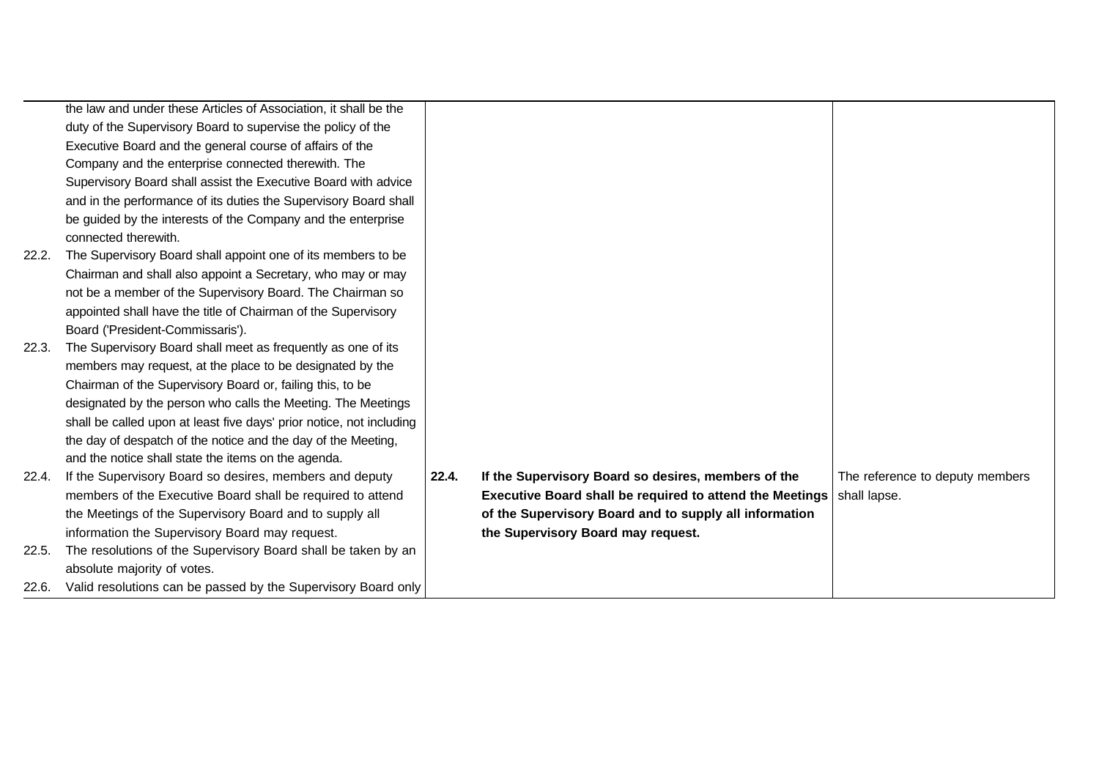|       | the law and under these Articles of Association, it shall be the     |       |                                                          |                                 |
|-------|----------------------------------------------------------------------|-------|----------------------------------------------------------|---------------------------------|
|       | duty of the Supervisory Board to supervise the policy of the         |       |                                                          |                                 |
|       | Executive Board and the general course of affairs of the             |       |                                                          |                                 |
|       | Company and the enterprise connected therewith. The                  |       |                                                          |                                 |
|       | Supervisory Board shall assist the Executive Board with advice       |       |                                                          |                                 |
|       | and in the performance of its duties the Supervisory Board shall     |       |                                                          |                                 |
|       | be guided by the interests of the Company and the enterprise         |       |                                                          |                                 |
|       | connected therewith.                                                 |       |                                                          |                                 |
| 22.2. | The Supervisory Board shall appoint one of its members to be         |       |                                                          |                                 |
|       | Chairman and shall also appoint a Secretary, who may or may          |       |                                                          |                                 |
|       | not be a member of the Supervisory Board. The Chairman so            |       |                                                          |                                 |
|       | appointed shall have the title of Chairman of the Supervisory        |       |                                                          |                                 |
|       | Board ('President-Commissaris').                                     |       |                                                          |                                 |
| 22.3. | The Supervisory Board shall meet as frequently as one of its         |       |                                                          |                                 |
|       | members may request, at the place to be designated by the            |       |                                                          |                                 |
|       | Chairman of the Supervisory Board or, failing this, to be            |       |                                                          |                                 |
|       | designated by the person who calls the Meeting. The Meetings         |       |                                                          |                                 |
|       | shall be called upon at least five days' prior notice, not including |       |                                                          |                                 |
|       | the day of despatch of the notice and the day of the Meeting,        |       |                                                          |                                 |
|       | and the notice shall state the items on the agenda.                  |       |                                                          |                                 |
| 22.4. | If the Supervisory Board so desires, members and deputy              | 22.4. | If the Supervisory Board so desires, members of the      | The reference to deputy members |
|       | members of the Executive Board shall be required to attend           |       | Executive Board shall be required to attend the Meetings | shall lapse.                    |
|       | the Meetings of the Supervisory Board and to supply all              |       | of the Supervisory Board and to supply all information   |                                 |
|       | information the Supervisory Board may request.                       |       | the Supervisory Board may request.                       |                                 |
| 22.5. | The resolutions of the Supervisory Board shall be taken by an        |       |                                                          |                                 |
|       | absolute majority of votes.                                          |       |                                                          |                                 |
| 22.6. | Valid resolutions can be passed by the Supervisory Board only        |       |                                                          |                                 |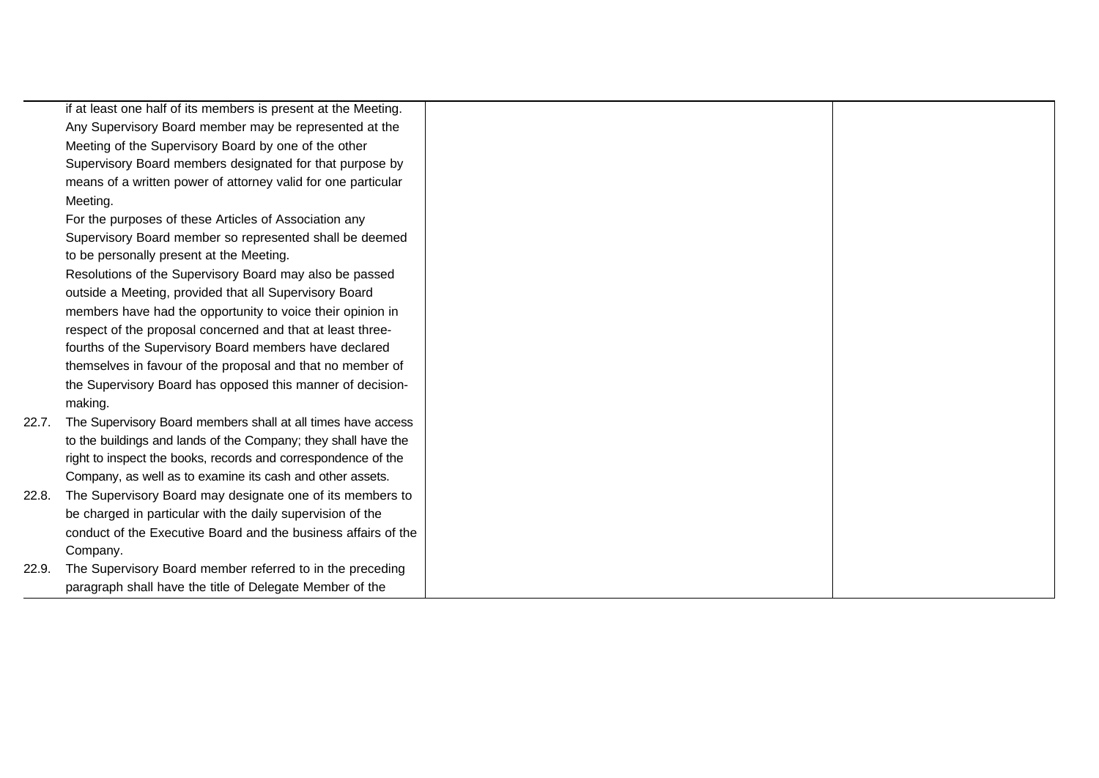|       | if at least one half of its members is present at the Meeting. |  |
|-------|----------------------------------------------------------------|--|
|       | Any Supervisory Board member may be represented at the         |  |
|       | Meeting of the Supervisory Board by one of the other           |  |
|       | Supervisory Board members designated for that purpose by       |  |
|       | means of a written power of attorney valid for one particular  |  |
|       | Meeting.                                                       |  |
|       | For the purposes of these Articles of Association any          |  |
|       | Supervisory Board member so represented shall be deemed        |  |
|       | to be personally present at the Meeting.                       |  |
|       | Resolutions of the Supervisory Board may also be passed        |  |
|       | outside a Meeting, provided that all Supervisory Board         |  |
|       | members have had the opportunity to voice their opinion in     |  |
|       | respect of the proposal concerned and that at least three-     |  |
|       | fourths of the Supervisory Board members have declared         |  |
|       | themselves in favour of the proposal and that no member of     |  |
|       | the Supervisory Board has opposed this manner of decision-     |  |
|       | making.                                                        |  |
| 22.7. | The Supervisory Board members shall at all times have access   |  |
|       | to the buildings and lands of the Company; they shall have the |  |
|       | right to inspect the books, records and correspondence of the  |  |
|       | Company, as well as to examine its cash and other assets.      |  |
| 22.8. | The Supervisory Board may designate one of its members to      |  |
|       | be charged in particular with the daily supervision of the     |  |
|       | conduct of the Executive Board and the business affairs of the |  |
|       | Company.                                                       |  |
| 22.9. | The Supervisory Board member referred to in the preceding      |  |
|       | paragraph shall have the title of Delegate Member of the       |  |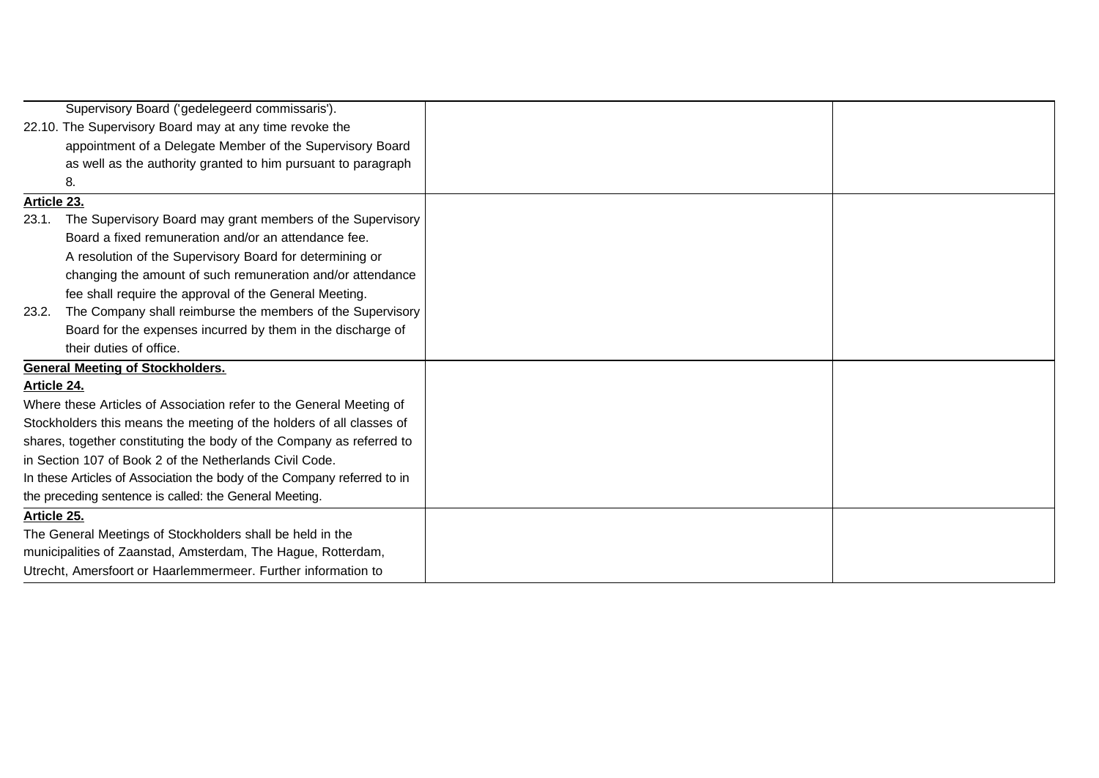|                                                                         | Supervisory Board ('gedelegeerd commissaris').                       |  |
|-------------------------------------------------------------------------|----------------------------------------------------------------------|--|
|                                                                         | 22.10. The Supervisory Board may at any time revoke the              |  |
|                                                                         | appointment of a Delegate Member of the Supervisory Board            |  |
|                                                                         | as well as the authority granted to him pursuant to paragraph        |  |
|                                                                         | 8.                                                                   |  |
| Article 23.                                                             |                                                                      |  |
| 23.1.                                                                   | The Supervisory Board may grant members of the Supervisory           |  |
|                                                                         | Board a fixed remuneration and/or an attendance fee.                 |  |
|                                                                         | A resolution of the Supervisory Board for determining or             |  |
|                                                                         | changing the amount of such remuneration and/or attendance           |  |
|                                                                         | fee shall require the approval of the General Meeting.               |  |
| 23.2.                                                                   | The Company shall reimburse the members of the Supervisory           |  |
|                                                                         | Board for the expenses incurred by them in the discharge of          |  |
|                                                                         | their duties of office.                                              |  |
|                                                                         | <b>General Meeting of Stockholders.</b>                              |  |
| Article 24.                                                             |                                                                      |  |
|                                                                         | Where these Articles of Association refer to the General Meeting of  |  |
|                                                                         | Stockholders this means the meeting of the holders of all classes of |  |
|                                                                         | shares, together constituting the body of the Company as referred to |  |
|                                                                         | in Section 107 of Book 2 of the Netherlands Civil Code.              |  |
| In these Articles of Association the body of the Company referred to in |                                                                      |  |
|                                                                         | the preceding sentence is called: the General Meeting.               |  |
| Article 25.                                                             |                                                                      |  |
|                                                                         | The General Meetings of Stockholders shall be held in the            |  |
|                                                                         | municipalities of Zaanstad, Amsterdam, The Hague, Rotterdam,         |  |
|                                                                         | Utrecht, Amersfoort or Haarlemmermeer. Further information to        |  |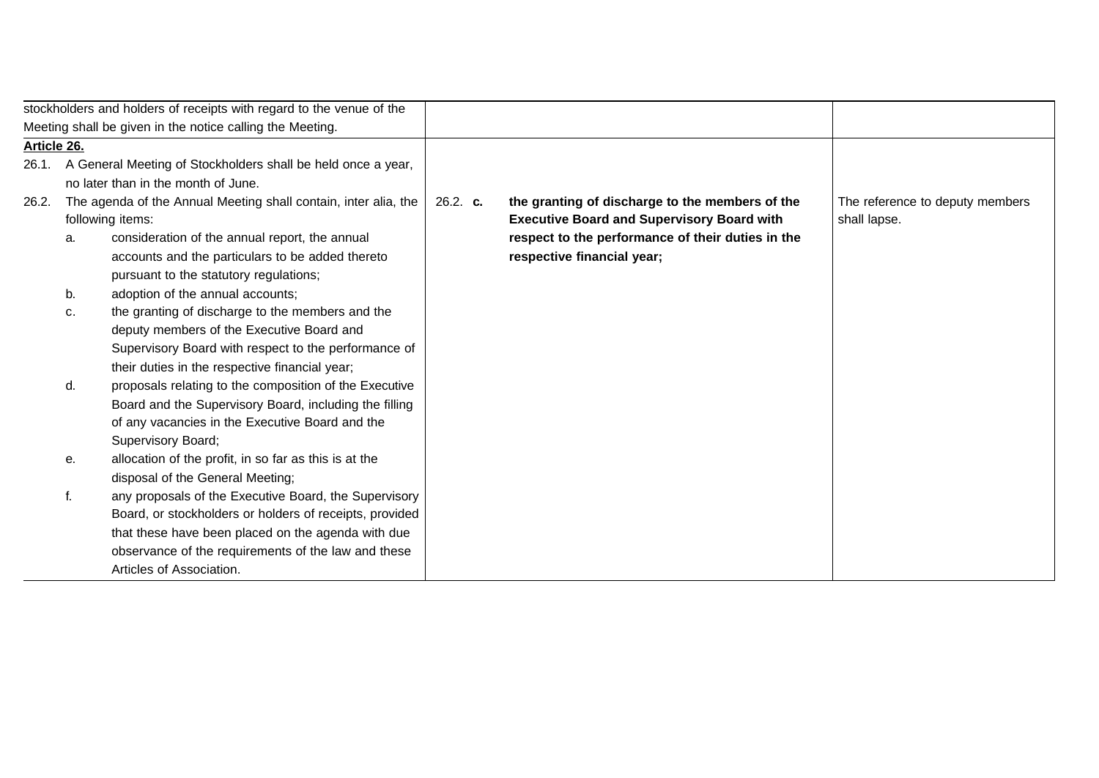|             |    | stockholders and holders of receipts with regard to the venue of the |          |                                                   |                                 |
|-------------|----|----------------------------------------------------------------------|----------|---------------------------------------------------|---------------------------------|
|             |    | Meeting shall be given in the notice calling the Meeting.            |          |                                                   |                                 |
| Article 26. |    |                                                                      |          |                                                   |                                 |
| 26.1.       |    | A General Meeting of Stockholders shall be held once a year,         |          |                                                   |                                 |
|             |    | no later than in the month of June.                                  |          |                                                   |                                 |
| 26.2.       |    | The agenda of the Annual Meeting shall contain, inter alia, the      | 26.2. c. | the granting of discharge to the members of the   | The reference to deputy members |
|             |    | following items:                                                     |          | <b>Executive Board and Supervisory Board with</b> | shall lapse.                    |
|             | a. | consideration of the annual report, the annual                       |          | respect to the performance of their duties in the |                                 |
|             |    | accounts and the particulars to be added thereto                     |          | respective financial year;                        |                                 |
|             |    | pursuant to the statutory regulations;                               |          |                                                   |                                 |
|             | b. | adoption of the annual accounts;                                     |          |                                                   |                                 |
|             | c. | the granting of discharge to the members and the                     |          |                                                   |                                 |
|             |    | deputy members of the Executive Board and                            |          |                                                   |                                 |
|             |    | Supervisory Board with respect to the performance of                 |          |                                                   |                                 |
|             |    | their duties in the respective financial year;                       |          |                                                   |                                 |
|             | d. | proposals relating to the composition of the Executive               |          |                                                   |                                 |
|             |    | Board and the Supervisory Board, including the filling               |          |                                                   |                                 |
|             |    | of any vacancies in the Executive Board and the                      |          |                                                   |                                 |
|             |    | Supervisory Board;                                                   |          |                                                   |                                 |
|             | е. | allocation of the profit, in so far as this is at the                |          |                                                   |                                 |
|             |    | disposal of the General Meeting;                                     |          |                                                   |                                 |
|             | f. | any proposals of the Executive Board, the Supervisory                |          |                                                   |                                 |
|             |    | Board, or stockholders or holders of receipts, provided              |          |                                                   |                                 |
|             |    | that these have been placed on the agenda with due                   |          |                                                   |                                 |
|             |    | observance of the requirements of the law and these                  |          |                                                   |                                 |
|             |    | Articles of Association.                                             |          |                                                   |                                 |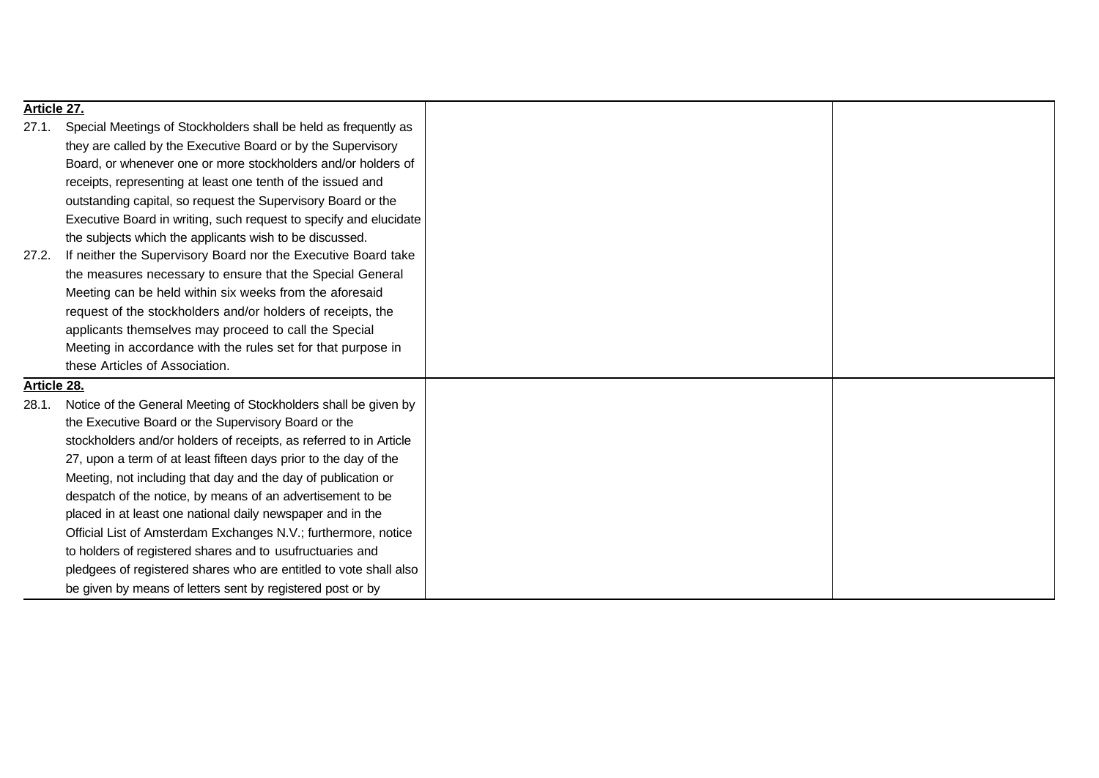| Article 27. |                                                                    |  |
|-------------|--------------------------------------------------------------------|--|
| 27.1.       | Special Meetings of Stockholders shall be held as frequently as    |  |
|             | they are called by the Executive Board or by the Supervisory       |  |
|             | Board, or whenever one or more stockholders and/or holders of      |  |
|             | receipts, representing at least one tenth of the issued and        |  |
|             | outstanding capital, so request the Supervisory Board or the       |  |
|             | Executive Board in writing, such request to specify and elucidate  |  |
|             | the subjects which the applicants wish to be discussed.            |  |
| 27.2.       | If neither the Supervisory Board nor the Executive Board take      |  |
|             | the measures necessary to ensure that the Special General          |  |
|             | Meeting can be held within six weeks from the aforesaid            |  |
|             | request of the stockholders and/or holders of receipts, the        |  |
|             | applicants themselves may proceed to call the Special              |  |
|             | Meeting in accordance with the rules set for that purpose in       |  |
|             | these Articles of Association.                                     |  |
| Article 28. |                                                                    |  |
| 28.1.       | Notice of the General Meeting of Stockholders shall be given by    |  |
|             | the Executive Board or the Supervisory Board or the                |  |
|             | stockholders and/or holders of receipts, as referred to in Article |  |
|             | 27, upon a term of at least fifteen days prior to the day of the   |  |
|             | Meeting, not including that day and the day of publication or      |  |
|             | despatch of the notice, by means of an advertisement to be         |  |
|             | placed in at least one national daily newspaper and in the         |  |
|             | Official List of Amsterdam Exchanges N.V.; furthermore, notice     |  |
|             | to holders of registered shares and to usufructuaries and          |  |
|             | pledgees of registered shares who are entitled to vote shall also  |  |
|             | be given by means of letters sent by registered post or by         |  |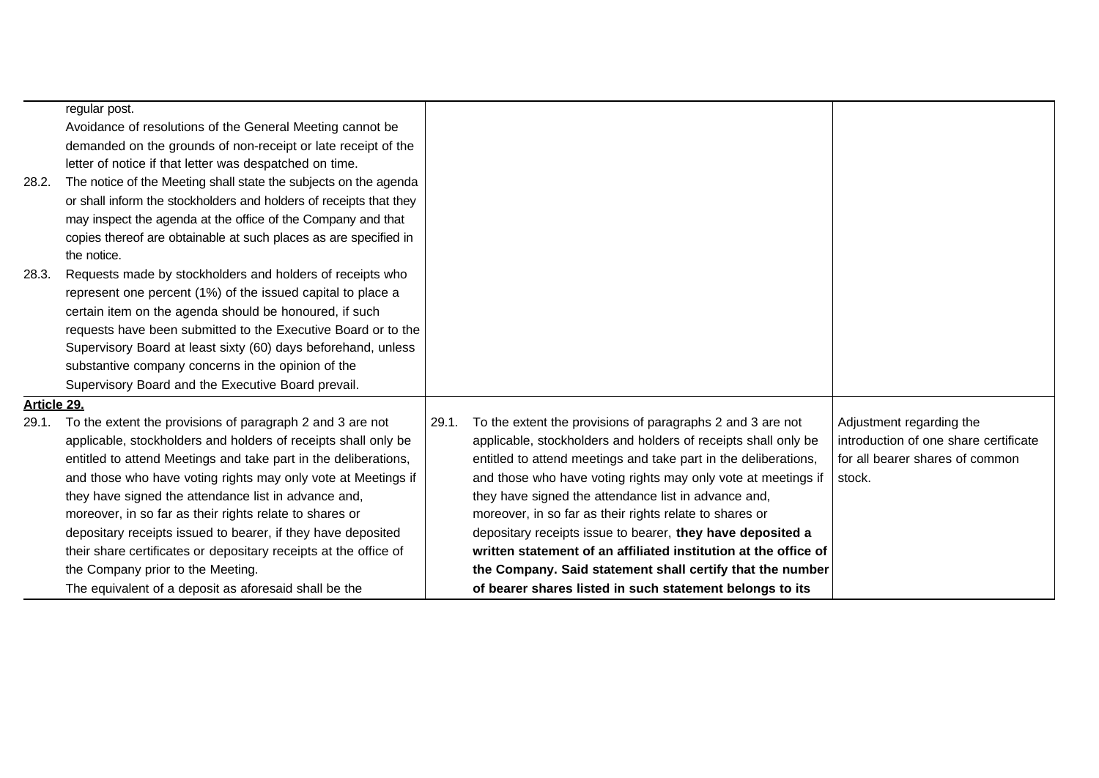|             | regular post.                                                      |       |                                                                 |                                       |
|-------------|--------------------------------------------------------------------|-------|-----------------------------------------------------------------|---------------------------------------|
|             | Avoidance of resolutions of the General Meeting cannot be          |       |                                                                 |                                       |
|             | demanded on the grounds of non-receipt or late receipt of the      |       |                                                                 |                                       |
|             | letter of notice if that letter was despatched on time.            |       |                                                                 |                                       |
| 28.2.       | The notice of the Meeting shall state the subjects on the agenda   |       |                                                                 |                                       |
|             | or shall inform the stockholders and holders of receipts that they |       |                                                                 |                                       |
|             | may inspect the agenda at the office of the Company and that       |       |                                                                 |                                       |
|             | copies thereof are obtainable at such places as are specified in   |       |                                                                 |                                       |
|             | the notice.                                                        |       |                                                                 |                                       |
| 28.3.       | Requests made by stockholders and holders of receipts who          |       |                                                                 |                                       |
|             | represent one percent (1%) of the issued capital to place a        |       |                                                                 |                                       |
|             | certain item on the agenda should be honoured, if such             |       |                                                                 |                                       |
|             | requests have been submitted to the Executive Board or to the      |       |                                                                 |                                       |
|             | Supervisory Board at least sixty (60) days beforehand, unless      |       |                                                                 |                                       |
|             | substantive company concerns in the opinion of the                 |       |                                                                 |                                       |
|             | Supervisory Board and the Executive Board prevail.                 |       |                                                                 |                                       |
| Article 29. |                                                                    |       |                                                                 |                                       |
| 29.1.       | To the extent the provisions of paragraph 2 and 3 are not          | 29.1. | To the extent the provisions of paragraphs 2 and 3 are not      | Adjustment regarding the              |
|             | applicable, stockholders and holders of receipts shall only be     |       | applicable, stockholders and holders of receipts shall only be  | introduction of one share certificate |
|             | entitled to attend Meetings and take part in the deliberations,    |       | entitled to attend meetings and take part in the deliberations, | for all bearer shares of common       |
|             | and those who have voting rights may only vote at Meetings if      |       | and those who have voting rights may only vote at meetings if   | stock.                                |
|             | they have signed the attendance list in advance and,               |       | they have signed the attendance list in advance and,            |                                       |
|             | moreover, in so far as their rights relate to shares or            |       | moreover, in so far as their rights relate to shares or         |                                       |
|             | depositary receipts issued to bearer, if they have deposited       |       | depositary receipts issue to bearer, they have deposited a      |                                       |
|             | their share certificates or depositary receipts at the office of   |       | written statement of an affiliated institution at the office of |                                       |
|             | the Company prior to the Meeting.                                  |       | the Company. Said statement shall certify that the number       |                                       |
|             | The equivalent of a deposit as aforesaid shall be the              |       | of bearer shares listed in such statement belongs to its        |                                       |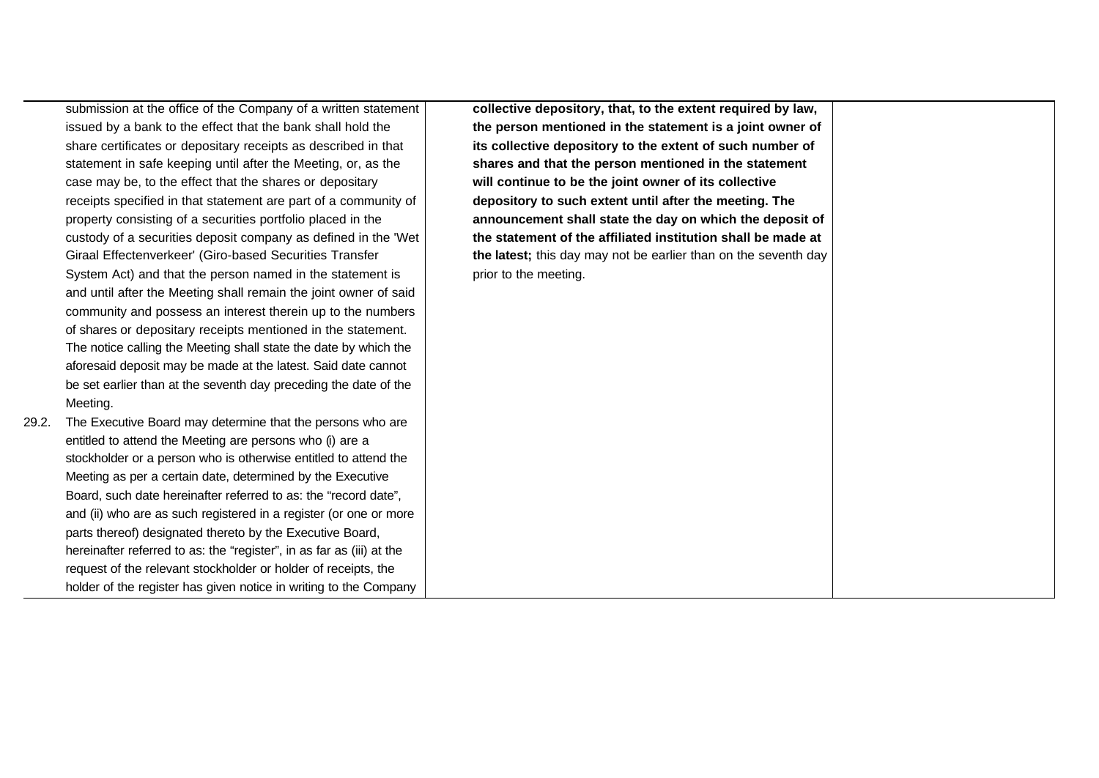submission at the office of the Company of a written statement issued by a bank to the effect that the bank shall hold the share certificates or depositary receipts as described in that statement in safe keeping until after the Meeting, or, as the case may be, to the effect that the shares or depositary receipts specified in that statement are part of a community of property consisting of a securities portfolio placed in the custody of a securities deposit company as defined in the 'Wet Giraal Effectenverkeer' (Giro-based Securities Transfer System Act) and that the person named in the statement is and until after the Meeting shall remain the joint owner of said community and possess an interest therein up to the numbers of shares or depositary receipts mentioned in the statement. The notice calling the Meeting shall state the date by which the aforesaid deposit may be made at the latest. Said date cannot be set earlier than at the seventh day preceding the date of the Meeting.

29.2. The Executive Board may determine that the persons who are entitled to attend the Meeting are persons who (i) are a stockholder or a person who is otherwise entitled to attend the Meeting as per a certain date, determined by the Executive Board, such date hereinafter referred to as: the "record date", and (ii) who are as such registered in a register (or one or more parts thereof) designated thereto by the Executive Board, hereinafter referred to as: the "register", in as far as (iii) at the request of the relevant stockholder or holder of receipts, the holder of the register has given notice in writing to the Company **collective depository, that, to the extent required by law, the person mentioned in the statement is a joint owner of its collective depository to the extent of such number of shares and that the person mentioned in the statement will continue to be the joint owner of its collective depository to such extent until after the meeting. The announcement shall state the day on which the deposit of the statement of the affiliated institution shall be made at the latest;** this day may not be earlier than on the seventh day prior to the meeting.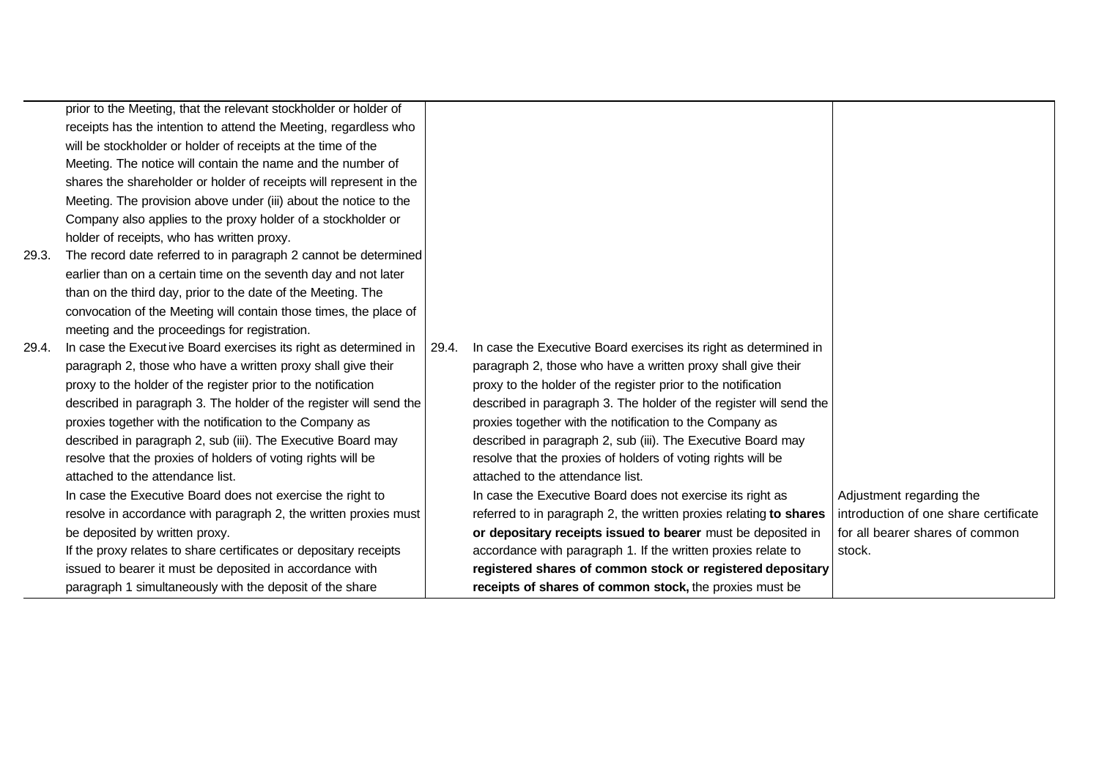|       | prior to the Meeting, that the relevant stockholder or holder of   |       |                                                                    |                                       |
|-------|--------------------------------------------------------------------|-------|--------------------------------------------------------------------|---------------------------------------|
|       | receipts has the intention to attend the Meeting, regardless who   |       |                                                                    |                                       |
|       | will be stockholder or holder of receipts at the time of the       |       |                                                                    |                                       |
|       | Meeting. The notice will contain the name and the number of        |       |                                                                    |                                       |
|       | shares the shareholder or holder of receipts will represent in the |       |                                                                    |                                       |
|       | Meeting. The provision above under (iii) about the notice to the   |       |                                                                    |                                       |
|       | Company also applies to the proxy holder of a stockholder or       |       |                                                                    |                                       |
|       | holder of receipts, who has written proxy.                         |       |                                                                    |                                       |
| 29.3. | The record date referred to in paragraph 2 cannot be determined    |       |                                                                    |                                       |
|       | earlier than on a certain time on the seventh day and not later    |       |                                                                    |                                       |
|       | than on the third day, prior to the date of the Meeting. The       |       |                                                                    |                                       |
|       | convocation of the Meeting will contain those times, the place of  |       |                                                                    |                                       |
|       | meeting and the proceedings for registration.                      |       |                                                                    |                                       |
| 29.4. | In case the Executive Board exercises its right as determined in   | 29.4. | In case the Executive Board exercises its right as determined in   |                                       |
|       | paragraph 2, those who have a written proxy shall give their       |       | paragraph 2, those who have a written proxy shall give their       |                                       |
|       | proxy to the holder of the register prior to the notification      |       | proxy to the holder of the register prior to the notification      |                                       |
|       | described in paragraph 3. The holder of the register will send the |       | described in paragraph 3. The holder of the register will send the |                                       |
|       | proxies together with the notification to the Company as           |       | proxies together with the notification to the Company as           |                                       |
|       | described in paragraph 2, sub (iii). The Executive Board may       |       | described in paragraph 2, sub (iii). The Executive Board may       |                                       |
|       | resolve that the proxies of holders of voting rights will be       |       | resolve that the proxies of holders of voting rights will be       |                                       |
|       | attached to the attendance list.                                   |       | attached to the attendance list.                                   |                                       |
|       | In case the Executive Board does not exercise the right to         |       | In case the Executive Board does not exercise its right as         | Adjustment regarding the              |
|       | resolve in accordance with paragraph 2, the written proxies must   |       | referred to in paragraph 2, the written proxies relating to shares | introduction of one share certificate |
|       | be deposited by written proxy.                                     |       | or depositary receipts issued to bearer must be deposited in       | for all bearer shares of common       |
|       | If the proxy relates to share certificates or depositary receipts  |       | accordance with paragraph 1. If the written proxies relate to      | stock.                                |
|       | issued to bearer it must be deposited in accordance with           |       | registered shares of common stock or registered depositary         |                                       |
|       | paragraph 1 simultaneously with the deposit of the share           |       | receipts of shares of common stock, the proxies must be            |                                       |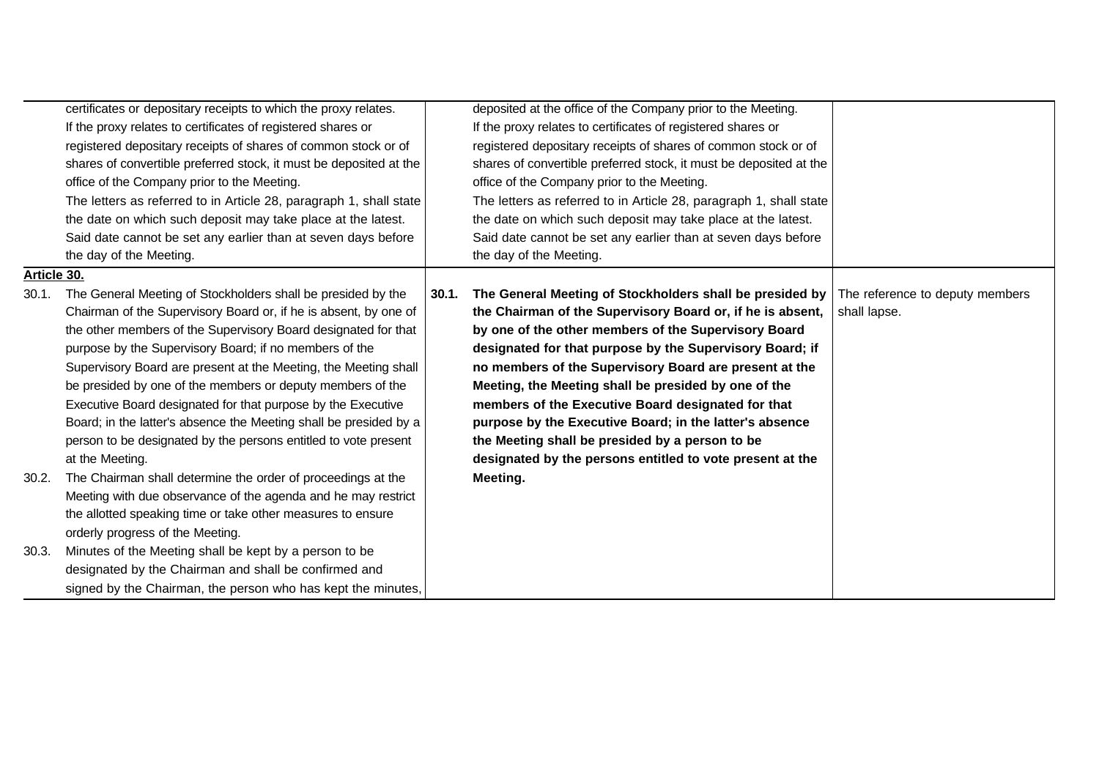|             | certificates or depositary receipts to which the proxy relates.    |       | deposited at the office of the Company prior to the Meeting.       |                                 |
|-------------|--------------------------------------------------------------------|-------|--------------------------------------------------------------------|---------------------------------|
|             | If the proxy relates to certificates of registered shares or       |       | If the proxy relates to certificates of registered shares or       |                                 |
|             | registered depositary receipts of shares of common stock or of     |       | registered depositary receipts of shares of common stock or of     |                                 |
|             | shares of convertible preferred stock, it must be deposited at the |       | shares of convertible preferred stock, it must be deposited at the |                                 |
|             | office of the Company prior to the Meeting.                        |       | office of the Company prior to the Meeting.                        |                                 |
|             | The letters as referred to in Article 28, paragraph 1, shall state |       | The letters as referred to in Article 28, paragraph 1, shall state |                                 |
|             | the date on which such deposit may take place at the latest.       |       | the date on which such deposit may take place at the latest.       |                                 |
|             | Said date cannot be set any earlier than at seven days before      |       | Said date cannot be set any earlier than at seven days before      |                                 |
|             | the day of the Meeting.                                            |       | the day of the Meeting.                                            |                                 |
| Article 30. |                                                                    |       |                                                                    |                                 |
| 30.1.       | The General Meeting of Stockholders shall be presided by the       | 30.1. | The General Meeting of Stockholders shall be presided by           | The reference to deputy members |
|             | Chairman of the Supervisory Board or, if he is absent, by one of   |       | the Chairman of the Supervisory Board or, if he is absent,         | shall lapse.                    |
|             | the other members of the Supervisory Board designated for that     |       | by one of the other members of the Supervisory Board               |                                 |
|             | purpose by the Supervisory Board; if no members of the             |       | designated for that purpose by the Supervisory Board; if           |                                 |
|             | Supervisory Board are present at the Meeting, the Meeting shall    |       | no members of the Supervisory Board are present at the             |                                 |
|             | be presided by one of the members or deputy members of the         |       | Meeting, the Meeting shall be presided by one of the               |                                 |
|             | Executive Board designated for that purpose by the Executive       |       | members of the Executive Board designated for that                 |                                 |
|             | Board; in the latter's absence the Meeting shall be presided by a  |       | purpose by the Executive Board; in the latter's absence            |                                 |
|             | person to be designated by the persons entitled to vote present    |       | the Meeting shall be presided by a person to be                    |                                 |
|             | at the Meeting.                                                    |       | designated by the persons entitled to vote present at the          |                                 |
| 30.2.       | The Chairman shall determine the order of proceedings at the       |       | Meeting.                                                           |                                 |
|             | Meeting with due observance of the agenda and he may restrict      |       |                                                                    |                                 |
|             | the allotted speaking time or take other measures to ensure        |       |                                                                    |                                 |
|             | orderly progress of the Meeting.                                   |       |                                                                    |                                 |
| 30.3.       | Minutes of the Meeting shall be kept by a person to be             |       |                                                                    |                                 |
|             | designated by the Chairman and shall be confirmed and              |       |                                                                    |                                 |
|             | signed by the Chairman, the person who has kept the minutes,       |       |                                                                    |                                 |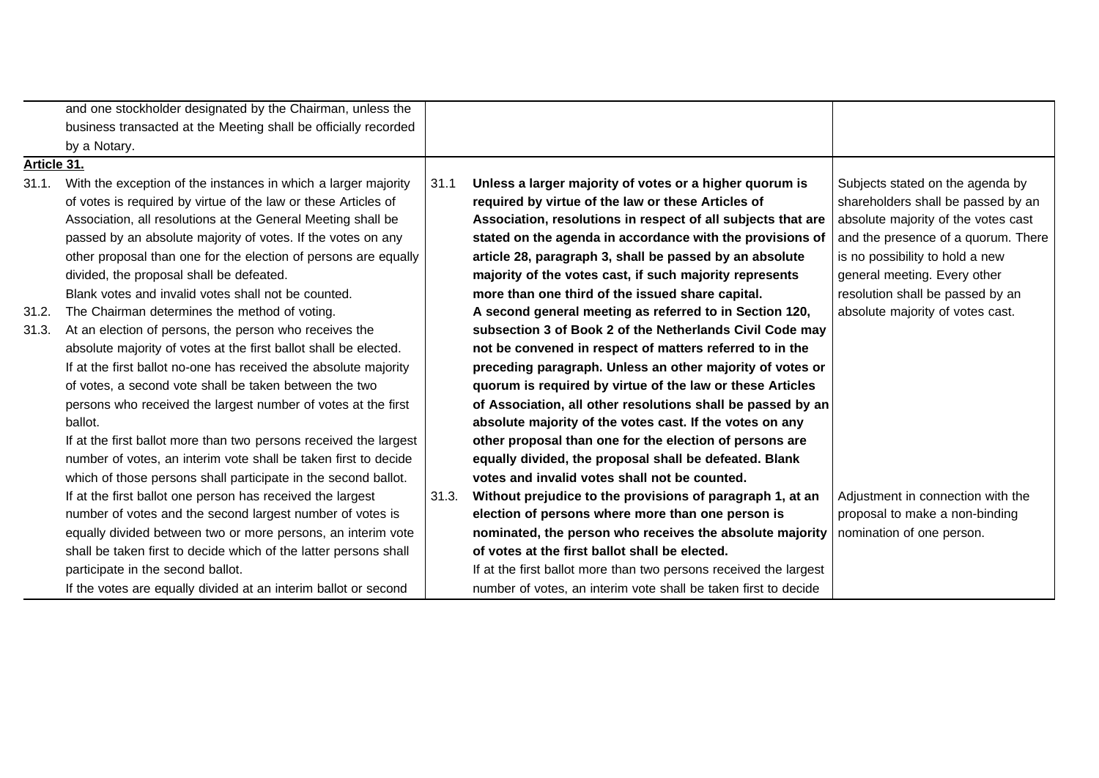|             | and one stockholder designated by the Chairman, unless the        |       |                                                                   |                                     |
|-------------|-------------------------------------------------------------------|-------|-------------------------------------------------------------------|-------------------------------------|
|             | business transacted at the Meeting shall be officially recorded   |       |                                                                   |                                     |
|             | by a Notary.                                                      |       |                                                                   |                                     |
| Article 31. |                                                                   |       |                                                                   |                                     |
| 31.1.       | With the exception of the instances in which a larger majority    | 31.1  | Unless a larger majority of votes or a higher quorum is           | Subjects stated on the agenda by    |
|             | of votes is required by virtue of the law or these Articles of    |       | required by virtue of the law or these Articles of                | shareholders shall be passed by an  |
|             | Association, all resolutions at the General Meeting shall be      |       | Association, resolutions in respect of all subjects that are      | absolute majority of the votes cast |
|             | passed by an absolute majority of votes. If the votes on any      |       | stated on the agenda in accordance with the provisions of         | and the presence of a quorum. There |
|             | other proposal than one for the election of persons are equally   |       | article 28, paragraph 3, shall be passed by an absolute           | is no possibility to hold a new     |
|             | divided, the proposal shall be defeated.                          |       | majority of the votes cast, if such majority represents           | general meeting. Every other        |
|             | Blank votes and invalid votes shall not be counted.               |       | more than one third of the issued share capital.                  | resolution shall be passed by an    |
| 31.2.       | The Chairman determines the method of voting.                     |       | A second general meeting as referred to in Section 120,           | absolute majority of votes cast.    |
| 31.3.       | At an election of persons, the person who receives the            |       | subsection 3 of Book 2 of the Netherlands Civil Code may          |                                     |
|             | absolute majority of votes at the first ballot shall be elected.  |       | not be convened in respect of matters referred to in the          |                                     |
|             | If at the first ballot no-one has received the absolute majority  |       | preceding paragraph. Unless an other majority of votes or         |                                     |
|             | of votes, a second vote shall be taken between the two            |       | quorum is required by virtue of the law or these Articles         |                                     |
|             | persons who received the largest number of votes at the first     |       | of Association, all other resolutions shall be passed by an       |                                     |
|             | ballot.                                                           |       | absolute majority of the votes cast. If the votes on any          |                                     |
|             | If at the first ballot more than two persons received the largest |       | other proposal than one for the election of persons are           |                                     |
|             | number of votes, an interim vote shall be taken first to decide   |       | equally divided, the proposal shall be defeated. Blank            |                                     |
|             | which of those persons shall participate in the second ballot.    |       | votes and invalid votes shall not be counted.                     |                                     |
|             | If at the first ballot one person has received the largest        | 31.3. | Without prejudice to the provisions of paragraph 1, at an         | Adjustment in connection with the   |
|             | number of votes and the second largest number of votes is         |       | election of persons where more than one person is                 | proposal to make a non-binding      |
|             | equally divided between two or more persons, an interim vote      |       | nominated, the person who receives the absolute majority          | nomination of one person.           |
|             | shall be taken first to decide which of the latter persons shall  |       | of votes at the first ballot shall be elected.                    |                                     |
|             | participate in the second ballot.                                 |       | If at the first ballot more than two persons received the largest |                                     |
|             | If the votes are equally divided at an interim ballot or second   |       | number of votes, an interim vote shall be taken first to decide   |                                     |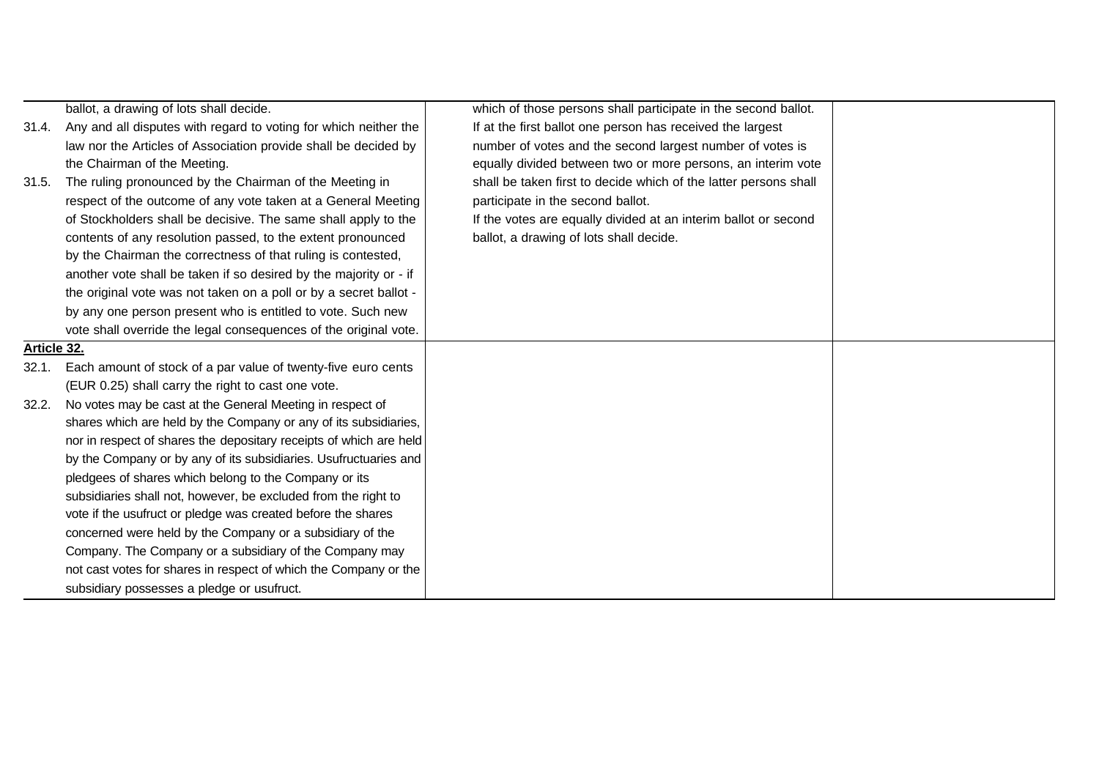|             | ballot, a drawing of lots shall decide.                            | which of those persons shall participate in the second ballot.   |  |
|-------------|--------------------------------------------------------------------|------------------------------------------------------------------|--|
| 31.4.       | Any and all disputes with regard to voting for which neither the   | If at the first ballot one person has received the largest       |  |
|             | law nor the Articles of Association provide shall be decided by    | number of votes and the second largest number of votes is        |  |
|             | the Chairman of the Meeting.                                       | equally divided between two or more persons, an interim vote     |  |
| 31.5.       | The ruling pronounced by the Chairman of the Meeting in            | shall be taken first to decide which of the latter persons shall |  |
|             | respect of the outcome of any vote taken at a General Meeting      | participate in the second ballot.                                |  |
|             | of Stockholders shall be decisive. The same shall apply to the     | If the votes are equally divided at an interim ballot or second  |  |
|             | contents of any resolution passed, to the extent pronounced        | ballot, a drawing of lots shall decide.                          |  |
|             | by the Chairman the correctness of that ruling is contested,       |                                                                  |  |
|             | another vote shall be taken if so desired by the majority or - if  |                                                                  |  |
|             | the original vote was not taken on a poll or by a secret ballot -  |                                                                  |  |
|             | by any one person present who is entitled to vote. Such new        |                                                                  |  |
|             | vote shall override the legal consequences of the original vote.   |                                                                  |  |
| Article 32. |                                                                    |                                                                  |  |
| 32.1.       | Each amount of stock of a par value of twenty-five euro cents      |                                                                  |  |
|             | (EUR 0.25) shall carry the right to cast one vote.                 |                                                                  |  |
| 32.2.       | No votes may be cast at the General Meeting in respect of          |                                                                  |  |
|             | shares which are held by the Company or any of its subsidiaries,   |                                                                  |  |
|             | nor in respect of shares the depositary receipts of which are held |                                                                  |  |
|             | by the Company or by any of its subsidiaries. Usufructuaries and   |                                                                  |  |
|             | pledgees of shares which belong to the Company or its              |                                                                  |  |
|             | subsidiaries shall not, however, be excluded from the right to     |                                                                  |  |
|             | vote if the usufruct or pledge was created before the shares       |                                                                  |  |
|             | concerned were held by the Company or a subsidiary of the          |                                                                  |  |
|             | Company. The Company or a subsidiary of the Company may            |                                                                  |  |
|             | not cast votes for shares in respect of which the Company or the   |                                                                  |  |
|             | subsidiary possesses a pledge or usufruct.                         |                                                                  |  |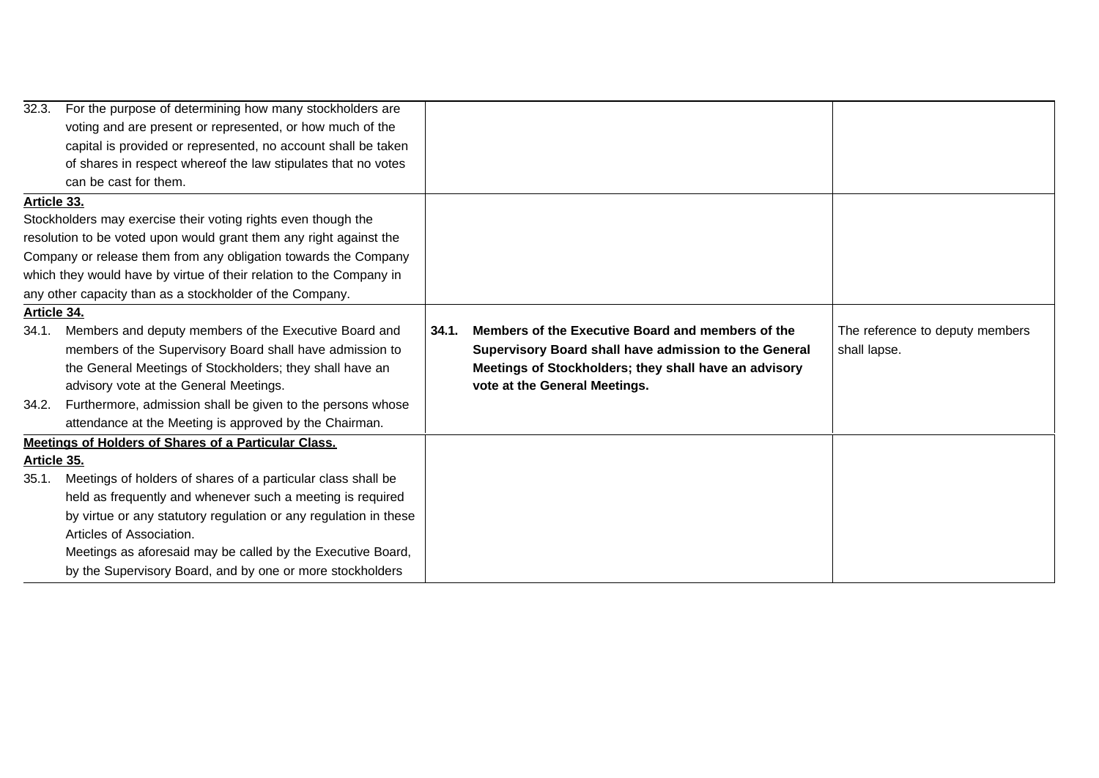| 32.3.                                                               | For the purpose of determining how many stockholders are           |       |                                                       |                                 |
|---------------------------------------------------------------------|--------------------------------------------------------------------|-------|-------------------------------------------------------|---------------------------------|
|                                                                     | voting and are present or represented, or how much of the          |       |                                                       |                                 |
|                                                                     | capital is provided or represented, no account shall be taken      |       |                                                       |                                 |
|                                                                     | of shares in respect whereof the law stipulates that no votes      |       |                                                       |                                 |
|                                                                     | can be cast for them.                                              |       |                                                       |                                 |
| Article 33.                                                         |                                                                    |       |                                                       |                                 |
|                                                                     | Stockholders may exercise their voting rights even though the      |       |                                                       |                                 |
|                                                                     | resolution to be voted upon would grant them any right against the |       |                                                       |                                 |
|                                                                     | Company or release them from any obligation towards the Company    |       |                                                       |                                 |
| which they would have by virtue of their relation to the Company in |                                                                    |       |                                                       |                                 |
| any other capacity than as a stockholder of the Company.            |                                                                    |       |                                                       |                                 |
| Article 34.                                                         |                                                                    |       |                                                       |                                 |
| 34.1.                                                               | Members and deputy members of the Executive Board and              | 34.1. | Members of the Executive Board and members of the     | The reference to deputy members |
|                                                                     | members of the Supervisory Board shall have admission to           |       | Supervisory Board shall have admission to the General | shall lapse.                    |
|                                                                     | the General Meetings of Stockholders; they shall have an           |       | Meetings of Stockholders; they shall have an advisory |                                 |
|                                                                     | advisory vote at the General Meetings.                             |       | vote at the General Meetings.                         |                                 |
|                                                                     | 34.2. Furthermore, admission shall be given to the persons whose   |       |                                                       |                                 |
|                                                                     | attendance at the Meeting is approved by the Chairman.             |       |                                                       |                                 |
|                                                                     | Meetings of Holders of Shares of a Particular Class.               |       |                                                       |                                 |
| Article 35.                                                         |                                                                    |       |                                                       |                                 |
| 35.1.                                                               | Meetings of holders of shares of a particular class shall be       |       |                                                       |                                 |
|                                                                     | held as frequently and whenever such a meeting is required         |       |                                                       |                                 |
|                                                                     | by virtue or any statutory regulation or any regulation in these   |       |                                                       |                                 |
|                                                                     | Articles of Association.                                           |       |                                                       |                                 |
|                                                                     | Meetings as aforesaid may be called by the Executive Board,        |       |                                                       |                                 |
|                                                                     | by the Supervisory Board, and by one or more stockholders          |       |                                                       |                                 |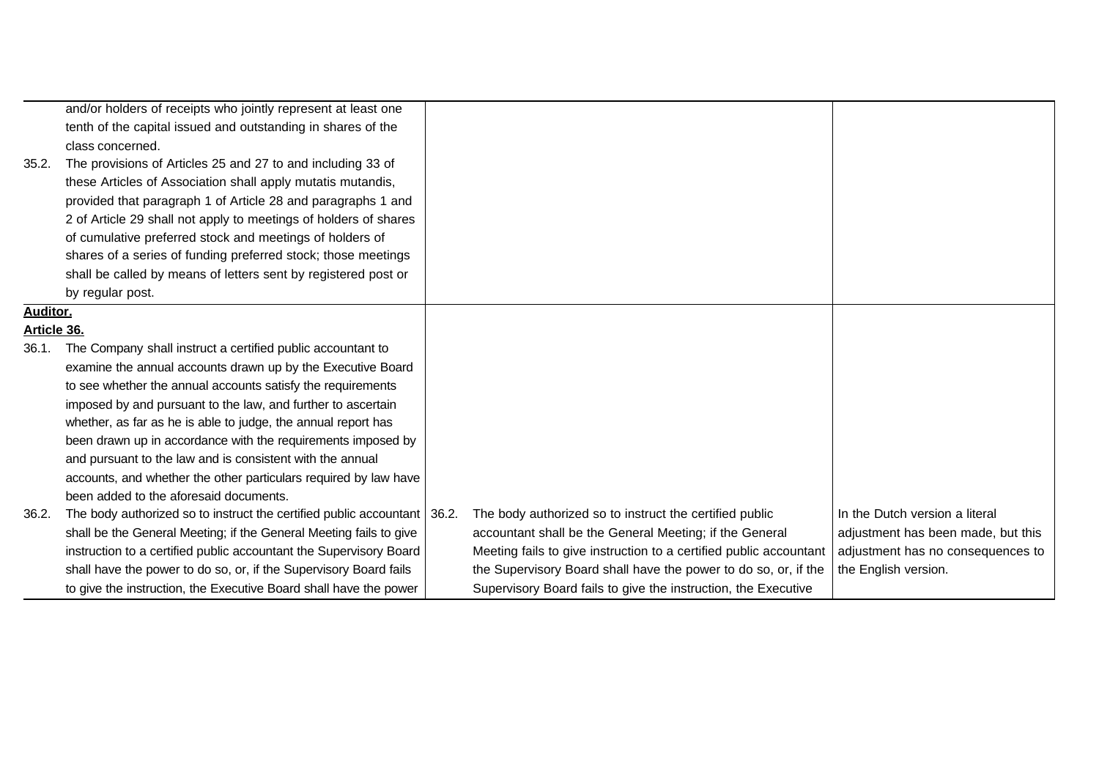|                 | and/or holders of receipts who jointly represent at least one              |                                                                    |                                    |
|-----------------|----------------------------------------------------------------------------|--------------------------------------------------------------------|------------------------------------|
|                 | tenth of the capital issued and outstanding in shares of the               |                                                                    |                                    |
|                 | class concerned.                                                           |                                                                    |                                    |
| 35.2.           | The provisions of Articles 25 and 27 to and including 33 of                |                                                                    |                                    |
|                 | these Articles of Association shall apply mutatis mutandis,                |                                                                    |                                    |
|                 | provided that paragraph 1 of Article 28 and paragraphs 1 and               |                                                                    |                                    |
|                 | 2 of Article 29 shall not apply to meetings of holders of shares           |                                                                    |                                    |
|                 | of cumulative preferred stock and meetings of holders of                   |                                                                    |                                    |
|                 | shares of a series of funding preferred stock; those meetings              |                                                                    |                                    |
|                 | shall be called by means of letters sent by registered post or             |                                                                    |                                    |
|                 | by regular post.                                                           |                                                                    |                                    |
| <b>Auditor.</b> |                                                                            |                                                                    |                                    |
| Article 36.     |                                                                            |                                                                    |                                    |
| 36.1.           | The Company shall instruct a certified public accountant to                |                                                                    |                                    |
|                 | examine the annual accounts drawn up by the Executive Board                |                                                                    |                                    |
|                 | to see whether the annual accounts satisfy the requirements                |                                                                    |                                    |
|                 | imposed by and pursuant to the law, and further to ascertain               |                                                                    |                                    |
|                 | whether, as far as he is able to judge, the annual report has              |                                                                    |                                    |
|                 | been drawn up in accordance with the requirements imposed by               |                                                                    |                                    |
|                 | and pursuant to the law and is consistent with the annual                  |                                                                    |                                    |
|                 | accounts, and whether the other particulars required by law have           |                                                                    |                                    |
|                 | been added to the aforesaid documents.                                     |                                                                    |                                    |
| 36.2.           | The body authorized so to instruct the certified public accountant   36.2. | The body authorized so to instruct the certified public            | In the Dutch version a literal     |
|                 | shall be the General Meeting; if the General Meeting fails to give         | accountant shall be the General Meeting; if the General            | adjustment has been made, but this |
|                 | instruction to a certified public accountant the Supervisory Board         | Meeting fails to give instruction to a certified public accountant | adjustment has no consequences to  |
|                 | shall have the power to do so, or, if the Supervisory Board fails          | the Supervisory Board shall have the power to do so, or, if the    | the English version.               |
|                 | to give the instruction, the Executive Board shall have the power          | Supervisory Board fails to give the instruction, the Executive     |                                    |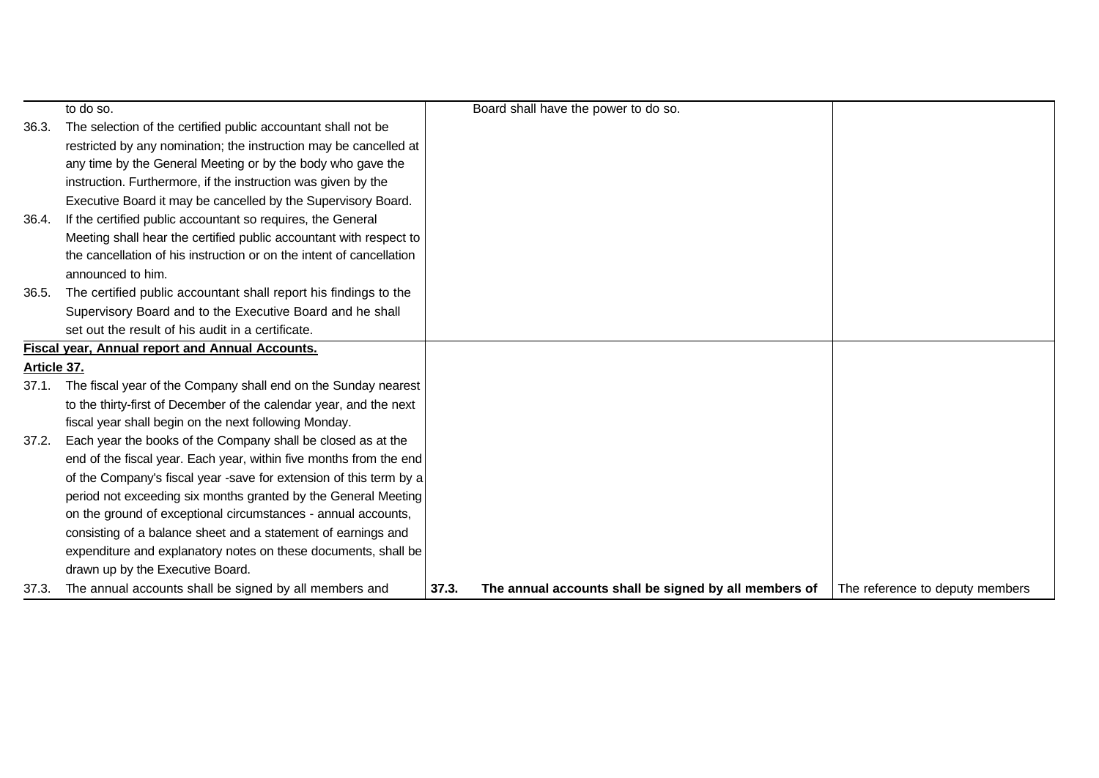|                                                        | to do so.                                                            |       | Board shall have the power to do so.                  |                                 |
|--------------------------------------------------------|----------------------------------------------------------------------|-------|-------------------------------------------------------|---------------------------------|
| 36.3.                                                  | The selection of the certified public accountant shall not be        |       |                                                       |                                 |
|                                                        | restricted by any nomination; the instruction may be cancelled at    |       |                                                       |                                 |
|                                                        | any time by the General Meeting or by the body who gave the          |       |                                                       |                                 |
|                                                        | instruction. Furthermore, if the instruction was given by the        |       |                                                       |                                 |
|                                                        | Executive Board it may be cancelled by the Supervisory Board.        |       |                                                       |                                 |
| 36.4.                                                  | If the certified public accountant so requires, the General          |       |                                                       |                                 |
|                                                        | Meeting shall hear the certified public accountant with respect to   |       |                                                       |                                 |
|                                                        | the cancellation of his instruction or on the intent of cancellation |       |                                                       |                                 |
|                                                        | announced to him.                                                    |       |                                                       |                                 |
| 36.5.                                                  | The certified public accountant shall report his findings to the     |       |                                                       |                                 |
|                                                        | Supervisory Board and to the Executive Board and he shall            |       |                                                       |                                 |
|                                                        | set out the result of his audit in a certificate.                    |       |                                                       |                                 |
| <b>Fiscal year, Annual report and Annual Accounts.</b> |                                                                      |       |                                                       |                                 |
| Article 37.                                            |                                                                      |       |                                                       |                                 |
| 37.1.                                                  | The fiscal year of the Company shall end on the Sunday nearest       |       |                                                       |                                 |
|                                                        | to the thirty-first of December of the calendar year, and the next   |       |                                                       |                                 |
|                                                        | fiscal year shall begin on the next following Monday.                |       |                                                       |                                 |
| 37.2.                                                  | Each year the books of the Company shall be closed as at the         |       |                                                       |                                 |
|                                                        | end of the fiscal year. Each year, within five months from the end   |       |                                                       |                                 |
|                                                        | of the Company's fiscal year -save for extension of this term by a   |       |                                                       |                                 |
|                                                        | period not exceeding six months granted by the General Meeting       |       |                                                       |                                 |
|                                                        | on the ground of exceptional circumstances - annual accounts,        |       |                                                       |                                 |
|                                                        | consisting of a balance sheet and a statement of earnings and        |       |                                                       |                                 |
|                                                        | expenditure and explanatory notes on these documents, shall be       |       |                                                       |                                 |
|                                                        | drawn up by the Executive Board.                                     |       |                                                       |                                 |
| 37.3.                                                  | The annual accounts shall be signed by all members and               | 37.3. | The annual accounts shall be signed by all members of | The reference to deputy members |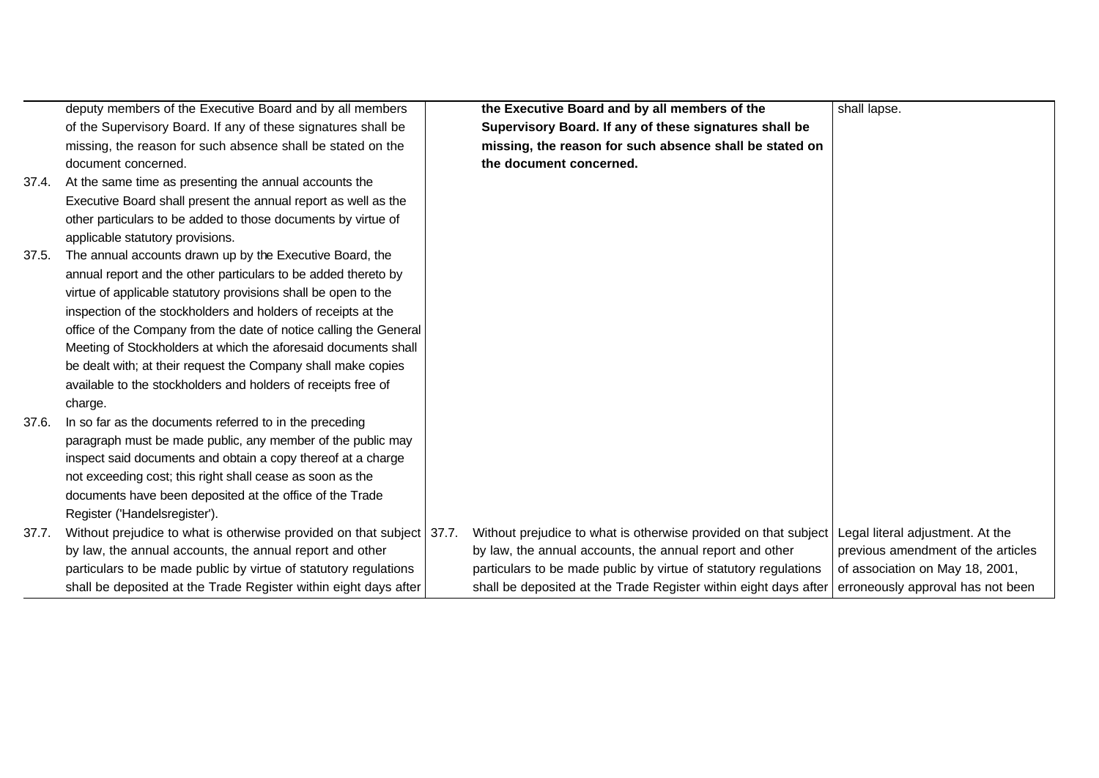|       | deputy members of the Executive Board and by all members              | the Executive Board and by all members of the                                                      | shall lapse.                       |
|-------|-----------------------------------------------------------------------|----------------------------------------------------------------------------------------------------|------------------------------------|
|       | of the Supervisory Board. If any of these signatures shall be         | Supervisory Board. If any of these signatures shall be                                             |                                    |
|       | missing, the reason for such absence shall be stated on the           | missing, the reason for such absence shall be stated on                                            |                                    |
|       | document concerned.                                                   | the document concerned.                                                                            |                                    |
| 37.4. | At the same time as presenting the annual accounts the                |                                                                                                    |                                    |
|       | Executive Board shall present the annual report as well as the        |                                                                                                    |                                    |
|       | other particulars to be added to those documents by virtue of         |                                                                                                    |                                    |
|       | applicable statutory provisions.                                      |                                                                                                    |                                    |
| 37.5. | The annual accounts drawn up by the Executive Board, the              |                                                                                                    |                                    |
|       | annual report and the other particulars to be added thereto by        |                                                                                                    |                                    |
|       | virtue of applicable statutory provisions shall be open to the        |                                                                                                    |                                    |
|       | inspection of the stockholders and holders of receipts at the         |                                                                                                    |                                    |
|       | office of the Company from the date of notice calling the General     |                                                                                                    |                                    |
|       | Meeting of Stockholders at which the aforesaid documents shall        |                                                                                                    |                                    |
|       | be dealt with; at their request the Company shall make copies         |                                                                                                    |                                    |
|       | available to the stockholders and holders of receipts free of         |                                                                                                    |                                    |
|       | charge.                                                               |                                                                                                    |                                    |
| 37.6. | In so far as the documents referred to in the preceding               |                                                                                                    |                                    |
|       | paragraph must be made public, any member of the public may           |                                                                                                    |                                    |
|       | inspect said documents and obtain a copy thereof at a charge          |                                                                                                    |                                    |
|       | not exceeding cost; this right shall cease as soon as the             |                                                                                                    |                                    |
|       | documents have been deposited at the office of the Trade              |                                                                                                    |                                    |
|       | Register ('Handelsregister').                                         |                                                                                                    |                                    |
| 37.7. | Without prejudice to what is otherwise provided on that subject 37.7. | Without prejudice to what is otherwise provided on that subject Legal literal adjustment. At the   |                                    |
|       | by law, the annual accounts, the annual report and other              | by law, the annual accounts, the annual report and other                                           | previous amendment of the articles |
|       | particulars to be made public by virtue of statutory regulations      | particulars to be made public by virtue of statutory regulations                                   | of association on May 18, 2001,    |
|       | shall be deposited at the Trade Register within eight days after      | shall be deposited at the Trade Register within eight days after erroneously approval has not been |                                    |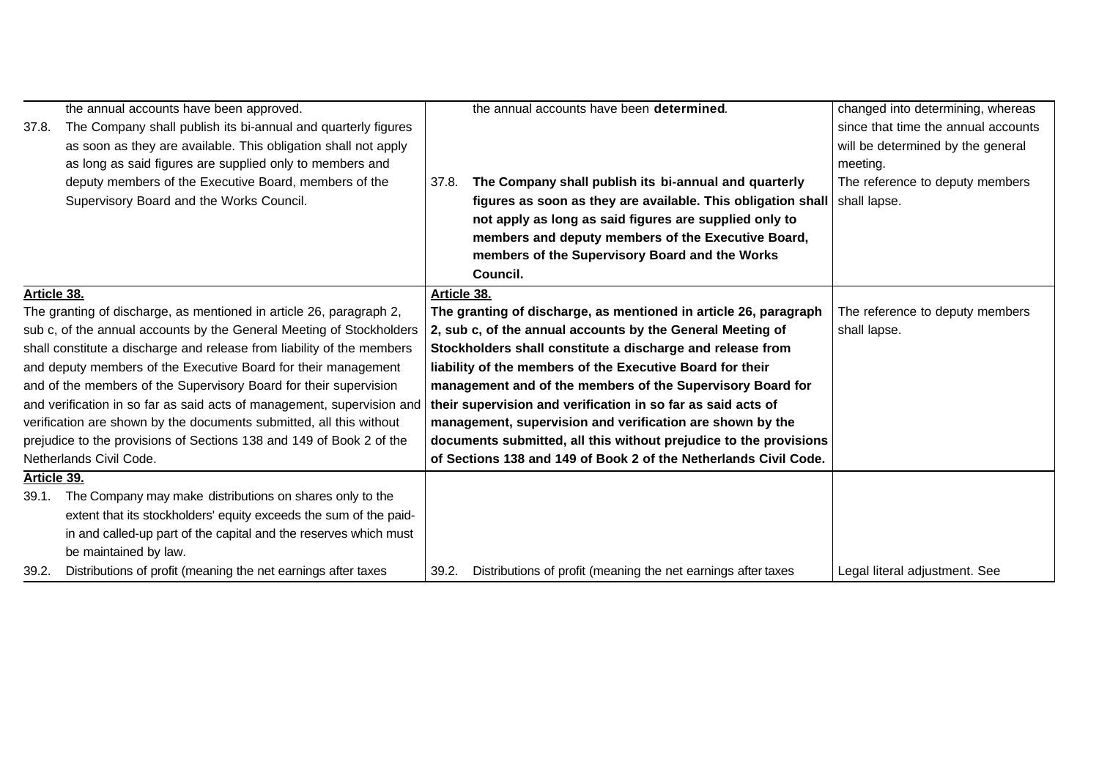|                                                                        | the annual accounts have been approved.                                |             | the annual accounts have been determined.                                   | changed into determining, whereas   |
|------------------------------------------------------------------------|------------------------------------------------------------------------|-------------|-----------------------------------------------------------------------------|-------------------------------------|
| 37.8.                                                                  | The Company shall publish its bi-annual and quarterly figures          |             |                                                                             | since that time the annual accounts |
|                                                                        | as soon as they are available. This obligation shall not apply         |             |                                                                             | will be determined by the general   |
|                                                                        | as long as said figures are supplied only to members and               |             |                                                                             | meeting.                            |
|                                                                        | deputy members of the Executive Board, members of the                  | 37.8.       | The Company shall publish its bi-annual and quarterly                       | The reference to deputy members     |
|                                                                        | Supervisory Board and the Works Council.                               |             | figures as soon as they are available. This obligation shall   shall lapse. |                                     |
|                                                                        |                                                                        |             | not apply as long as said figures are supplied only to                      |                                     |
|                                                                        |                                                                        |             | members and deputy members of the Executive Board,                          |                                     |
|                                                                        |                                                                        |             | members of the Supervisory Board and the Works                              |                                     |
|                                                                        |                                                                        |             | Council.                                                                    |                                     |
| Article 38.                                                            |                                                                        | Article 38. |                                                                             |                                     |
|                                                                        | The granting of discharge, as mentioned in article 26, paragraph 2,    |             | The granting of discharge, as mentioned in article 26, paragraph            | The reference to deputy members     |
|                                                                        | sub c, of the annual accounts by the General Meeting of Stockholders   |             | 2, sub c, of the annual accounts by the General Meeting of                  | shall lapse.                        |
| shall constitute a discharge and release from liability of the members |                                                                        |             | Stockholders shall constitute a discharge and release from                  |                                     |
|                                                                        | and deputy members of the Executive Board for their management         |             | liability of the members of the Executive Board for their                   |                                     |
|                                                                        | and of the members of the Supervisory Board for their supervision      |             | management and of the members of the Supervisory Board for                  |                                     |
|                                                                        | and verification in so far as said acts of management, supervision and |             | their supervision and verification in so far as said acts of                |                                     |
|                                                                        | verification are shown by the documents submitted, all this without    |             | management, supervision and verification are shown by the                   |                                     |
|                                                                        | prejudice to the provisions of Sections 138 and 149 of Book 2 of the   |             | documents submitted, all this without prejudice to the provisions           |                                     |
|                                                                        | Netherlands Civil Code.                                                |             | of Sections 138 and 149 of Book 2 of the Netherlands Civil Code.            |                                     |
| Article 39.                                                            |                                                                        |             |                                                                             |                                     |
| 39.1.                                                                  | The Company may make distributions on shares only to the               |             |                                                                             |                                     |
|                                                                        | extent that its stockholders' equity exceeds the sum of the paid-      |             |                                                                             |                                     |
|                                                                        | in and called-up part of the capital and the reserves which must       |             |                                                                             |                                     |
|                                                                        | be maintained by law.                                                  |             |                                                                             |                                     |
| 39.2.                                                                  | Distributions of profit (meaning the net earnings after taxes          | 39.2.       | Distributions of profit (meaning the net earnings after taxes               | Legal literal adjustment. See       |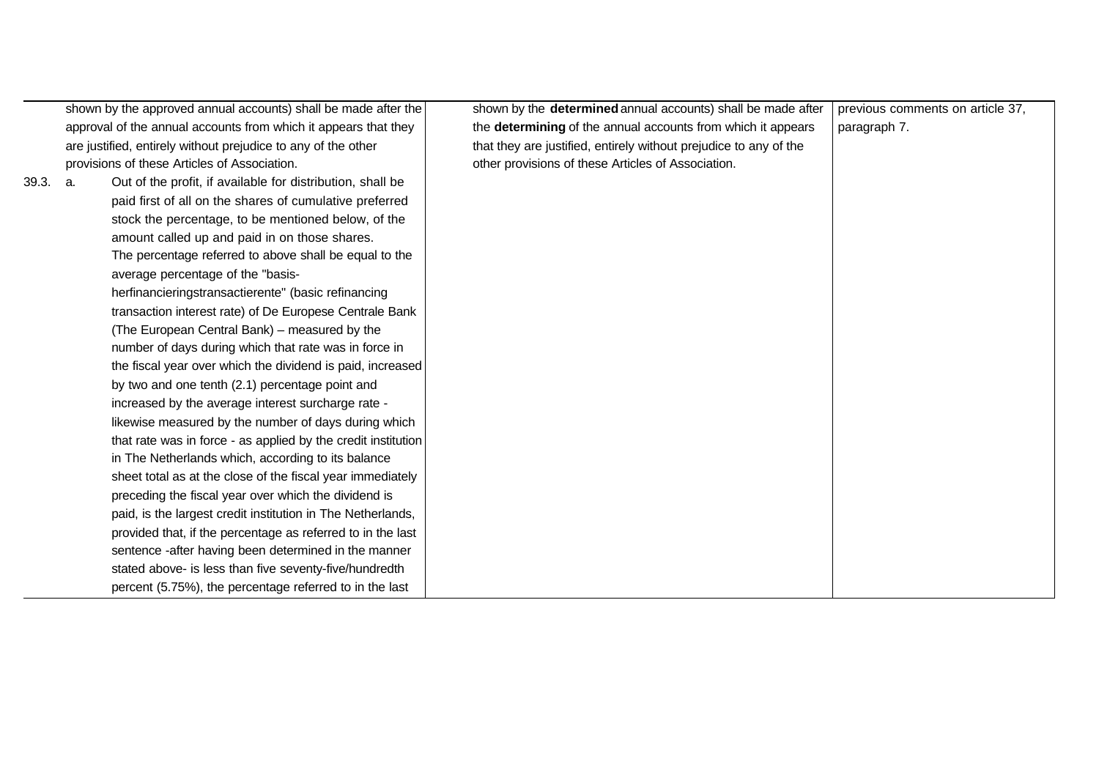|       |    | shown by the approved annual accounts) shall be made after the  | shown by the determined annual accounts) shall be made after      | previous comments on article 37, |
|-------|----|-----------------------------------------------------------------|-------------------------------------------------------------------|----------------------------------|
|       |    | approval of the annual accounts from which it appears that they | the determining of the annual accounts from which it appears      | paragraph 7.                     |
|       |    | are justified, entirely without prejudice to any of the other   | that they are justified, entirely without prejudice to any of the |                                  |
|       |    | provisions of these Articles of Association.                    | other provisions of these Articles of Association.                |                                  |
| 39.3. | a. | Out of the profit, if available for distribution, shall be      |                                                                   |                                  |
|       |    | paid first of all on the shares of cumulative preferred         |                                                                   |                                  |
|       |    | stock the percentage, to be mentioned below, of the             |                                                                   |                                  |
|       |    | amount called up and paid in on those shares.                   |                                                                   |                                  |
|       |    | The percentage referred to above shall be equal to the          |                                                                   |                                  |
|       |    | average percentage of the "basis-                               |                                                                   |                                  |
|       |    | herfinancieringstransactierente" (basic refinancing             |                                                                   |                                  |
|       |    | transaction interest rate) of De Europese Centrale Bank         |                                                                   |                                  |
|       |    | (The European Central Bank) - measured by the                   |                                                                   |                                  |
|       |    | number of days during which that rate was in force in           |                                                                   |                                  |
|       |    | the fiscal year over which the dividend is paid, increased      |                                                                   |                                  |
|       |    | by two and one tenth (2.1) percentage point and                 |                                                                   |                                  |
|       |    | increased by the average interest surcharge rate -              |                                                                   |                                  |
|       |    | likewise measured by the number of days during which            |                                                                   |                                  |
|       |    | that rate was in force - as applied by the credit institution   |                                                                   |                                  |
|       |    | in The Netherlands which, according to its balance              |                                                                   |                                  |
|       |    | sheet total as at the close of the fiscal year immediately      |                                                                   |                                  |
|       |    | preceding the fiscal year over which the dividend is            |                                                                   |                                  |
|       |    | paid, is the largest credit institution in The Netherlands,     |                                                                   |                                  |
|       |    | provided that, if the percentage as referred to in the last     |                                                                   |                                  |
|       |    | sentence -after having been determined in the manner            |                                                                   |                                  |
|       |    | stated above- is less than five seventy-five/hundredth          |                                                                   |                                  |
|       |    | percent (5.75%), the percentage referred to in the last         |                                                                   |                                  |
|       |    |                                                                 |                                                                   |                                  |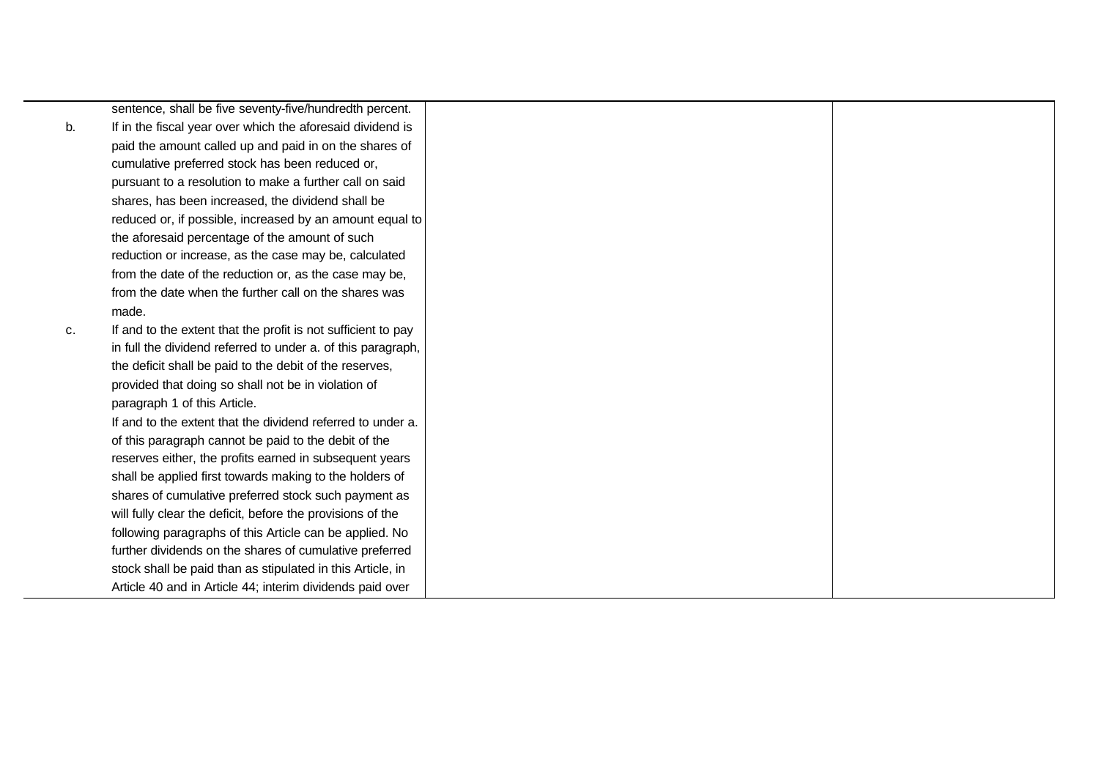|    | sentence, shall be five seventy-five/hundredth percent.       |
|----|---------------------------------------------------------------|
| b. | If in the fiscal year over which the aforesaid dividend is    |
|    | paid the amount called up and paid in on the shares of        |
|    | cumulative preferred stock has been reduced or,               |
|    | pursuant to a resolution to make a further call on said       |
|    | shares, has been increased, the dividend shall be             |
|    | reduced or, if possible, increased by an amount equal to      |
|    | the aforesaid percentage of the amount of such                |
|    | reduction or increase, as the case may be, calculated         |
|    | from the date of the reduction or, as the case may be,        |
|    | from the date when the further call on the shares was         |
|    | made.                                                         |
| c. | If and to the extent that the profit is not sufficient to pay |
|    | in full the dividend referred to under a. of this paragraph,  |
|    | the deficit shall be paid to the debit of the reserves,       |
|    | provided that doing so shall not be in violation of           |
|    | paragraph 1 of this Article.                                  |
|    | If and to the extent that the dividend referred to under a.   |
|    | of this paragraph cannot be paid to the debit of the          |
|    | reserves either, the profits earned in subsequent years       |
|    | shall be applied first towards making to the holders of       |
|    | shares of cumulative preferred stock such payment as          |
|    | will fully clear the deficit, before the provisions of the    |
|    | following paragraphs of this Article can be applied. No       |
|    | further dividends on the shares of cumulative preferred       |
|    | stock shall be paid than as stipulated in this Article, in    |
|    | Article 40 and in Article 44; interim dividends paid over     |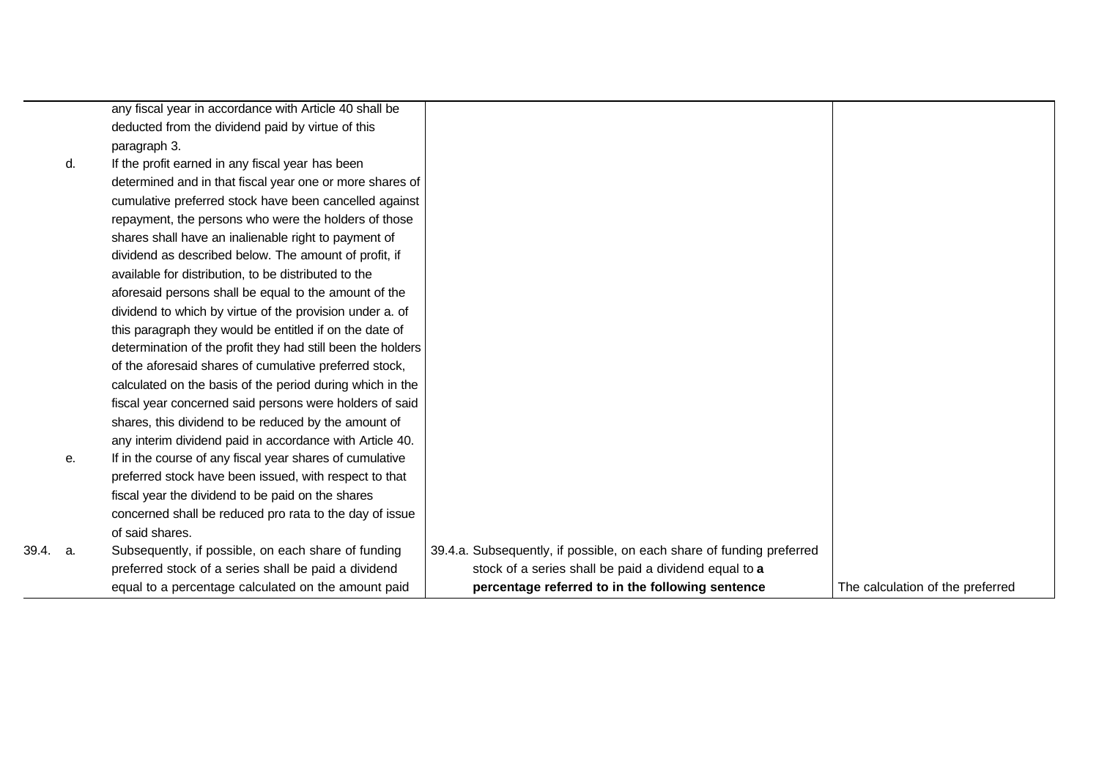|       |    | equal to a percentage calculated on the amount paid         | percentage referred to in the following sentence                      | The calculation of the preferred |
|-------|----|-------------------------------------------------------------|-----------------------------------------------------------------------|----------------------------------|
|       |    | preferred stock of a series shall be paid a dividend        | stock of a series shall be paid a dividend equal to a                 |                                  |
| 39.4. | а. | Subsequently, if possible, on each share of funding         | 39.4.a. Subsequently, if possible, on each share of funding preferred |                                  |
|       |    | of said shares.                                             |                                                                       |                                  |
|       |    | concerned shall be reduced pro rata to the day of issue     |                                                                       |                                  |
|       |    | fiscal year the dividend to be paid on the shares           |                                                                       |                                  |
|       |    | preferred stock have been issued, with respect to that      |                                                                       |                                  |
|       | е. | If in the course of any fiscal year shares of cumulative    |                                                                       |                                  |
|       |    | any interim dividend paid in accordance with Article 40.    |                                                                       |                                  |
|       |    | shares, this dividend to be reduced by the amount of        |                                                                       |                                  |
|       |    | fiscal year concerned said persons were holders of said     |                                                                       |                                  |
|       |    | calculated on the basis of the period during which in the   |                                                                       |                                  |
|       |    | of the aforesaid shares of cumulative preferred stock,      |                                                                       |                                  |
|       |    | determination of the profit they had still been the holders |                                                                       |                                  |
|       |    | this paragraph they would be entitled if on the date of     |                                                                       |                                  |
|       |    | dividend to which by virtue of the provision under a. of    |                                                                       |                                  |
|       |    | aforesaid persons shall be equal to the amount of the       |                                                                       |                                  |
|       |    | available for distribution, to be distributed to the        |                                                                       |                                  |
|       |    | dividend as described below. The amount of profit, if       |                                                                       |                                  |
|       |    | shares shall have an inalienable right to payment of        |                                                                       |                                  |
|       |    | repayment, the persons who were the holders of those        |                                                                       |                                  |
|       |    | cumulative preferred stock have been cancelled against      |                                                                       |                                  |
|       |    | determined and in that fiscal year one or more shares of    |                                                                       |                                  |
|       | d. | If the profit earned in any fiscal year has been            |                                                                       |                                  |
|       |    | paragraph 3.                                                |                                                                       |                                  |
|       |    | deducted from the dividend paid by virtue of this           |                                                                       |                                  |
|       |    | any fiscal year in accordance with Article 40 shall be      |                                                                       |                                  |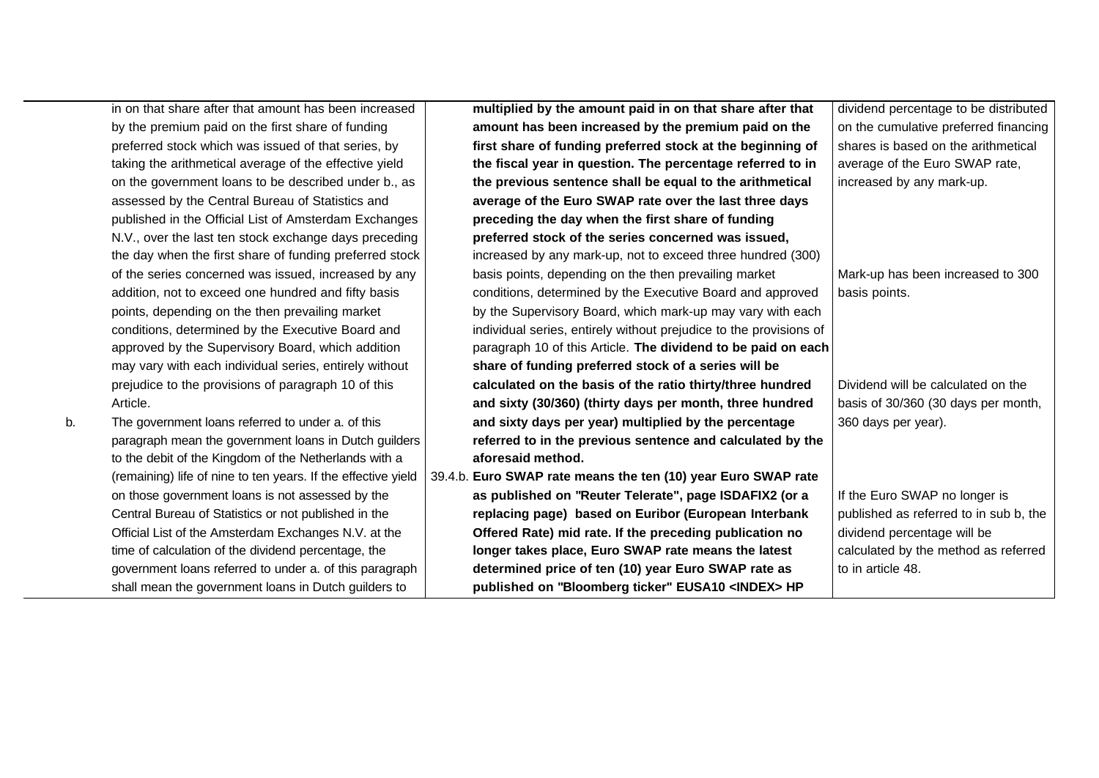in on that share after that amount has been increased by the premium paid on the first share of funding preferred stock which was issued of that series, by taking the arithmetical average of the effective yield on the government loans to be described under b., as assessed by the Central Bureau of Statistics and published in the Official List of Amsterdam Exchanges N.V., over the last ten stock exchange days preceding the day when the first share of funding preferred stock of the series concerned was issued, increased by any addition, not to exceed one hundred and fifty basis points, depending on the then prevailing market conditions, determined by the Executive Board and approved by the Supervisory Board, which addition may vary with each individual series, entirely without prejudice to the provisions of paragraph 10 of this Article.

b. The government loans referred to under a. of this paragraph mean the government loans in Dutch guilders to the debit of the Kingdom of the Netherlands with a (remaining) life of nine to ten years. If the effective yield on those government loans is not assessed by the Central Bureau of Statistics or not published in the Official List of the Amsterdam Exchanges N.V. at the time of calculation of the dividend percentage, the government loans referred to under a. of this paragraph shall mean the government loans in Dutch guilders to

**multiplied by the amount paid in on that share after that amount has been increased by the premium paid on the first share of funding preferred stock at the beginning of the fiscal year in question. The percentage referred to in the previous sentence shall be equal to the arithmetical average of the Euro SWAP rate over the last three days preceding the day when the first share of funding preferred stock of the series concerned was issued,** increased by any mark-up, not to exceed three hundred (300) basis points, depending on the then prevailing market conditions, determined by the Executive Board and approved by the Supervisory Board, which mark-up may vary with each individual series, entirely without prejudice to the provisions of paragraph 10 of this Article. **The dividend to be paid on each share of funding preferred stock of a series will be calculated on the basis of the ratio thirty/three hundred and sixty (30/360) (thirty days per month, three hundred and sixty days per year) multiplied by the percentage referred to in the previous sentence and calculated by the aforesaid method.** 39.4.b. **Euro SWAP rate means the ten (10) year Euro SWAP rate as published on "Reuter Telerate", page ISDAFIX2 (or a replacing page) based on Euribor (European Interbank Offered Rate) mid rate. If the preceding publication no longer takes place, Euro SWAP rate means the latest determined price of ten (10) year Euro SWAP rate as published on "Bloomberg ticker" EUSA10 <INDEX> HP** basis points.

dividend percentage to be distributed on the cumulative preferred financing shares is based on the arithmetical average of the Euro SWAP rate, increased by any mark-up.

Mark-up has been increased to 300

Dividend will be calculated on the basis of 30/360 (30 days per month, 360 days per year).

If the Euro SWAP no longer is published as referred to in sub b, the dividend percentage will be calculated by the method as referred to in article 48.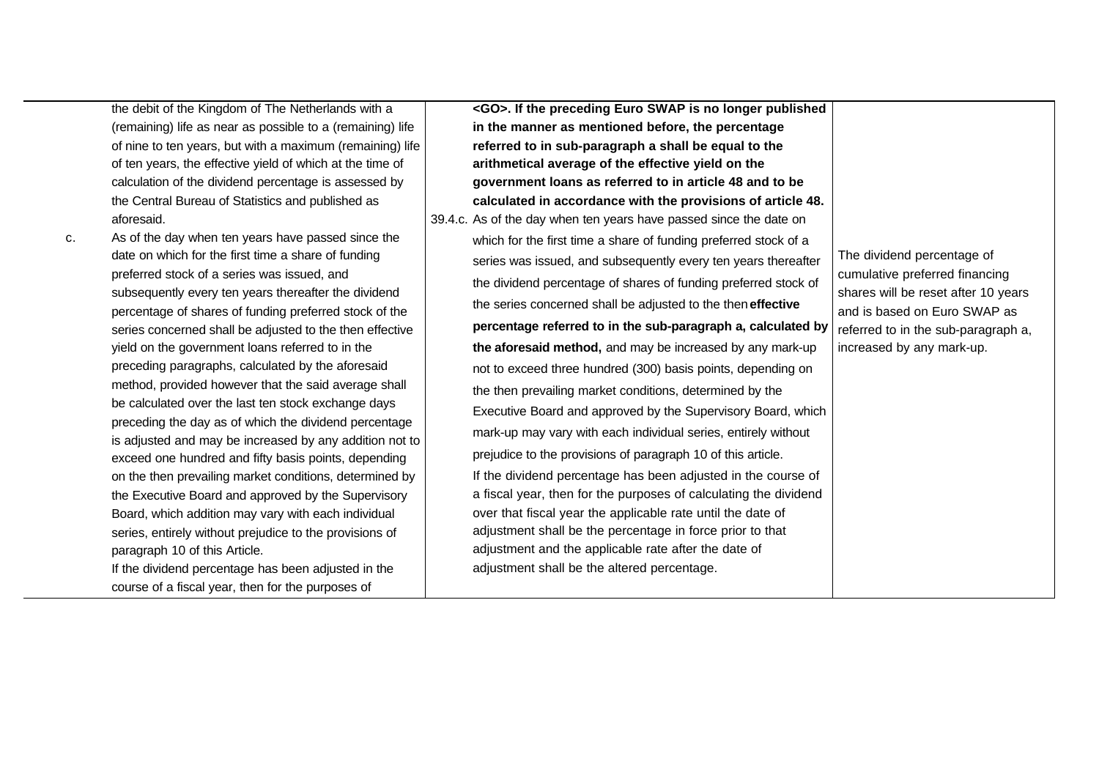the debit of the Kingdom of The Netherlands with a (remaining) life as near as possible to a (remaining) life of nine to ten years, but with a maximum (remaining) life of ten years, the effective yield of which at the time of calculation of the dividend percentage is assessed by the Central Bureau of Statistics and published as aforesaid.

c. As of the day when ten years have passed since the date on which for the first time a share of funding preferred stock of a series was issued, and subsequently every ten years thereafter the dividend percentage of shares of funding preferred stock of the series concerned shall be adjusted to the then effective yield on the government loans referred to in the preceding paragraphs, calculated by the aforesaid method, provided however that the said average shall be calculated over the last ten stock exchange days preceding the day as of which the dividend percentage is adjusted and may be increased by any addition not to exceed one hundred and fifty basis points, depending on the then prevailing market conditions, determined by the Executive Board and approved by the Supervisory Board, which addition may vary with each individual series, entirely without prejudice to the provisions of paragraph 10 of this Article. If the dividend percentage has been adjusted in the

course of a fiscal year, then for the purposes of

**<GO>. If the preceding Euro SWAP is no longer published in the manner as mentioned before, the percentage referred to in sub-paragraph a shall be equal to the arithmetical average of the effective yield on the government loans as referred to in article 48 and to be calculated in accordance with the provisions of article 48.** 39.4.c. As of the day when ten years have passed since the date on which for the first time a share of funding preferred stock of a series was issued, and subsequently every ten years thereafter the dividend percentage of shares of funding preferred stock of the series concerned shall be adjusted to the then **effective percentage referred to in the sub-paragraph a, calculated by the aforesaid method,** and may be increased by any mark-up not to exceed three hundred (300) basis points, depending on the then prevailing market conditions, determined by the Executive Board and approved by the Supervisory Board, which mark-up may vary with each individual series, entirely without prejudice to the provisions of paragraph 10 of this article. If the dividend percentage has been adjusted in the course of a fiscal year, then for the purposes of calculating the dividend over that fiscal year the applicable rate until the date of adjustment shall be the percentage in force prior to that adjustment and the applicable rate after the date of adjustment shall be the altered percentage. The dividend percentage of cumulative preferred financing shares will be reset after 10 years and is based on Euro SWAP as referred to in the sub-paragraph a, increased by any mark-up.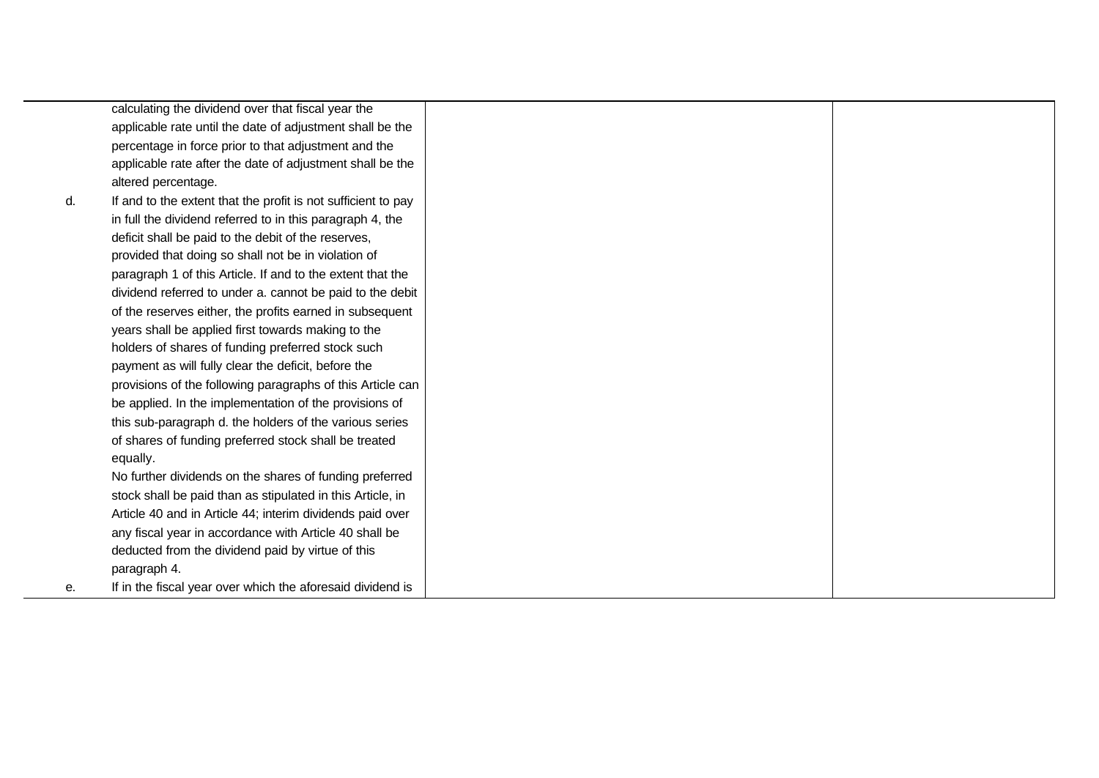calculating the dividend over that fiscal year the applicable rate until the date of adjustment shall be the percentage in force prior to that adjustment and the applicable rate after the date of adjustment shall be the altered percentage. d. If and to the extent that the profit is not sufficient to pay in full the dividend referred to in this paragraph 4, the deficit shall be paid to the debit of the reserves, provided that doing so shall not be in violation of paragraph 1 of this Article. If and to the extent that the dividend referred to under a. cannot be paid to the debit of the reserves either, the profits earned in subsequent years shall be applied first towards making to the holders of shares of funding preferred stock such payment as will fully clear the deficit, before the provisions of the following paragraphs of this Article can be applied. In the implementation of the provisions of this sub-paragraph d. the holders of the various series of shares of funding preferred stock shall be treated equally. No further dividends on the shares of funding preferred stock shall be paid than as stipulated in this Article, in Article 40 and in Article 44; interim dividends paid over any fiscal year in accordance with Article 40 shall be deducted from the dividend paid by virtue of this paragraph 4. e. If in the fiscal year over which the aforesaid dividend is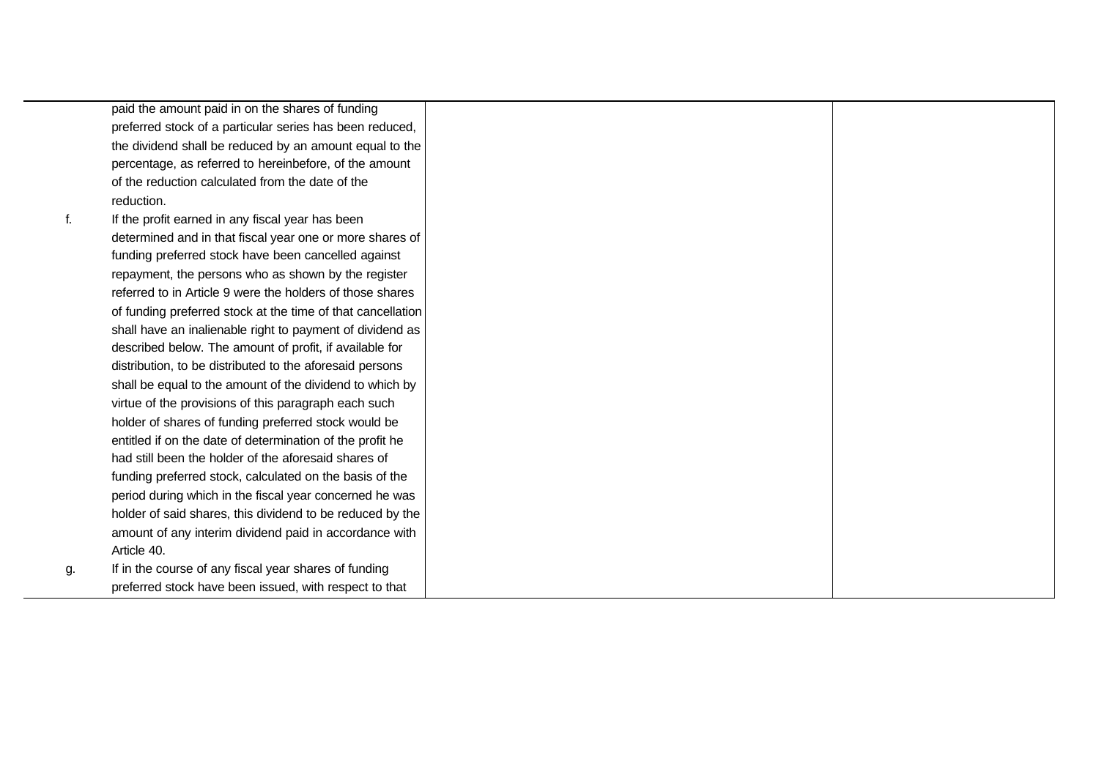paid the amount paid in on the shares of funding preferred stock of a particular series has been reduced, the dividend shall be reduced by an amount equal to the percentage, as referred to hereinbefore, of the amount of the reduction calculated from the date of the reduction.

f. If the profit earned in any fiscal year has been determined and in that fiscal year one or more shares of funding preferred stock have been cancelled against repayment, the persons who as shown by the register referred to in Article 9 were the holders of those shares of funding preferred stock at the time of that cancellation shall have an inalienable right to payment of dividend as described below. The amount of profit, if available for distribution, to be distributed to the aforesaid persons shall be equal to the amount of the dividend to which by virtue of the provisions of this paragraph each such holder of shares of funding preferred stock would be entitled if on the date of determination of the profit he had still been the holder of the aforesaid shares of funding preferred stock, calculated on the basis of the period during which in the fiscal year concerned he was holder of said shares, this dividend to be reduced by the amount of any interim dividend paid in accordance with Article 40. g. If in the course of any fiscal year shares of funding

preferred stock have been issued, with respect to that

- -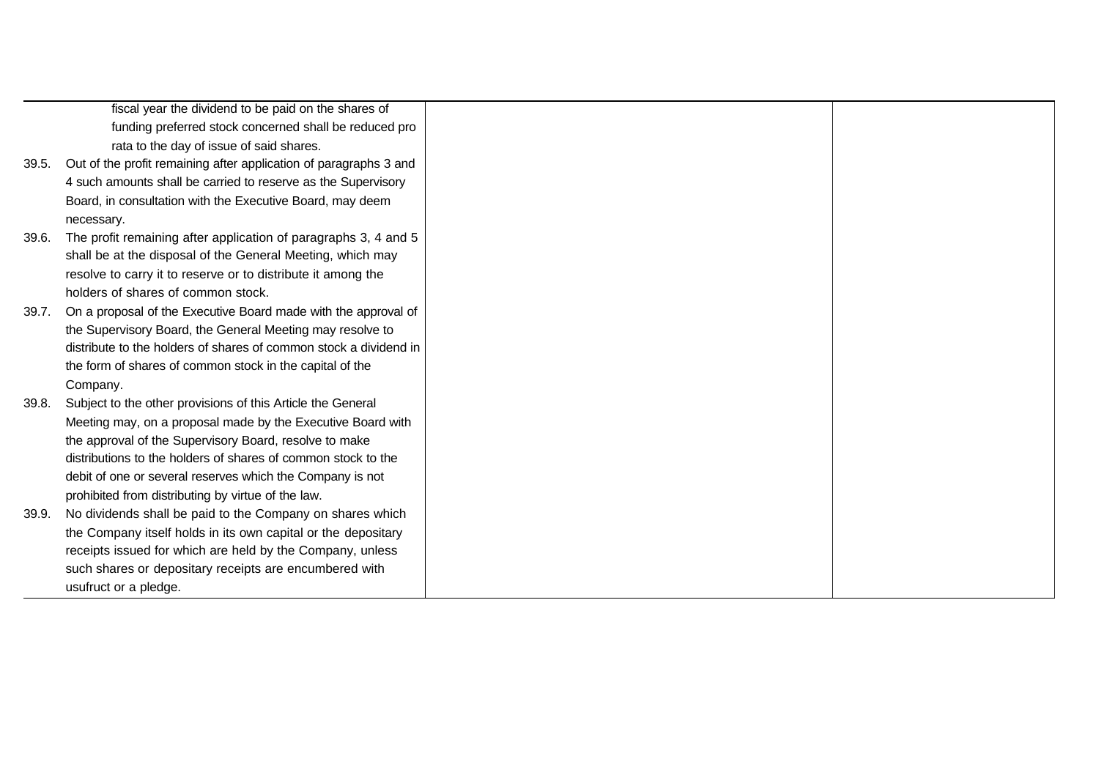|       | fiscal year the dividend to be paid on the shares of              |
|-------|-------------------------------------------------------------------|
|       | funding preferred stock concerned shall be reduced pro            |
|       | rata to the day of issue of said shares.                          |
| 39.5. | Out of the profit remaining after application of paragraphs 3 and |
|       | 4 such amounts shall be carried to reserve as the Supervisory     |
|       | Board, in consultation with the Executive Board, may deem         |
|       | necessary.                                                        |
| 39.6. | The profit remaining after application of paragraphs 3, 4 and 5   |
|       | shall be at the disposal of the General Meeting, which may        |
|       | resolve to carry it to reserve or to distribute it among the      |
|       | holders of shares of common stock.                                |
| 39.7. | On a proposal of the Executive Board made with the approval of    |
|       | the Supervisory Board, the General Meeting may resolve to         |
|       | distribute to the holders of shares of common stock a dividend in |
|       | the form of shares of common stock in the capital of the          |
|       | Company.                                                          |
| 39.8. | Subject to the other provisions of this Article the General       |
|       | Meeting may, on a proposal made by the Executive Board with       |
|       | the approval of the Supervisory Board, resolve to make            |
|       | distributions to the holders of shares of common stock to the     |
|       | debit of one or several reserves which the Company is not         |
|       | prohibited from distributing by virtue of the law.                |
| 39.9. | No dividends shall be paid to the Company on shares which         |
|       | the Company itself holds in its own capital or the depositary     |
|       | receipts issued for which are held by the Company, unless         |
|       | such shares or depositary receipts are encumbered with            |
|       | usufruct or a pledge.                                             |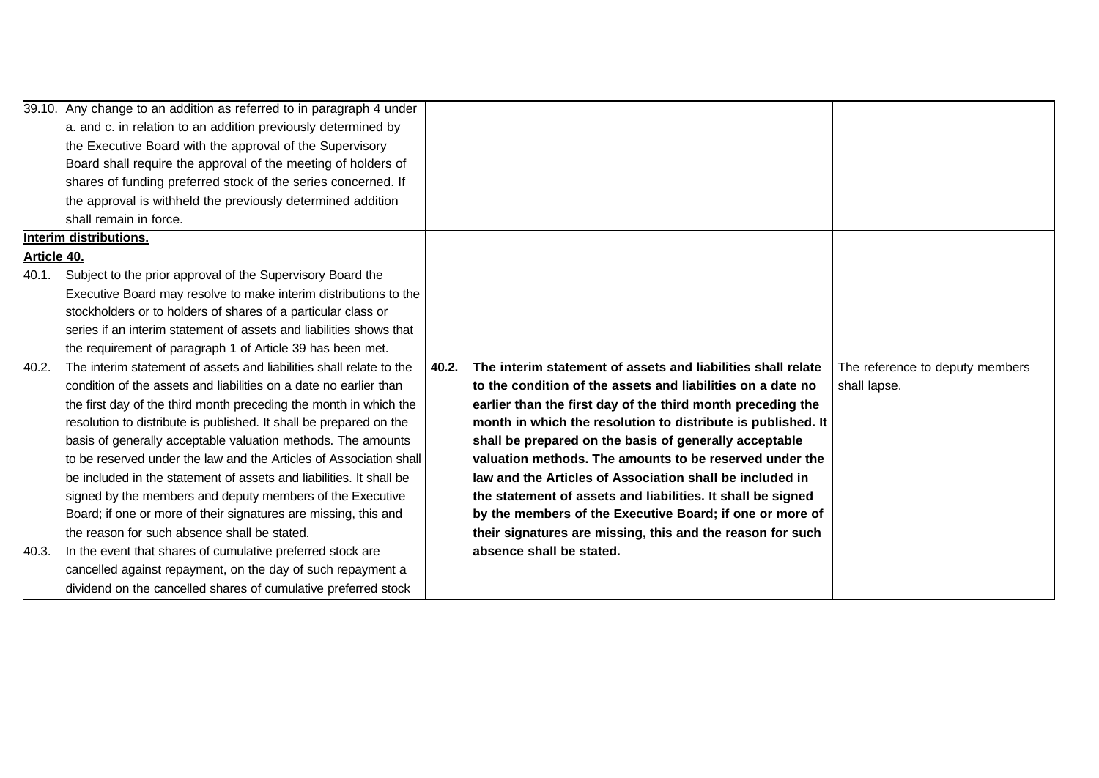|             | 39.10. Any change to an addition as referred to in paragraph 4 under |       |                                                              |                                 |
|-------------|----------------------------------------------------------------------|-------|--------------------------------------------------------------|---------------------------------|
|             | a. and c. in relation to an addition previously determined by        |       |                                                              |                                 |
|             | the Executive Board with the approval of the Supervisory             |       |                                                              |                                 |
|             | Board shall require the approval of the meeting of holders of        |       |                                                              |                                 |
|             | shares of funding preferred stock of the series concerned. If        |       |                                                              |                                 |
|             | the approval is withheld the previously determined addition          |       |                                                              |                                 |
|             | shall remain in force.                                               |       |                                                              |                                 |
|             | <b>Interim distributions.</b>                                        |       |                                                              |                                 |
| Article 40. |                                                                      |       |                                                              |                                 |
| 40.1.       | Subject to the prior approval of the Supervisory Board the           |       |                                                              |                                 |
|             | Executive Board may resolve to make interim distributions to the     |       |                                                              |                                 |
|             | stockholders or to holders of shares of a particular class or        |       |                                                              |                                 |
|             | series if an interim statement of assets and liabilities shows that  |       |                                                              |                                 |
|             | the requirement of paragraph 1 of Article 39 has been met.           |       |                                                              |                                 |
| 40.2.       | The interim statement of assets and liabilities shall relate to the  | 40.2. | The interim statement of assets and liabilities shall relate | The reference to deputy members |
|             | condition of the assets and liabilities on a date no earlier than    |       | to the condition of the assets and liabilities on a date no  | shall lapse.                    |
|             | the first day of the third month preceding the month in which the    |       | earlier than the first day of the third month preceding the  |                                 |
|             | resolution to distribute is published. It shall be prepared on the   |       | month in which the resolution to distribute is published. It |                                 |
|             | basis of generally acceptable valuation methods. The amounts         |       | shall be prepared on the basis of generally acceptable       |                                 |
|             | to be reserved under the law and the Articles of Association shall   |       | valuation methods. The amounts to be reserved under the      |                                 |
|             | be included in the statement of assets and liabilities. It shall be  |       | law and the Articles of Association shall be included in     |                                 |
|             | signed by the members and deputy members of the Executive            |       | the statement of assets and liabilities. It shall be signed  |                                 |
|             | Board; if one or more of their signatures are missing, this and      |       | by the members of the Executive Board; if one or more of     |                                 |
|             | the reason for such absence shall be stated.                         |       | their signatures are missing, this and the reason for such   |                                 |
| 40.3.       | In the event that shares of cumulative preferred stock are           |       | absence shall be stated.                                     |                                 |
|             | cancelled against repayment, on the day of such repayment a          |       |                                                              |                                 |
|             | dividend on the cancelled shares of cumulative preferred stock       |       |                                                              |                                 |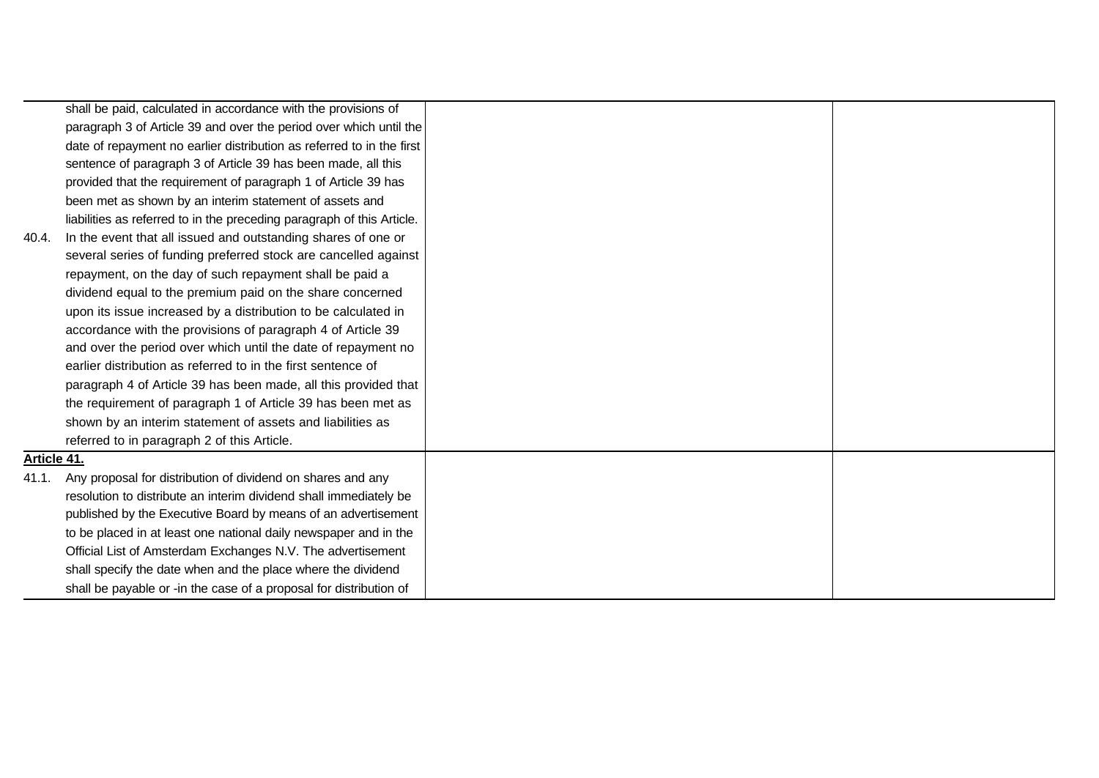|             | shall be paid, calculated in accordance with the provisions of         |  |
|-------------|------------------------------------------------------------------------|--|
|             | paragraph 3 of Article 39 and over the period over which until the     |  |
|             | date of repayment no earlier distribution as referred to in the first  |  |
|             | sentence of paragraph 3 of Article 39 has been made, all this          |  |
|             | provided that the requirement of paragraph 1 of Article 39 has         |  |
|             | been met as shown by an interim statement of assets and                |  |
|             | liabilities as referred to in the preceding paragraph of this Article. |  |
| 40.4.       | In the event that all issued and outstanding shares of one or          |  |
|             | several series of funding preferred stock are cancelled against        |  |
|             | repayment, on the day of such repayment shall be paid a                |  |
|             | dividend equal to the premium paid on the share concerned              |  |
|             | upon its issue increased by a distribution to be calculated in         |  |
|             | accordance with the provisions of paragraph 4 of Article 39            |  |
|             | and over the period over which until the date of repayment no          |  |
|             | earlier distribution as referred to in the first sentence of           |  |
|             | paragraph 4 of Article 39 has been made, all this provided that        |  |
|             | the requirement of paragraph 1 of Article 39 has been met as           |  |
|             | shown by an interim statement of assets and liabilities as             |  |
|             | referred to in paragraph 2 of this Article.                            |  |
| Article 41. |                                                                        |  |
| 41.1.       | Any proposal for distribution of dividend on shares and any            |  |
|             | resolution to distribute an interim dividend shall immediately be      |  |
|             | published by the Executive Board by means of an advertisement          |  |
|             | to be placed in at least one national daily newspaper and in the       |  |
|             | Official List of Amsterdam Exchanges N.V. The advertisement            |  |
|             | shall specify the date when and the place where the dividend           |  |
|             | shall be payable or -in the case of a proposal for distribution of     |  |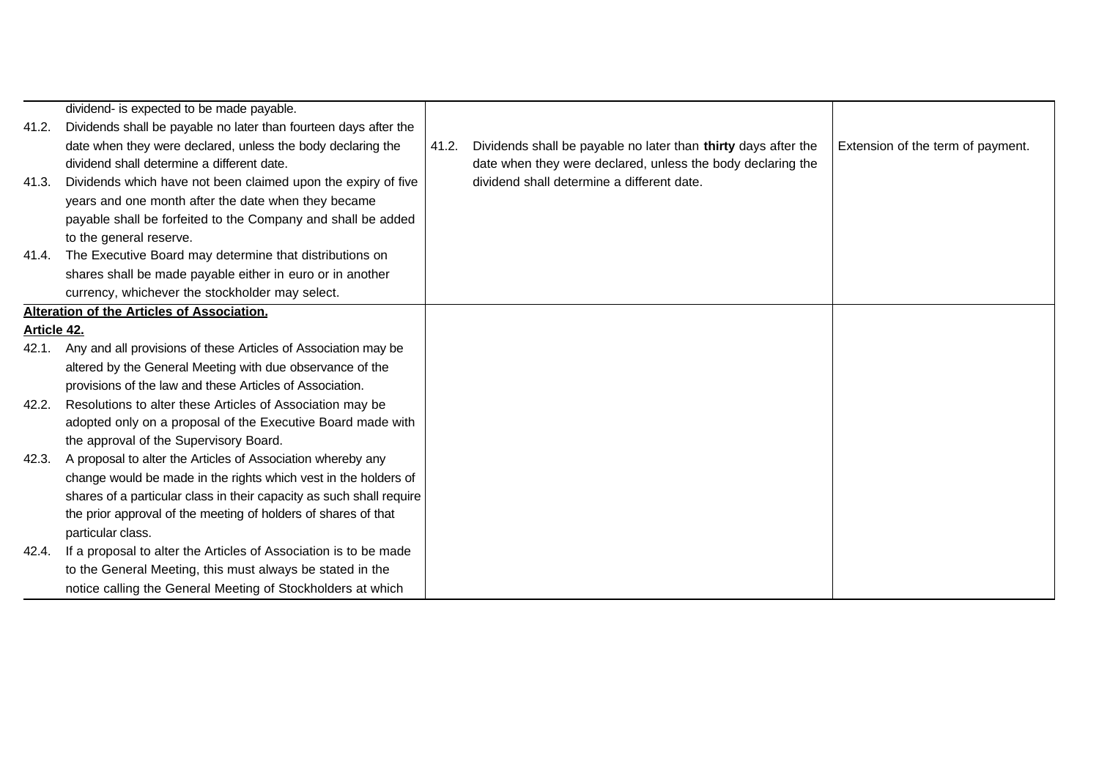|             | dividend- is expected to be made payable.                            |       |                                                                |                                   |
|-------------|----------------------------------------------------------------------|-------|----------------------------------------------------------------|-----------------------------------|
| 41.2.       | Dividends shall be payable no later than fourteen days after the     |       |                                                                |                                   |
|             | date when they were declared, unless the body declaring the          | 41.2. | Dividends shall be payable no later than thirty days after the | Extension of the term of payment. |
|             | dividend shall determine a different date.                           |       | date when they were declared, unless the body declaring the    |                                   |
| 41.3.       | Dividends which have not been claimed upon the expiry of five        |       | dividend shall determine a different date.                     |                                   |
|             | years and one month after the date when they became                  |       |                                                                |                                   |
|             | payable shall be forfeited to the Company and shall be added         |       |                                                                |                                   |
|             | to the general reserve.                                              |       |                                                                |                                   |
|             | 41.4. The Executive Board may determine that distributions on        |       |                                                                |                                   |
|             | shares shall be made payable either in euro or in another            |       |                                                                |                                   |
|             | currency, whichever the stockholder may select.                      |       |                                                                |                                   |
|             | Alteration of the Articles of Association.                           |       |                                                                |                                   |
| Article 42. |                                                                      |       |                                                                |                                   |
| 42.1.       | Any and all provisions of these Articles of Association may be       |       |                                                                |                                   |
|             | altered by the General Meeting with due observance of the            |       |                                                                |                                   |
|             | provisions of the law and these Articles of Association.             |       |                                                                |                                   |
| 42.2.       | Resolutions to alter these Articles of Association may be            |       |                                                                |                                   |
|             | adopted only on a proposal of the Executive Board made with          |       |                                                                |                                   |
|             | the approval of the Supervisory Board.                               |       |                                                                |                                   |
| 42.3.       | A proposal to alter the Articles of Association whereby any          |       |                                                                |                                   |
|             | change would be made in the rights which vest in the holders of      |       |                                                                |                                   |
|             | shares of a particular class in their capacity as such shall require |       |                                                                |                                   |
|             | the prior approval of the meeting of holders of shares of that       |       |                                                                |                                   |
|             | particular class.                                                    |       |                                                                |                                   |
| 42.4.       | If a proposal to alter the Articles of Association is to be made     |       |                                                                |                                   |
|             | to the General Meeting, this must always be stated in the            |       |                                                                |                                   |
|             | notice calling the General Meeting of Stockholders at which          |       |                                                                |                                   |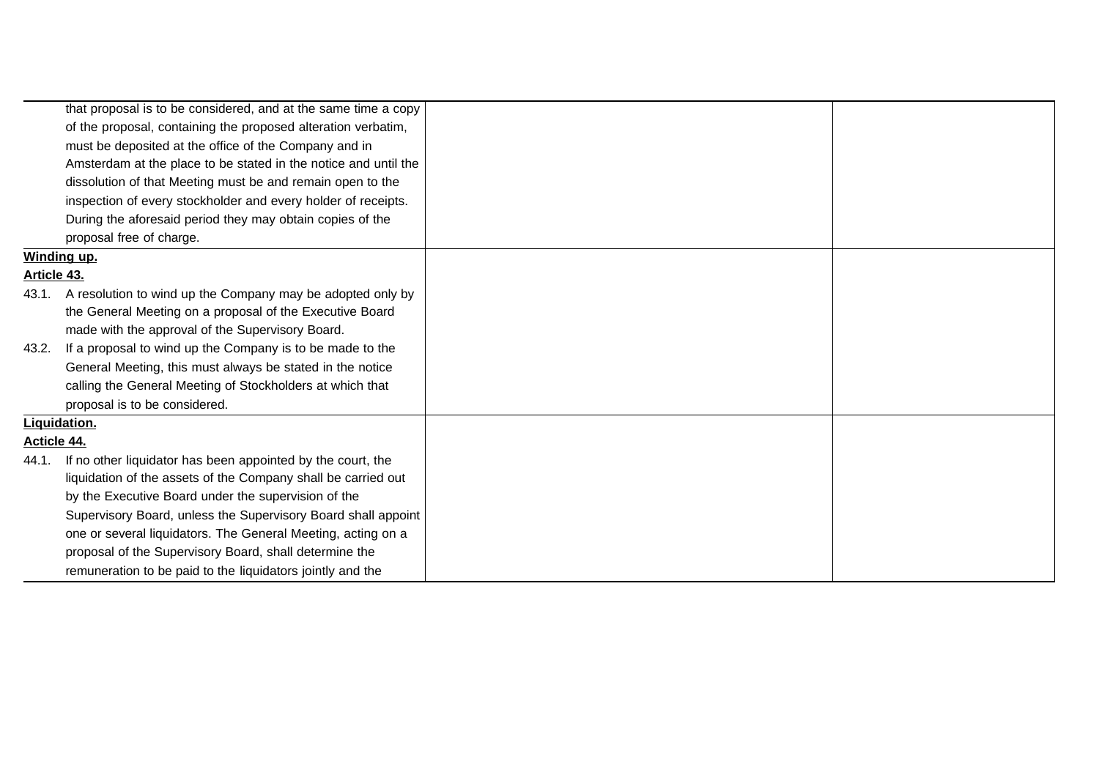|                    | that proposal is to be considered, and at the same time a copy   |  |
|--------------------|------------------------------------------------------------------|--|
|                    | of the proposal, containing the proposed alteration verbatim,    |  |
|                    | must be deposited at the office of the Company and in            |  |
|                    | Amsterdam at the place to be stated in the notice and until the  |  |
|                    | dissolution of that Meeting must be and remain open to the       |  |
|                    | inspection of every stockholder and every holder of receipts.    |  |
|                    | During the aforesaid period they may obtain copies of the        |  |
|                    | proposal free of charge.                                         |  |
|                    | Winding up.                                                      |  |
| <u>Article 43.</u> |                                                                  |  |
|                    | 43.1. A resolution to wind up the Company may be adopted only by |  |
|                    | the General Meeting on a proposal of the Executive Board         |  |
|                    | made with the approval of the Supervisory Board.                 |  |
| 43.2.              | If a proposal to wind up the Company is to be made to the        |  |
|                    | General Meeting, this must always be stated in the notice        |  |
|                    | calling the General Meeting of Stockholders at which that        |  |
|                    | proposal is to be considered.                                    |  |
|                    | Liguidation.                                                     |  |
| <u>Acticle 44.</u> |                                                                  |  |
| 44.1.              | If no other liquidator has been appointed by the court, the      |  |
|                    | liquidation of the assets of the Company shall be carried out    |  |
|                    | by the Executive Board under the supervision of the              |  |
|                    | Supervisory Board, unless the Supervisory Board shall appoint    |  |
|                    | one or several liquidators. The General Meeting, acting on a     |  |
|                    | proposal of the Supervisory Board, shall determine the           |  |
|                    | remuneration to be paid to the liquidators jointly and the       |  |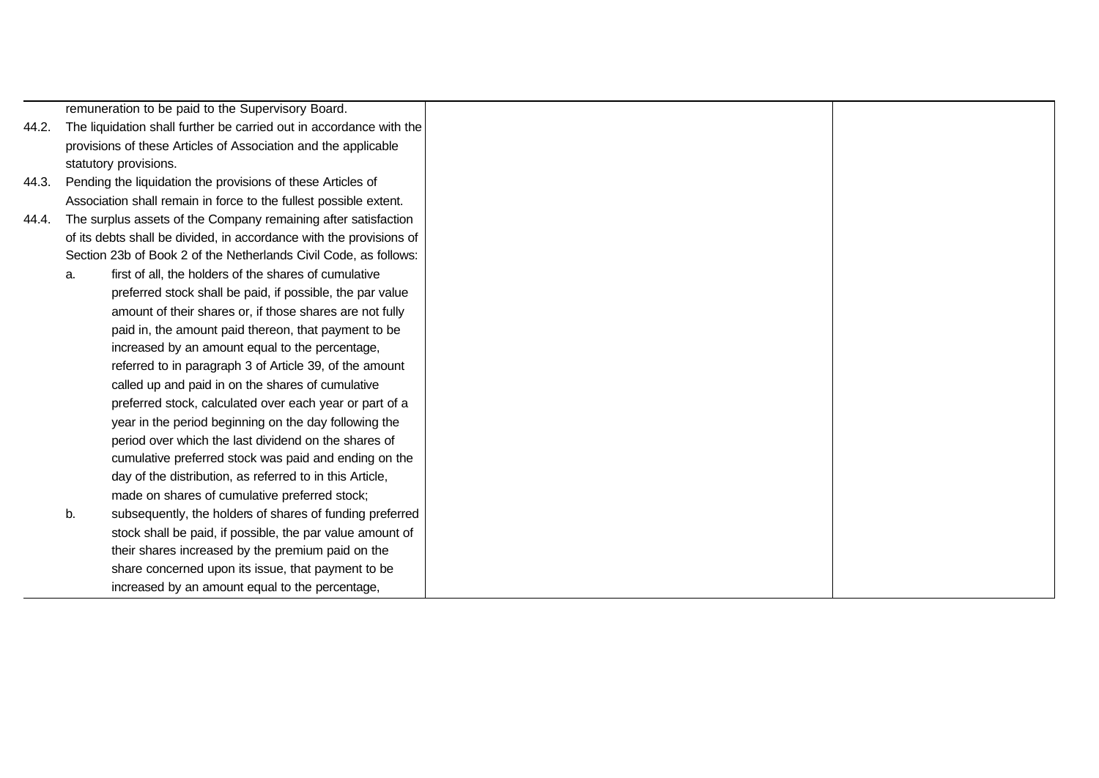remuneration to be paid to the Supervisory Board.

- 44.2. The liquidation shall further be carried out in accordance with the provisions of these Articles of Association and the applicable statutory provisions.
- 44.3. Pending the liquidation the provisions of these Articles of Association shall remain in force to the fullest possible extent.
- 44.4. The surplus assets of the Company remaining after satisfaction of its debts shall be divided, in accordance with the provisions of Section 23b of Book 2 of the Netherlands Civil Code, as follows:
	- a. first of all, the holders of the shares of cumulative preferred stock shall be paid, if possible, the par value amount of their shares or, if those shares are not fully paid in, the amount paid thereon, that payment to be increased by an amount equal to the percentage, referred to in paragraph 3 of Article 39, of the amount called up and paid in on the shares of cumulative preferred stock, calculated over each year or part of a year in the period beginning on the day following the period over which the last dividend on the shares of cumulative preferred stock was paid and ending on the day of the distribution, as referred to in this Article, made on shares of cumulative preferred stock; b. subsequently, the holders of shares of funding preferred
	- stock shall be paid, if possible, the par value amount of their shares increased by the premium paid on the share concerned upon its issue, that payment to be increased by an amount equal to the percentage,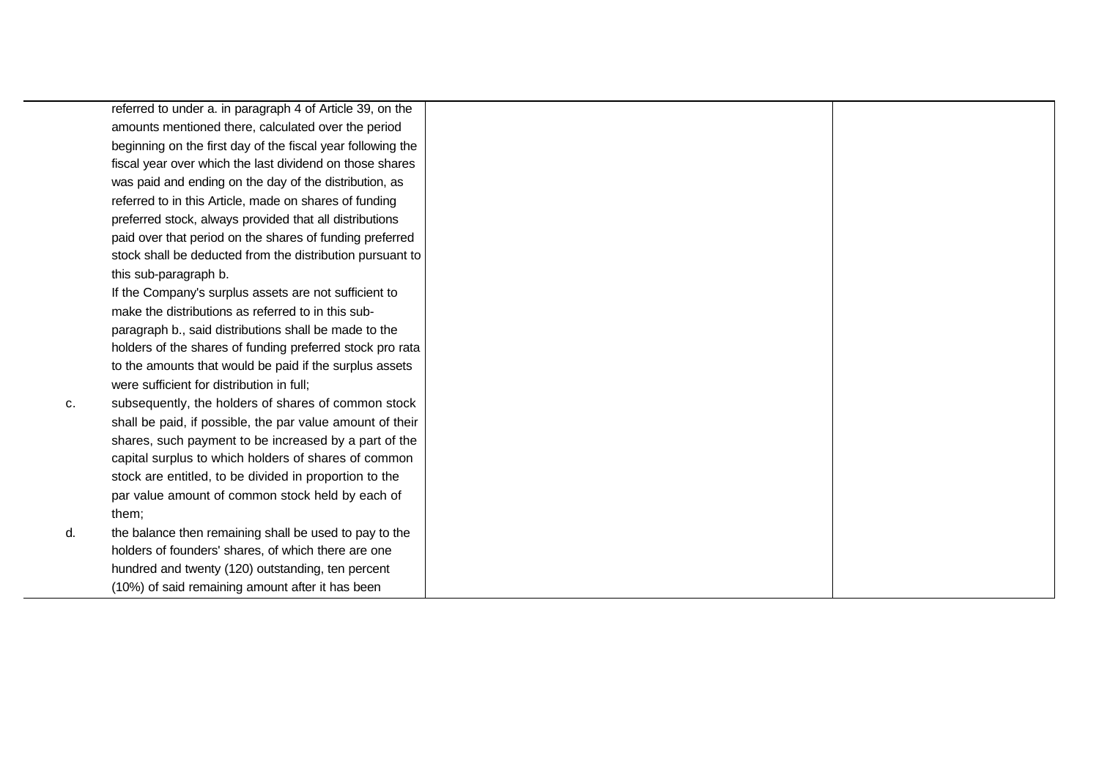|    | referred to under a. in paragraph 4 of Article 39, on the   |  |
|----|-------------------------------------------------------------|--|
|    | amounts mentioned there, calculated over the period         |  |
|    | beginning on the first day of the fiscal year following the |  |
|    | fiscal year over which the last dividend on those shares    |  |
|    | was paid and ending on the day of the distribution, as      |  |
|    | referred to in this Article, made on shares of funding      |  |
|    | preferred stock, always provided that all distributions     |  |
|    | paid over that period on the shares of funding preferred    |  |
|    | stock shall be deducted from the distribution pursuant to   |  |
|    | this sub-paragraph b.                                       |  |
|    | If the Company's surplus assets are not sufficient to       |  |
|    | make the distributions as referred to in this sub-          |  |
|    | paragraph b., said distributions shall be made to the       |  |
|    | holders of the shares of funding preferred stock pro rata   |  |
|    | to the amounts that would be paid if the surplus assets     |  |
|    | were sufficient for distribution in full;                   |  |
| c. | subsequently, the holders of shares of common stock         |  |
|    | shall be paid, if possible, the par value amount of their   |  |
|    | shares, such payment to be increased by a part of the       |  |
|    | capital surplus to which holders of shares of common        |  |
|    | stock are entitled, to be divided in proportion to the      |  |
|    | par value amount of common stock held by each of            |  |
|    | them;                                                       |  |
| d. | the balance then remaining shall be used to pay to the      |  |
|    | holders of founders' shares, of which there are one         |  |
|    | hundred and twenty (120) outstanding, ten percent           |  |
|    | (10%) of said remaining amount after it has been            |  |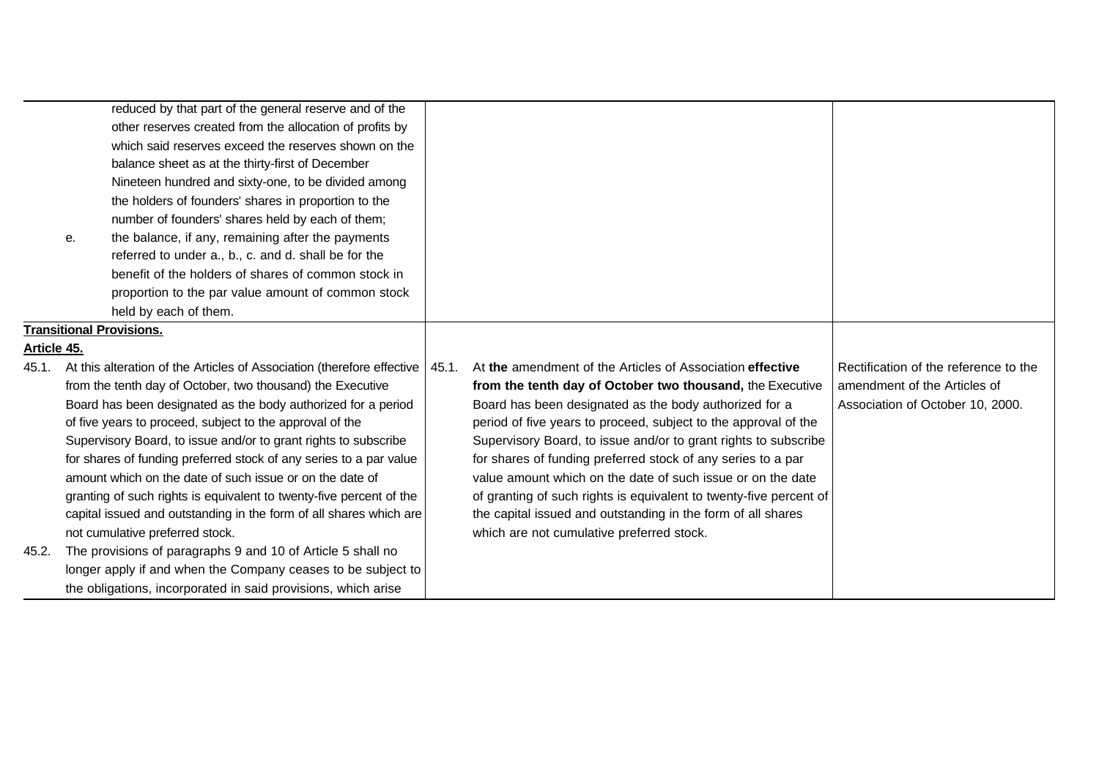|                    | е. | reduced by that part of the general reserve and of the<br>other reserves created from the allocation of profits by<br>which said reserves exceed the reserves shown on the<br>balance sheet as at the thirty-first of December<br>Nineteen hundred and sixty-one, to be divided among<br>the holders of founders' shares in proportion to the<br>number of founders' shares held by each of them;<br>the balance, if any, remaining after the payments |                                                                    |                                       |
|--------------------|----|--------------------------------------------------------------------------------------------------------------------------------------------------------------------------------------------------------------------------------------------------------------------------------------------------------------------------------------------------------------------------------------------------------------------------------------------------------|--------------------------------------------------------------------|---------------------------------------|
|                    |    | referred to under a., b., c. and d. shall be for the<br>benefit of the holders of shares of common stock in<br>proportion to the par value amount of common stock<br>held by each of them.                                                                                                                                                                                                                                                             |                                                                    |                                       |
|                    |    | <b>Transitional Provisions.</b>                                                                                                                                                                                                                                                                                                                                                                                                                        |                                                                    |                                       |
| <u>Article 45.</u> |    |                                                                                                                                                                                                                                                                                                                                                                                                                                                        |                                                                    |                                       |
| 45.1.              |    | At this alteration of the Articles of Association (therefore effective   45.1.                                                                                                                                                                                                                                                                                                                                                                         | At the amendment of the Articles of Association effective          | Rectification of the reference to the |
|                    |    | from the tenth day of October, two thousand) the Executive                                                                                                                                                                                                                                                                                                                                                                                             | from the tenth day of October two thousand, the Executive          | amendment of the Articles of          |
|                    |    | Board has been designated as the body authorized for a period                                                                                                                                                                                                                                                                                                                                                                                          | Board has been designated as the body authorized for a             | Association of October 10, 2000.      |
|                    |    | of five years to proceed, subject to the approval of the                                                                                                                                                                                                                                                                                                                                                                                               | period of five years to proceed, subject to the approval of the    |                                       |
|                    |    | Supervisory Board, to issue and/or to grant rights to subscribe                                                                                                                                                                                                                                                                                                                                                                                        | Supervisory Board, to issue and/or to grant rights to subscribe    |                                       |
|                    |    | for shares of funding preferred stock of any series to a par value                                                                                                                                                                                                                                                                                                                                                                                     | for shares of funding preferred stock of any series to a par       |                                       |
|                    |    | amount which on the date of such issue or on the date of                                                                                                                                                                                                                                                                                                                                                                                               | value amount which on the date of such issue or on the date        |                                       |
|                    |    | granting of such rights is equivalent to twenty-five percent of the                                                                                                                                                                                                                                                                                                                                                                                    | of granting of such rights is equivalent to twenty-five percent of |                                       |
|                    |    | capital issued and outstanding in the form of all shares which are                                                                                                                                                                                                                                                                                                                                                                                     | the capital issued and outstanding in the form of all shares       |                                       |
|                    |    | not cumulative preferred stock.                                                                                                                                                                                                                                                                                                                                                                                                                        | which are not cumulative preferred stock.                          |                                       |
| 45.2.              |    | The provisions of paragraphs 9 and 10 of Article 5 shall no                                                                                                                                                                                                                                                                                                                                                                                            |                                                                    |                                       |
|                    |    | longer apply if and when the Company ceases to be subject to                                                                                                                                                                                                                                                                                                                                                                                           |                                                                    |                                       |
|                    |    | the obligations, incorporated in said provisions, which arise                                                                                                                                                                                                                                                                                                                                                                                          |                                                                    |                                       |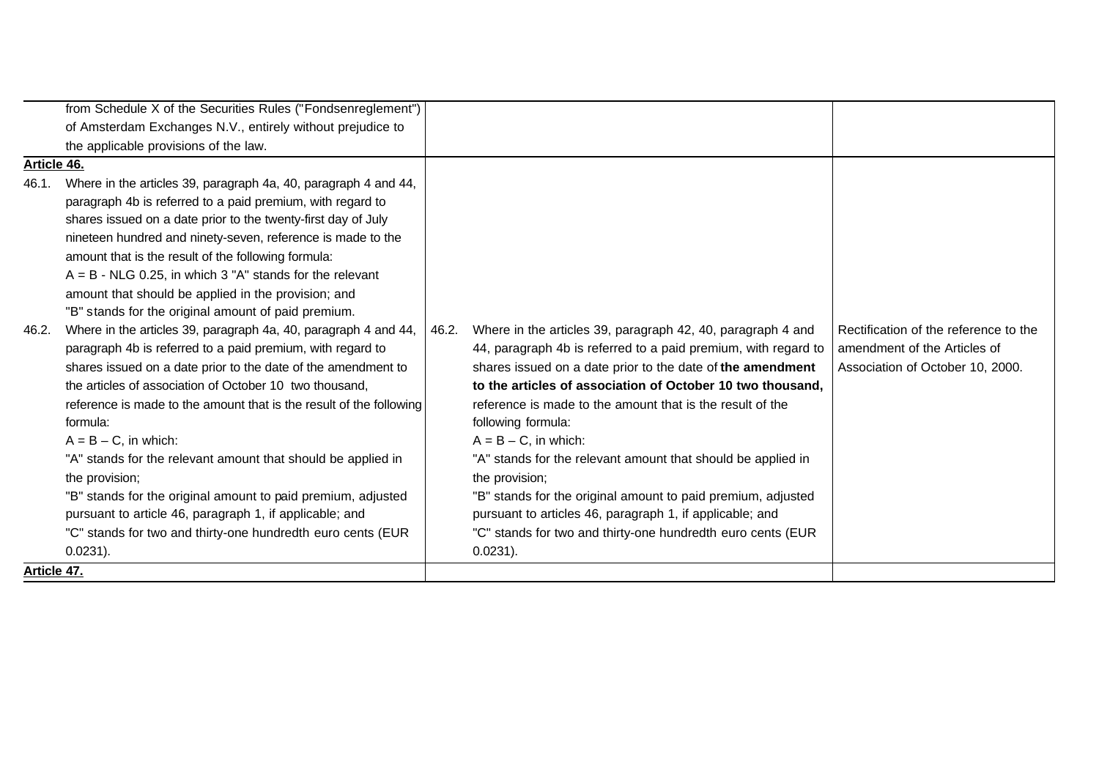|             | from Schedule X of the Securities Rules ("Fondsenreglement")        |       |                                                                |                                       |
|-------------|---------------------------------------------------------------------|-------|----------------------------------------------------------------|---------------------------------------|
|             | of Amsterdam Exchanges N.V., entirely without prejudice to          |       |                                                                |                                       |
|             | the applicable provisions of the law.                               |       |                                                                |                                       |
| Article 46. |                                                                     |       |                                                                |                                       |
| 46.1.       | Where in the articles 39, paragraph 4a, 40, paragraph 4 and 44,     |       |                                                                |                                       |
|             | paragraph 4b is referred to a paid premium, with regard to          |       |                                                                |                                       |
|             | shares issued on a date prior to the twenty-first day of July       |       |                                                                |                                       |
|             | nineteen hundred and ninety-seven, reference is made to the         |       |                                                                |                                       |
|             | amount that is the result of the following formula:                 |       |                                                                |                                       |
|             | $A = B - NLG$ 0.25, in which 3 "A" stands for the relevant          |       |                                                                |                                       |
|             | amount that should be applied in the provision; and                 |       |                                                                |                                       |
|             | "B" stands for the original amount of paid premium.                 |       |                                                                |                                       |
| 46.2.       | Where in the articles 39, paragraph 4a, 40, paragraph 4 and 44,     | 46.2. | Where in the articles 39, paragraph 42, 40, paragraph 4 and    | Rectification of the reference to the |
|             | paragraph 4b is referred to a paid premium, with regard to          |       | 44, paragraph 4b is referred to a paid premium, with regard to | amendment of the Articles of          |
|             | shares issued on a date prior to the date of the amendment to       |       | shares issued on a date prior to the date of the amendment     | Association of October 10, 2000.      |
|             | the articles of association of October 10 two thousand,             |       | to the articles of association of October 10 two thousand,     |                                       |
|             | reference is made to the amount that is the result of the following |       | reference is made to the amount that is the result of the      |                                       |
|             | formula:                                                            |       | following formula:                                             |                                       |
|             | $A = B - C$ , in which:                                             |       | $A = B - C$ , in which:                                        |                                       |
|             | "A" stands for the relevant amount that should be applied in        |       | "A" stands for the relevant amount that should be applied in   |                                       |
|             | the provision;                                                      |       | the provision;                                                 |                                       |
|             | "B" stands for the original amount to paid premium, adjusted        |       | "B" stands for the original amount to paid premium, adjusted   |                                       |
|             | pursuant to article 46, paragraph 1, if applicable; and             |       | pursuant to articles 46, paragraph 1, if applicable; and       |                                       |
|             | "C" stands for two and thirty-one hundredth euro cents (EUR         |       | "C" stands for two and thirty-one hundredth euro cents (EUR    |                                       |
|             | $0.0231$ ).                                                         |       | $0.0231$ ).                                                    |                                       |
| Article 47. |                                                                     |       |                                                                |                                       |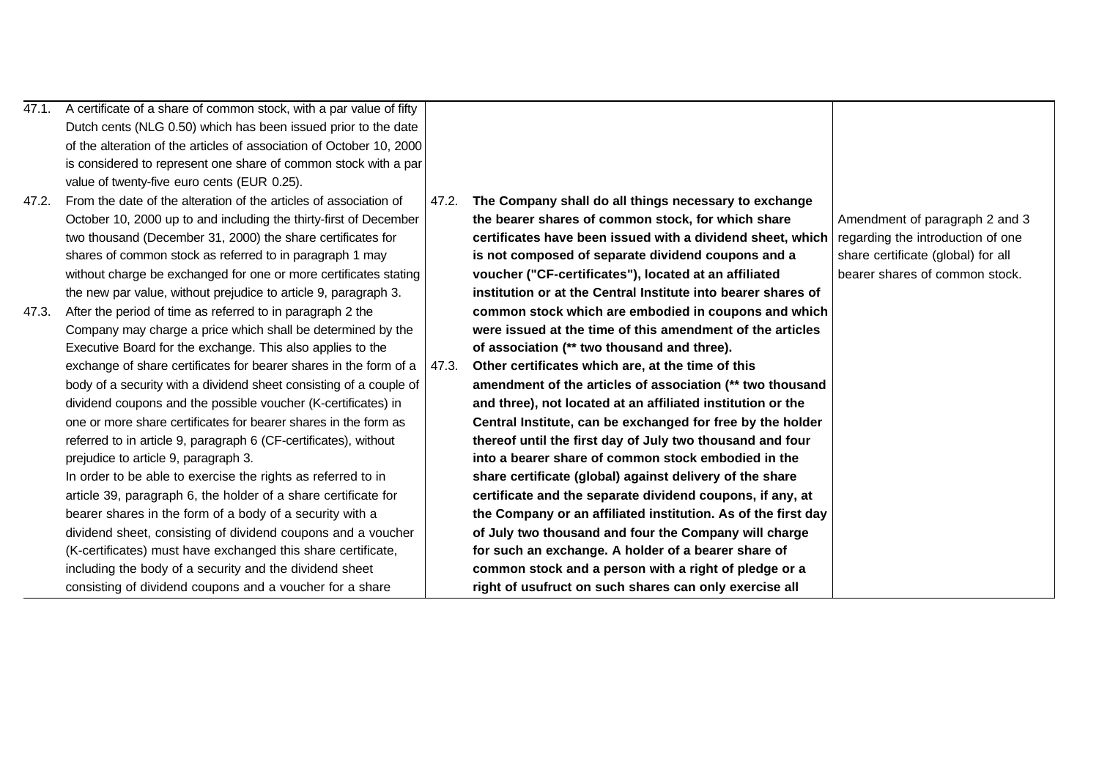| 47.1. | A certificate of a share of common stock, with a par value of fifty  |       |                                                               |                                    |
|-------|----------------------------------------------------------------------|-------|---------------------------------------------------------------|------------------------------------|
|       | Dutch cents (NLG 0.50) which has been issued prior to the date       |       |                                                               |                                    |
|       | of the alteration of the articles of association of October 10, 2000 |       |                                                               |                                    |
|       | is considered to represent one share of common stock with a par      |       |                                                               |                                    |
|       | value of twenty-five euro cents (EUR 0.25).                          |       |                                                               |                                    |
| 47.2. | From the date of the alteration of the articles of association of    | 47.2. | The Company shall do all things necessary to exchange         |                                    |
|       | October 10, 2000 up to and including the thirty-first of December    |       | the bearer shares of common stock, for which share            | Amendment of paragraph 2 and 3     |
|       | two thousand (December 31, 2000) the share certificates for          |       | certificates have been issued with a dividend sheet, which    | regarding the introduction of one  |
|       | shares of common stock as referred to in paragraph 1 may             |       | is not composed of separate dividend coupons and a            | share certificate (global) for all |
|       | without charge be exchanged for one or more certificates stating     |       | voucher ("CF-certificates"), located at an affiliated         | bearer shares of common stock.     |
|       | the new par value, without prejudice to article 9, paragraph 3.      |       | institution or at the Central Institute into bearer shares of |                                    |
| 47.3. | After the period of time as referred to in paragraph 2 the           |       | common stock which are embodied in coupons and which          |                                    |
|       | Company may charge a price which shall be determined by the          |       | were issued at the time of this amendment of the articles     |                                    |
|       | Executive Board for the exchange. This also applies to the           |       | of association (** two thousand and three).                   |                                    |
|       | exchange of share certificates for bearer shares in the form of a    | 47.3. | Other certificates which are, at the time of this             |                                    |
|       | body of a security with a dividend sheet consisting of a couple of   |       | amendment of the articles of association (** two thousand     |                                    |
|       | dividend coupons and the possible voucher (K-certificates) in        |       | and three), not located at an affiliated institution or the   |                                    |
|       | one or more share certificates for bearer shares in the form as      |       | Central Institute, can be exchanged for free by the holder    |                                    |
|       | referred to in article 9, paragraph 6 (CF-certificates), without     |       | thereof until the first day of July two thousand and four     |                                    |
|       | prejudice to article 9, paragraph 3.                                 |       | into a bearer share of common stock embodied in the           |                                    |
|       | In order to be able to exercise the rights as referred to in         |       | share certificate (global) against delivery of the share      |                                    |
|       | article 39, paragraph 6, the holder of a share certificate for       |       | certificate and the separate dividend coupons, if any, at     |                                    |
|       | bearer shares in the form of a body of a security with a             |       | the Company or an affiliated institution. As of the first day |                                    |
|       | dividend sheet, consisting of dividend coupons and a voucher         |       | of July two thousand and four the Company will charge         |                                    |
|       | (K-certificates) must have exchanged this share certificate,         |       | for such an exchange. A holder of a bearer share of           |                                    |
|       | including the body of a security and the dividend sheet              |       | common stock and a person with a right of pledge or a         |                                    |
|       | consisting of dividend coupons and a voucher for a share             |       | right of usufruct on such shares can only exercise all        |                                    |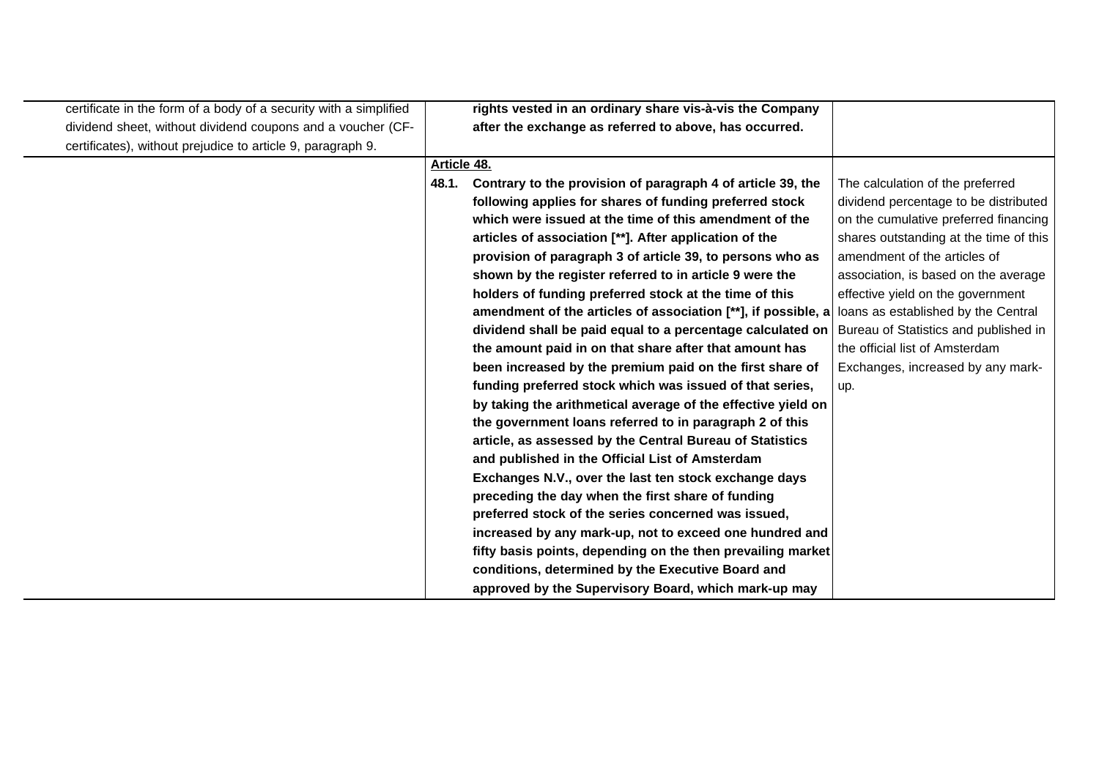| certificate in the form of a body of a security with a simplified |             | rights vested in an ordinary share vis-à-vis the Company      |                                        |
|-------------------------------------------------------------------|-------------|---------------------------------------------------------------|----------------------------------------|
| dividend sheet, without dividend coupons and a voucher (CF-       |             | after the exchange as referred to above, has occurred.        |                                        |
| certificates), without prejudice to article 9, paragraph 9.       |             |                                                               |                                        |
|                                                                   | Article 48. |                                                               |                                        |
|                                                                   | 48.1.       | Contrary to the provision of paragraph 4 of article 39, the   | The calculation of the preferred       |
|                                                                   |             | following applies for shares of funding preferred stock       | dividend percentage to be distributed  |
|                                                                   |             | which were issued at the time of this amendment of the        | on the cumulative preferred financing  |
|                                                                   |             | articles of association [**]. After application of the        | shares outstanding at the time of this |
|                                                                   |             | provision of paragraph 3 of article 39, to persons who as     | amendment of the articles of           |
|                                                                   |             | shown by the register referred to in article 9 were the       | association, is based on the average   |
|                                                                   |             | holders of funding preferred stock at the time of this        | effective yield on the government      |
|                                                                   |             | amendment of the articles of association [**], if possible, a | loans as established by the Central    |
|                                                                   |             | dividend shall be paid equal to a percentage calculated on    | Bureau of Statistics and published in  |
|                                                                   |             | the amount paid in on that share after that amount has        | the official list of Amsterdam         |
|                                                                   |             | been increased by the premium paid on the first share of      | Exchanges, increased by any mark-      |
|                                                                   |             | funding preferred stock which was issued of that series,      | up.                                    |
|                                                                   |             | by taking the arithmetical average of the effective yield on  |                                        |
|                                                                   |             | the government loans referred to in paragraph 2 of this       |                                        |
|                                                                   |             | article, as assessed by the Central Bureau of Statistics      |                                        |
|                                                                   |             | and published in the Official List of Amsterdam               |                                        |
|                                                                   |             | Exchanges N.V., over the last ten stock exchange days         |                                        |
|                                                                   |             | preceding the day when the first share of funding             |                                        |
|                                                                   |             | preferred stock of the series concerned was issued,           |                                        |
|                                                                   |             | increased by any mark-up, not to exceed one hundred and       |                                        |
|                                                                   |             | fifty basis points, depending on the then prevailing market   |                                        |
|                                                                   |             | conditions, determined by the Executive Board and             |                                        |
|                                                                   |             | approved by the Supervisory Board, which mark-up may          |                                        |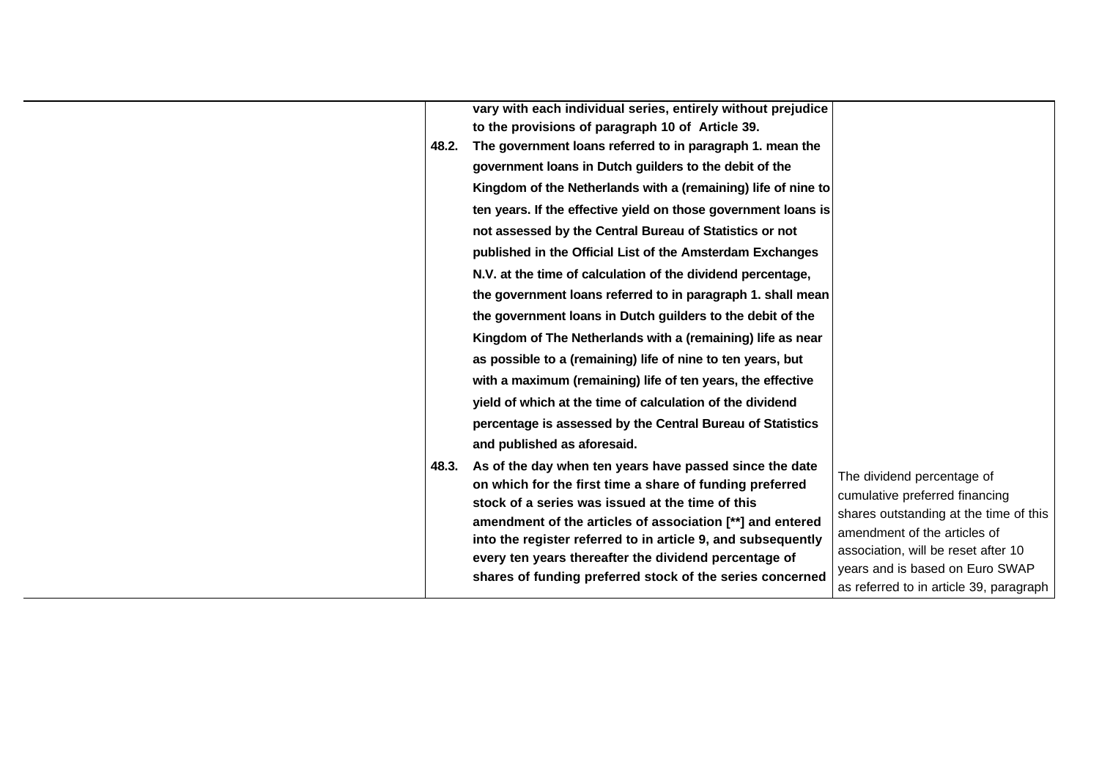|       | vary with each individual series, entirely without prejudice                                                                                                                                                                                                                                                                                                                                                               |                                                                                                                                                                                                                                                             |
|-------|----------------------------------------------------------------------------------------------------------------------------------------------------------------------------------------------------------------------------------------------------------------------------------------------------------------------------------------------------------------------------------------------------------------------------|-------------------------------------------------------------------------------------------------------------------------------------------------------------------------------------------------------------------------------------------------------------|
|       | to the provisions of paragraph 10 of Article 39.                                                                                                                                                                                                                                                                                                                                                                           |                                                                                                                                                                                                                                                             |
| 48.2. | The government loans referred to in paragraph 1. mean the                                                                                                                                                                                                                                                                                                                                                                  |                                                                                                                                                                                                                                                             |
|       | government loans in Dutch guilders to the debit of the                                                                                                                                                                                                                                                                                                                                                                     |                                                                                                                                                                                                                                                             |
|       | Kingdom of the Netherlands with a (remaining) life of nine to                                                                                                                                                                                                                                                                                                                                                              |                                                                                                                                                                                                                                                             |
|       | ten years. If the effective yield on those government loans is                                                                                                                                                                                                                                                                                                                                                             |                                                                                                                                                                                                                                                             |
|       | not assessed by the Central Bureau of Statistics or not                                                                                                                                                                                                                                                                                                                                                                    |                                                                                                                                                                                                                                                             |
|       | published in the Official List of the Amsterdam Exchanges                                                                                                                                                                                                                                                                                                                                                                  |                                                                                                                                                                                                                                                             |
|       | N.V. at the time of calculation of the dividend percentage,                                                                                                                                                                                                                                                                                                                                                                |                                                                                                                                                                                                                                                             |
|       | the government loans referred to in paragraph 1. shall mean                                                                                                                                                                                                                                                                                                                                                                |                                                                                                                                                                                                                                                             |
|       | the government loans in Dutch guilders to the debit of the                                                                                                                                                                                                                                                                                                                                                                 |                                                                                                                                                                                                                                                             |
|       | Kingdom of The Netherlands with a (remaining) life as near                                                                                                                                                                                                                                                                                                                                                                 |                                                                                                                                                                                                                                                             |
|       | as possible to a (remaining) life of nine to ten years, but                                                                                                                                                                                                                                                                                                                                                                |                                                                                                                                                                                                                                                             |
|       | with a maximum (remaining) life of ten years, the effective                                                                                                                                                                                                                                                                                                                                                                |                                                                                                                                                                                                                                                             |
|       | yield of which at the time of calculation of the dividend                                                                                                                                                                                                                                                                                                                                                                  |                                                                                                                                                                                                                                                             |
|       | percentage is assessed by the Central Bureau of Statistics                                                                                                                                                                                                                                                                                                                                                                 |                                                                                                                                                                                                                                                             |
|       | and published as aforesaid.                                                                                                                                                                                                                                                                                                                                                                                                |                                                                                                                                                                                                                                                             |
| 48.3. | As of the day when ten years have passed since the date<br>on which for the first time a share of funding preferred<br>stock of a series was issued at the time of this<br>amendment of the articles of association [**] and entered<br>into the register referred to in article 9, and subsequently<br>every ten years thereafter the dividend percentage of<br>shares of funding preferred stock of the series concerned | The dividend percentage of<br>cumulative preferred financing<br>shares outstanding at the time of this<br>amendment of the articles of<br>association, will be reset after 10<br>years and is based on Euro SWAP<br>as referred to in article 39, paragraph |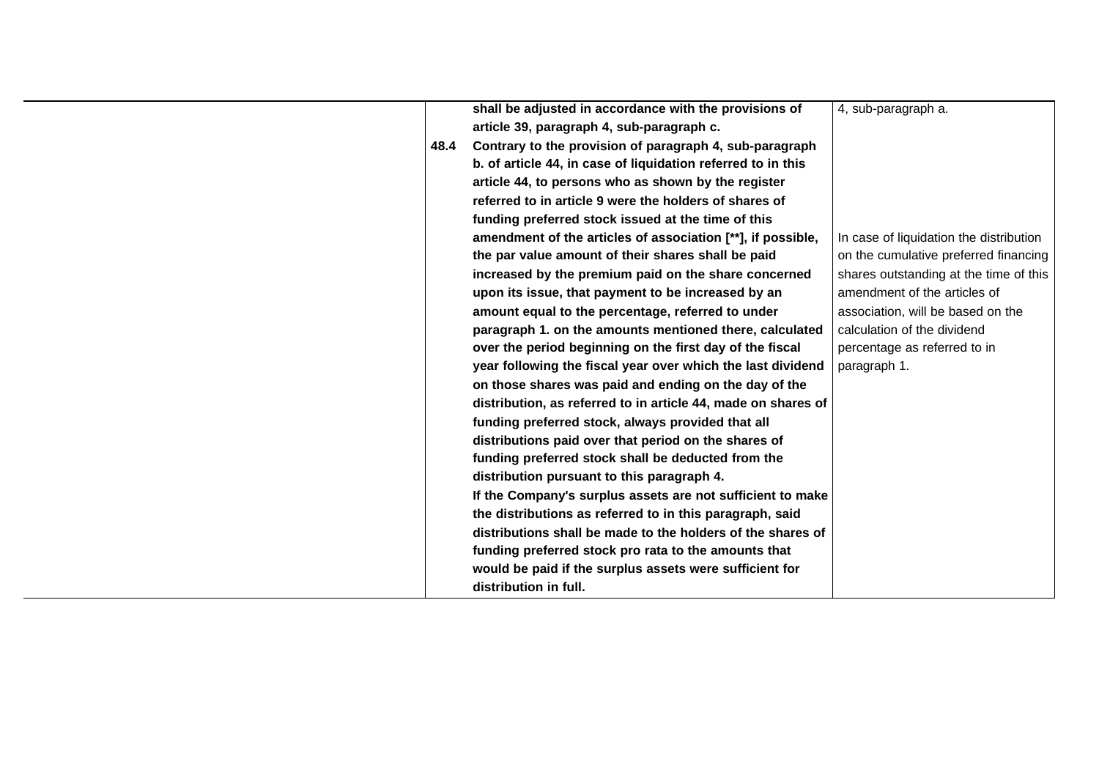|      | shall be adjusted in accordance with the provisions of        | 4, sub-paragraph a.                     |
|------|---------------------------------------------------------------|-----------------------------------------|
|      | article 39, paragraph 4, sub-paragraph c.                     |                                         |
|      |                                                               |                                         |
| 48.4 | Contrary to the provision of paragraph 4, sub-paragraph       |                                         |
|      | b. of article 44, in case of liquidation referred to in this  |                                         |
|      | article 44, to persons who as shown by the register           |                                         |
|      | referred to in article 9 were the holders of shares of        |                                         |
|      | funding preferred stock issued at the time of this            |                                         |
|      | amendment of the articles of association [**], if possible,   | In case of liquidation the distribution |
|      | the par value amount of their shares shall be paid            | on the cumulative preferred financing   |
|      | increased by the premium paid on the share concerned          | shares outstanding at the time of this  |
|      | upon its issue, that payment to be increased by an            | amendment of the articles of            |
|      | amount equal to the percentage, referred to under             | association, will be based on the       |
|      | paragraph 1. on the amounts mentioned there, calculated       | calculation of the dividend             |
|      | over the period beginning on the first day of the fiscal      | percentage as referred to in            |
|      | year following the fiscal year over which the last dividend   | paragraph 1.                            |
|      | on those shares was paid and ending on the day of the         |                                         |
|      | distribution, as referred to in article 44, made on shares of |                                         |
|      | funding preferred stock, always provided that all             |                                         |
|      | distributions paid over that period on the shares of          |                                         |
|      | funding preferred stock shall be deducted from the            |                                         |
|      | distribution pursuant to this paragraph 4.                    |                                         |
|      | If the Company's surplus assets are not sufficient to make    |                                         |
|      | the distributions as referred to in this paragraph, said      |                                         |
|      | distributions shall be made to the holders of the shares of   |                                         |
|      | funding preferred stock pro rata to the amounts that          |                                         |
|      | would be paid if the surplus assets were sufficient for       |                                         |
|      |                                                               |                                         |
|      | distribution in full.                                         |                                         |